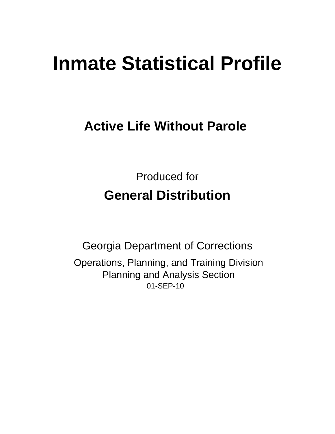# **Inmate Statistical Profile**

## **Active Life Without Parole**

**Produced for General Distribution** 

**Georgia Department of Corrections** Operations, Planning, and Training Division **Planning and Analysis Section** 01-SEP-10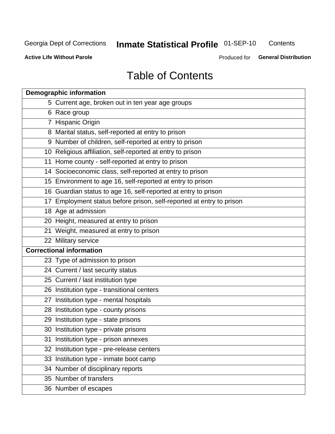## **Inmate Statistical Profile 01-SEP-10**

Contents

**Active Life Without Parole** 

Produced for General Distribution

## **Table of Contents**

|    | <b>Demographic information</b>                                       |
|----|----------------------------------------------------------------------|
|    | 5 Current age, broken out in ten year age groups                     |
|    | 6 Race group                                                         |
|    | 7 Hispanic Origin                                                    |
|    | 8 Marital status, self-reported at entry to prison                   |
|    | 9 Number of children, self-reported at entry to prison               |
|    | 10 Religious affiliation, self-reported at entry to prison           |
|    | 11 Home county - self-reported at entry to prison                    |
|    | 14 Socioeconomic class, self-reported at entry to prison             |
|    | 15 Environment to age 16, self-reported at entry to prison           |
|    | 16 Guardian status to age 16, self-reported at entry to prison       |
|    | 17 Employment status before prison, self-reported at entry to prison |
|    | 18 Age at admission                                                  |
|    | 20 Height, measured at entry to prison                               |
|    | 21 Weight, measured at entry to prison                               |
|    | 22 Military service                                                  |
|    | <b>Correctional information</b>                                      |
|    | 23 Type of admission to prison                                       |
|    | 24 Current / last security status                                    |
|    | 25 Current / last institution type                                   |
|    | 26 Institution type - transitional centers                           |
| 27 | Institution type - mental hospitals                                  |
|    | 28 Institution type - county prisons                                 |
|    | 29 Institution type - state prisons                                  |
|    | 30 Institution type - private prisons                                |
|    | 31 Institution type - prison annexes                                 |
|    | 32 Institution type - pre-release centers                            |
|    | 33 Institution type - inmate boot camp                               |
|    | 34 Number of disciplinary reports                                    |
|    | 35 Number of transfers                                               |
|    | 36 Number of escapes                                                 |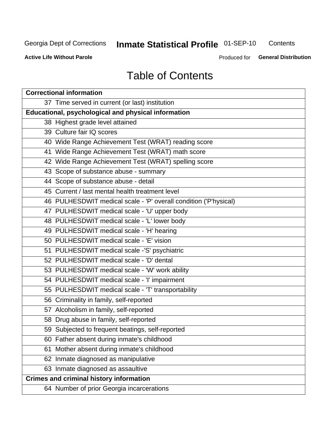## **Inmate Statistical Profile 01-SEP-10**

Contents

**Active Life Without Parole** 

Produced for General Distribution

## **Table of Contents**

| <b>Correctional information</b>                                  |  |  |  |  |  |  |
|------------------------------------------------------------------|--|--|--|--|--|--|
| 37 Time served in current (or last) institution                  |  |  |  |  |  |  |
| Educational, psychological and physical information              |  |  |  |  |  |  |
| 38 Highest grade level attained                                  |  |  |  |  |  |  |
| 39 Culture fair IQ scores                                        |  |  |  |  |  |  |
| 40 Wide Range Achievement Test (WRAT) reading score              |  |  |  |  |  |  |
| 41 Wide Range Achievement Test (WRAT) math score                 |  |  |  |  |  |  |
| 42 Wide Range Achievement Test (WRAT) spelling score             |  |  |  |  |  |  |
| 43 Scope of substance abuse - summary                            |  |  |  |  |  |  |
| 44 Scope of substance abuse - detail                             |  |  |  |  |  |  |
| 45 Current / last mental health treatment level                  |  |  |  |  |  |  |
| 46 PULHESDWIT medical scale - 'P' overall condition ('P'hysical) |  |  |  |  |  |  |
| 47 PULHESDWIT medical scale - 'U' upper body                     |  |  |  |  |  |  |
| 48 PULHESDWIT medical scale - 'L' lower body                     |  |  |  |  |  |  |
| 49 PULHESDWIT medical scale - 'H' hearing                        |  |  |  |  |  |  |
| 50 PULHESDWIT medical scale - 'E' vision                         |  |  |  |  |  |  |
| 51 PULHESDWIT medical scale -'S' psychiatric                     |  |  |  |  |  |  |
| 52 PULHESDWIT medical scale - 'D' dental                         |  |  |  |  |  |  |
| 53 PULHESDWIT medical scale - 'W' work ability                   |  |  |  |  |  |  |
| 54 PULHESDWIT medical scale - 'I' impairment                     |  |  |  |  |  |  |
| 55 PULHESDWIT medical scale - 'T' transportability               |  |  |  |  |  |  |
| 56 Criminality in family, self-reported                          |  |  |  |  |  |  |
| 57 Alcoholism in family, self-reported                           |  |  |  |  |  |  |
| 58 Drug abuse in family, self-reported                           |  |  |  |  |  |  |
| 59 Subjected to frequent beatings, self-reported                 |  |  |  |  |  |  |
| 60 Father absent during inmate's childhood                       |  |  |  |  |  |  |
| Mother absent during inmate's childhood<br>61                    |  |  |  |  |  |  |
| 62 Inmate diagnosed as manipulative                              |  |  |  |  |  |  |
| 63 Inmate diagnosed as assaultive                                |  |  |  |  |  |  |
| <b>Crimes and criminal history information</b>                   |  |  |  |  |  |  |
| 64 Number of prior Georgia incarcerations                        |  |  |  |  |  |  |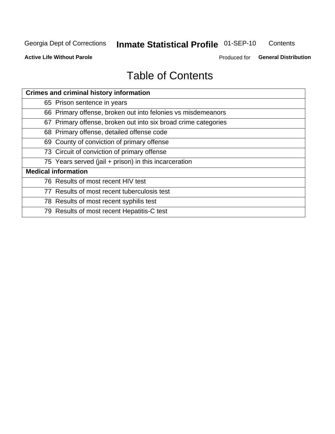## **Inmate Statistical Profile 01-SEP-10**

Contents

**Active Life Without Parole** 

Produced for General Distribution

## **Table of Contents**

| <b>Crimes and criminal history information</b>                 |
|----------------------------------------------------------------|
| 65 Prison sentence in years                                    |
| 66 Primary offense, broken out into felonies vs misdemeanors   |
| 67 Primary offense, broken out into six broad crime categories |
| 68 Primary offense, detailed offense code                      |
| 69 County of conviction of primary offense                     |
| 73 Circuit of conviction of primary offense                    |
| 75 Years served (jail + prison) in this incarceration          |
| <b>Medical information</b>                                     |
| 76 Results of most recent HIV test                             |
| 77 Results of most recent tuberculosis test                    |
| 78 Results of most recent syphilis test                        |
| 79 Results of most recent Hepatitis-C test                     |
|                                                                |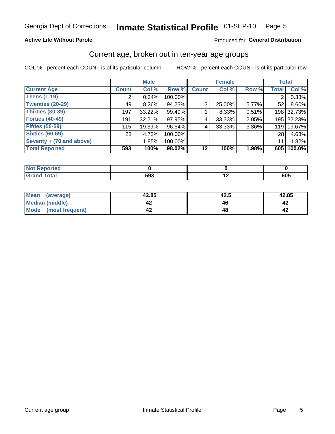#### Inmate Statistical Profile 01-SEP-10 Page 5

#### **Active Life Without Parole**

#### Produced for General Distribution

#### Current age, broken out in ten-year age groups

COL % - percent each COUNT is of its particular column

|                          |              | <b>Male</b> |         |                | <b>Female</b> |       | <b>Total</b>   |            |
|--------------------------|--------------|-------------|---------|----------------|---------------|-------|----------------|------------|
| <b>Current Age</b>       | <b>Count</b> | Col %       | Row %   | <b>Count</b>   | Col %         | Row % | <b>Total</b>   | Col %      |
| <b>Teens (1-19)</b>      | 2            | $0.34\%$    | 100.00% |                |               |       | $\overline{2}$ | 0.33%      |
| <b>Twenties (20-29)</b>  | 49           | $8.26\%$    | 94.23%  | 3 <sub>1</sub> | 25.00%        | 5.77% | 52             | 8.60%      |
| Thirties (30-39)         | 197          | $33.22\%$   | 99.49%  |                | 8.33%         | 0.51% |                | 198 32.73% |
| <b>Forties (40-49)</b>   | 191          | $32.21\%$   | 97.95%  | 4              | 33.33%        | 2.05% |                | 195 32.23% |
| <b>Fifties (50-59)</b>   | 115          | 19.39%      | 96.64%  | 4              | 33.33%        | 3.36% | 119            | 19.67%     |
| <b>Sixties (60-69)</b>   | 28           | 4.72%       | 100.00% |                |               |       | 28             | 4.63%      |
| Seventy + (70 and above) | 11           | 1.85%       | 100.00% |                |               |       | 11             | 1.82%      |
| <b>Total Reported</b>    | 593          | 100%        | 98.02%  | 12             | 100%          | 1.98% | 605            | 100.0%     |

| _____ | E00<br>უყკ | $\overline{\phantom{a}}$ | 605 |
|-------|------------|--------------------------|-----|

| Mean<br>(average)       | 42.85 | 42.5 | 42.85 |
|-------------------------|-------|------|-------|
| Median (middle)         |       |      |       |
| Mode<br>(most frequent) |       |      |       |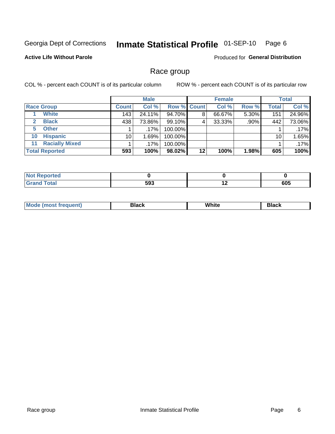#### Inmate Statistical Profile 01-SEP-10 Page 6

#### **Active Life Without Parole**

Produced for General Distribution

#### Race group

COL % - percent each COUNT is of its particular column

|                             |              | <b>Male</b> |             |         | <b>Female</b> |       |              | <b>Total</b> |
|-----------------------------|--------------|-------------|-------------|---------|---------------|-------|--------------|--------------|
| <b>Race Group</b>           | <b>Count</b> | Col %       | Row % Count |         | Col %         | Row % | <b>Total</b> | Col %        |
| <b>White</b>                | 143          | 24.11%      | 94.70%      | 8       | 66.67%        | 5.30% | 151          | 24.96%       |
| <b>Black</b>                | 438          | 73.86%      | 99.10%      | 4       | 33.33%        | .90%  | 442          | 73.06%       |
| <b>Other</b><br>5.          |              | $.17\%$     | 100.00%     |         |               |       |              | .17%         |
| <b>Hispanic</b><br>10       | 10           | 1.69%       | 100.00%     |         |               |       | 10           | 1.65%        |
| <b>Racially Mixed</b><br>11 |              | $.17\%$     | 100.00%     |         |               |       |              | .17%         |
| <b>Total Reported</b>       | 593          | 100%        | 98.02%      | $12 \,$ | 100%          | 1.98% | 605          | 100%         |

| لمنتشر بالتعبير<br>пето |              |                          |     |
|-------------------------|--------------|--------------------------|-----|
| <b>Fotal</b>            | 593<br>- - - | $\overline{\phantom{a}}$ | 605 |

| M | .<br>vv | Piasn |
|---|---------|-------|
|   |         |       |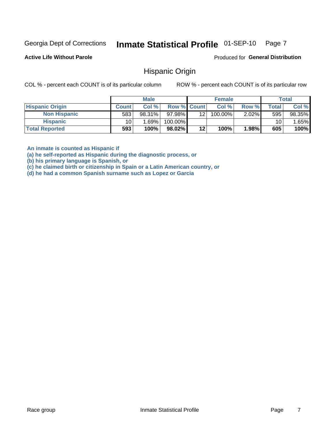#### Inmate Statistical Profile 01-SEP-10 Page 7

**Active Life Without Parole** 

Produced for General Distribution

#### **Hispanic Origin**

COL % - percent each COUNT is of its particular column

ROW % - percent each COUNT is of its particular row

|                        |                 | <b>Male</b> |                    |                 | <b>Female</b> |          |       | <b>Total</b> |
|------------------------|-----------------|-------------|--------------------|-----------------|---------------|----------|-------|--------------|
| <b>Hispanic Origin</b> | <b>Count</b>    | Col %       | <b>Row % Count</b> |                 | Col %         | Row %    | Total | Col %        |
| <b>Non Hispanic</b>    | 583             | 98.31%      | 97.98%             | 12 <sub>1</sub> | $100.00\%$    | $2.02\%$ | 595   | 98.35%       |
| <b>Hispanic</b>        | 10 <sub>1</sub> | 1.69%       | 100.00%            |                 |               |          | 10    | .65%         |
| <b>Total Reported</b>  | 593             | 100%        | 98.02%             | 12              | 100%          | 1.98%    | 605   | 100%         |

An inmate is counted as Hispanic if

(a) he self-reported as Hispanic during the diagnostic process, or

(b) his primary language is Spanish, or

(c) he claimed birth or citizenship in Spain or a Latin American country, or

(d) he had a common Spanish surname such as Lopez or Garcia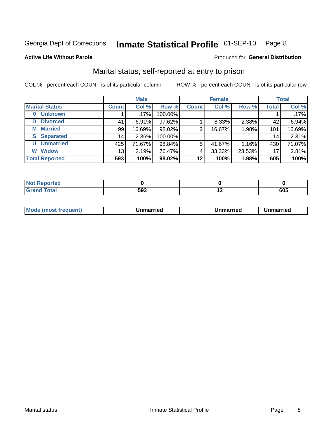#### Inmate Statistical Profile 01-SEP-10 Page 8

#### **Active Life Without Parole**

#### Produced for General Distribution

### Marital status, self-reported at entry to prison

COL % - percent each COUNT is of its particular column

|                            | <b>Male</b>     |          |         | <b>Female</b> |        |        | <b>Total</b> |        |
|----------------------------|-----------------|----------|---------|---------------|--------|--------|--------------|--------|
| <b>Marital Status</b>      | <b>Count</b>    | Col %    | Row %   | <b>Count</b>  | Col %  | Row %  | <b>Total</b> | Col %  |
| <b>Unknown</b><br>$\bf{0}$ |                 | $.17\%$  | 100.00% |               |        |        |              | .17%   |
| <b>Divorced</b><br>D       | 41              | $6.91\%$ | 97.62%  |               | 8.33%  | 2.38%  | 42           | 6.94%  |
| <b>Married</b><br>М        | 99              | 16.69%   | 98.02%  | 2             | 16.67% | 1.98%  | 101          | 16.69% |
| <b>Separated</b><br>S      | 14 <sub>1</sub> | 2.36%    | 100.00% |               |        |        | 14           | 2.31%  |
| <b>Unmarried</b><br>U      | 425             | 71.67%   | 98.84%  | 5             | 41.67% | 1.16%  | 430          | 71.07% |
| <b>Widow</b><br>W          | 13              | 2.19%    | 76.47%  | 4             | 33.33% | 23.53% | 17           | 2.81%  |
| <b>Total Reported</b>      | 593             | 100%     | 98.02%  | 12            | 100%   | 1.98%  | 605          | 100%   |

| rtea<br>NO |     |   |             |
|------------|-----|---|-------------|
| υιαι       | 593 | . | rne<br>່ານພ |

|  | M | . | Unmarried | າmarried<br>______ |
|--|---|---|-----------|--------------------|
|--|---|---|-----------|--------------------|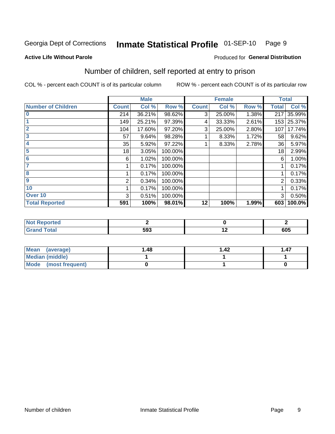#### Inmate Statistical Profile 01-SEP-10 Page 9

#### **Active Life Without Parole**

## Produced for General Distribution

### Number of children, self reported at entry to prison

COL % - percent each COUNT is of its particular column

|                           |              | <b>Male</b> |         |              | <b>Female</b> |       |              | <b>Total</b> |
|---------------------------|--------------|-------------|---------|--------------|---------------|-------|--------------|--------------|
| <b>Number of Children</b> | <b>Count</b> | Col %       | Row %   | <b>Count</b> | Col %         | Row % | <b>Total</b> | Col %        |
| $\bf{0}$                  | 214          | 36.21%      | 98.62%  | 3            | 25.00%        | 1.38% | 217          | 35.99%       |
|                           | 149          | 25.21%      | 97.39%  | 4            | 33.33%        | 2.61% |              | 153 25.37%   |
| $\overline{2}$            | 104          | 17.60%      | 97.20%  | 3            | 25.00%        | 2.80% | 107          | 17.74%       |
| 3                         | 57           | 9.64%       | 98.28%  |              | 8.33%         | 1.72% | 58           | 9.62%        |
| 4                         | 35           | 5.92%       | 97.22%  |              | 8.33%         | 2.78% | 36           | 5.97%        |
| 5                         | 18           | 3.05%       | 100.00% |              |               |       | 18           | 2.99%        |
| 6                         | 6            | 1.02%       | 100.00% |              |               |       | 6            | 1.00%        |
| 7                         |              | 0.17%       | 100.00% |              |               |       |              | 0.17%        |
| 8                         |              | 0.17%       | 100.00% |              |               |       |              | 0.17%        |
| $\boldsymbol{9}$          | 2            | 0.34%       | 100.00% |              |               |       | 2            | 0.33%        |
| 10                        |              | 0.17%       | 100.00% |              |               |       |              | 0.17%        |
| Over 10                   | 3            | 0.51%       | 100.00% |              |               |       | 3            | 0.50%        |
| <b>Total Reported</b>     | 591          | 100%        | 98.01%  | 12           | 100%          | 1.99% | 603          | 100.0%       |

| .<br>rtea         |     |     |
|-------------------|-----|-----|
| $T \cap f \cap f$ | 593 | 605 |

| <b>Mean</b><br>(average) | 1.48 | 42. ا | 1.47 |
|--------------------------|------|-------|------|
| Median (middle)          |      |       |      |
| Mode (most frequent)     |      |       |      |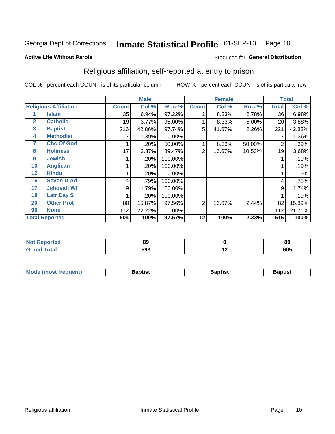#### Inmate Statistical Profile 01-SEP-10 Page 10

#### **Active Life Without Parole**

#### Produced for General Distribution

### Religious affiliation, self-reported at entry to prison

COL % - percent each COUNT is of its particular column

|              |                              | <b>Male</b>  |        |         | <b>Female</b>  |        |        | <b>Total</b> |        |
|--------------|------------------------------|--------------|--------|---------|----------------|--------|--------|--------------|--------|
|              | <b>Religious Affiliation</b> | <b>Count</b> | Col %  | Row %   | <b>Count</b>   | Col %  | Row %  | Total        | Col %  |
|              | Islam                        | 35           | 6.94%  | 97.22%  |                | 8.33%  | 2.78%  | 36           | 6.98%  |
| $\mathbf{2}$ | <b>Catholic</b>              | 19           | 3.77%  | 95.00%  |                | 8.33%  | 5.00%  | 20           | 3.88%  |
| 3            | <b>Baptist</b>               | 216          | 42.86% | 97.74%  | 5              | 41.67% | 2.26%  | 221          | 42.83% |
| 4            | <b>Methodist</b>             |              | 1.39%  | 100.00% |                |        |        |              | 1.36%  |
| 7            | <b>Chc Of God</b>            |              | .20%   | 50.00%  |                | 8.33%  | 50.00% | 2            | .39%   |
| 8            | <b>Holiness</b>              | 17           | 3.37%  | 89.47%  | $\overline{2}$ | 16.67% | 10.53% | 19           | 3.68%  |
| 9            | <b>Jewish</b>                |              | .20%   | 100.00% |                |        |        |              | .19%   |
| 10           | <b>Anglican</b>              |              | .20%   | 100.00% |                |        |        |              | .19%   |
| 12           | <b>Hindu</b>                 |              | .20%   | 100.00% |                |        |        |              | .19%   |
| 16           | <b>Seven D Ad</b>            | 4            | .79%   | 100.00% |                |        |        | 4            | .78%   |
| 17           | <b>Jehovah Wt</b>            | 9            | 1.79%  | 100.00% |                |        |        | 9            | 1.74%  |
| 18           | <b>Latr Day S</b>            |              | .20%   | 100.00% |                |        |        |              | .19%   |
| 20           | <b>Other Prot</b>            | 80           | 15.87% | 97.56%  | 2              | 16.67% | 2.44%  | 82           | 15.89% |
| 96           | <b>None</b>                  | 112          | 22.22% | 100.00% |                |        |        | 112          | 21.71% |
|              | <b>Total Reported</b>        | 504          | 100%   | 97.67%  | 12             | 100%   | 2.33%  | 516          | 100%   |

| rtea  | n n                    |                          | or        |
|-------|------------------------|--------------------------|-----------|
| .     | oσ                     |                          | ০১        |
| _____ | EO <sub>2</sub><br>ມສວ | $\overline{\phantom{a}}$ | בחב<br>טע |

| Mode (most frequent) | Baptist | <b>Baptist</b> | aptıst |
|----------------------|---------|----------------|--------|
|                      |         |                |        |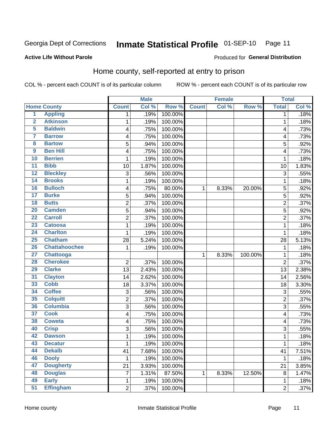#### Inmate Statistical Profile 01-SEP-10 Page 11

Produced for General Distribution

#### **Active Life Without Parole**

#### Home county, self-reported at entry to prison

COL % - percent each COUNT is of its particular column

|                         |                      |                | <b>Male</b> |         |              | <b>Female</b> |         | <b>Total</b>   |       |
|-------------------------|----------------------|----------------|-------------|---------|--------------|---------------|---------|----------------|-------|
|                         | <b>Home County</b>   | <b>Count</b>   | Col %       | Row %   | <b>Count</b> | Col %         | Row %   | <b>Total</b>   | Col % |
| $\overline{1}$          | <b>Appling</b>       | 1              | .19%        | 100.00% |              |               |         | 1              | .18%  |
| $\overline{2}$          | <b>Atkinson</b>      | 1              | .19%        | 100.00% |              |               |         | 1              | .18%  |
| 5                       | <b>Baldwin</b>       | 4              | .75%        | 100.00% |              |               |         | 4              | .73%  |
| 7                       | <b>Barrow</b>        | 4              | .75%        | 100.00% |              |               |         | 4              | .73%  |
| $\overline{\mathbf{8}}$ | <b>Bartow</b>        | 5              | .94%        | 100.00% |              |               |         | 5              | .92%  |
| 9                       | <b>Ben Hill</b>      | 4              | .75%        | 100.00% |              |               |         | 4              | .73%  |
| 10                      | <b>Berrien</b>       | 1              | .19%        | 100.00% |              |               |         | 1              | .18%  |
| 11                      | <b>Bibb</b>          | 10             | 1.87%       | 100.00% |              |               |         | 10             | 1.83% |
| $\overline{12}$         | <b>Bleckley</b>      | 3              | .56%        | 100.00% |              |               |         | 3              | .55%  |
| 14                      | <b>Brooks</b>        | 1              | .19%        | 100.00% |              |               |         | 1              | .18%  |
| 16                      | <b>Bulloch</b>       | 4              | .75%        | 80.00%  | 1            | 8.33%         | 20.00%  | 5              | .92%  |
| 17                      | <b>Burke</b>         | 5              | .94%        | 100.00% |              |               |         | 5              | .92%  |
| $\overline{18}$         | <b>Butts</b>         | $\overline{2}$ | .37%        | 100.00% |              |               |         | $\overline{2}$ | .37%  |
| 20                      | <b>Camden</b>        | 5              | .94%        | 100.00% |              |               |         | 5              | .92%  |
| $\overline{22}$         | <b>Carroll</b>       | $\overline{2}$ | .37%        | 100.00% |              |               |         | $\overline{2}$ | .37%  |
| 23                      | <b>Catoosa</b>       | 1              | .19%        | 100.00% |              |               |         | 1              | .18%  |
| $\overline{24}$         | <b>Charlton</b>      | 1              | .19%        | 100.00% |              |               |         | 1              | .18%  |
| 25                      | <b>Chatham</b>       | 28             | 5.24%       | 100.00% |              |               |         | 28             | 5.13% |
| 26                      | <b>Chattahoochee</b> | 1              | .19%        | 100.00% |              |               |         | 1              | .18%  |
| $\overline{27}$         | <b>Chattooga</b>     |                |             |         | 1            | 8.33%         | 100.00% | 1              | .18%  |
| 28                      | <b>Cherokee</b>      | $\overline{2}$ | .37%        | 100.00% |              |               |         | $\overline{2}$ | .37%  |
| 29                      | <b>Clarke</b>        | 13             | 2.43%       | 100.00% |              |               |         | 13             | 2.38% |
| $\overline{31}$         | <b>Clayton</b>       | 14             | 2.62%       | 100.00% |              |               |         | 14             | 2.56% |
| 33                      | <b>Cobb</b>          | 18             | 3.37%       | 100.00% |              |               |         | 18             | 3.30% |
| 34                      | <b>Coffee</b>        | 3              | .56%        | 100.00% |              |               |         | 3              | .55%  |
| 35                      | <b>Colquitt</b>      | 2              | .37%        | 100.00% |              |               |         | $\overline{2}$ | .37%  |
| 36                      | <b>Columbia</b>      | $\overline{3}$ | .56%        | 100.00% |              |               |         | 3              | .55%  |
| 37                      | <b>Cook</b>          | 4              | .75%        | 100.00% |              |               |         | 4              | .73%  |
| 38                      | <b>Coweta</b>        | 4              | .75%        | 100.00% |              |               |         | 4              | .73%  |
| 40                      | <b>Crisp</b>         | 3              | .56%        | 100.00% |              |               |         | 3              | .55%  |
| 42                      | <b>Dawson</b>        | 1              | .19%        | 100.00% |              |               |         | 1              | .18%  |
| 43                      | <b>Decatur</b>       | 1              | .19%        | 100.00% |              |               |         | 1              | .18%  |
| 44                      | <b>Dekalb</b>        | 41             | 7.68%       | 100.00% |              |               |         | 41             | 7.51% |
| 46                      | <b>Dooly</b>         | 1              | .19%        | 100.00% |              |               |         | 1              | .18%  |
| 47                      | <b>Dougherty</b>     | 21             | 3.93%       | 100.00% |              |               |         | 21             | 3.85% |
| 48                      | <b>Douglas</b>       | 7              | 1.31%       | 87.50%  | 1            | 8.33%         | 12.50%  | 8              | 1.47% |
| 49                      | <b>Early</b>         | 1              | .19%        | 100.00% |              |               |         | 1              | .18%  |
| 51                      | <b>Effingham</b>     | $\overline{2}$ | .37%        | 100.00% |              |               |         | $\overline{c}$ | .37%  |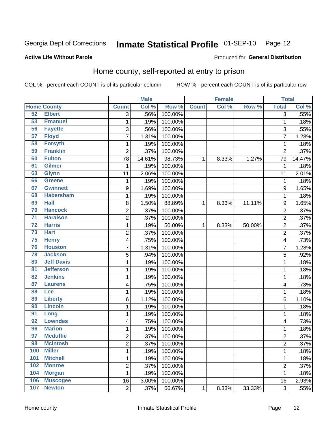#### Inmate Statistical Profile 01-SEP-10 Page 12

#### **Active Life Without Parole**

#### Produced for General Distribution

### Home county, self-reported at entry to prison

COL % - percent each COUNT is of its particular column

|                 |                    |                         | <b>Male</b> |         |              | <b>Female</b> |        | <b>Total</b>   |         |
|-----------------|--------------------|-------------------------|-------------|---------|--------------|---------------|--------|----------------|---------|
|                 | <b>Home County</b> | <b>Count</b>            | Col %       | Row %   | <b>Count</b> | Col %         | Row %  | <b>Total</b>   | Col %   |
| 52              | <b>Elbert</b>      | $\overline{3}$          | .56%        | 100.00% |              |               |        | 3              | .55%    |
| $\overline{53}$ | <b>Emanuel</b>     | $\mathbf{1}$            | .19%        | 100.00% |              |               |        | 1              | .18%    |
| 56              | <b>Fayette</b>     | 3                       | .56%        | 100.00% |              |               |        | 3              | .55%    |
| 57              | <b>Floyd</b>       | $\overline{7}$          | 1.31%       | 100.00% |              |               |        | 7              | 1.28%   |
| 58              | <b>Forsyth</b>     | $\mathbf{1}$            | .19%        | 100.00% |              |               |        | 1              | .18%    |
| 59              | <b>Franklin</b>    | $\overline{2}$          | .37%        | 100.00% |              |               |        | $\overline{2}$ | .37%    |
| 60              | <b>Fulton</b>      | 78                      | 14.61%      | 98.73%  | 1            | 8.33%         | 1.27%  | 79             | 14.47%  |
| 61              | <b>Gilmer</b>      | 1                       | .19%        | 100.00% |              |               |        | 1              | .18%    |
| 63              | <b>Glynn</b>       | 11                      | 2.06%       | 100.00% |              |               |        | 11             | 2.01%   |
| 66              | <b>Greene</b>      | $\mathbf{1}$            | .19%        | 100.00% |              |               |        | 1              | .18%    |
| 67              | <b>Gwinnett</b>    | $\boldsymbol{9}$        | 1.69%       | 100.00% |              |               |        | 9              | 1.65%   |
| 68              | <b>Habersham</b>   | $\mathbf{1}$            | .19%        | 100.00% |              |               |        | 1              | .18%    |
| 69              | <b>Hall</b>        | 8                       | 1.50%       | 88.89%  | 1            | 8.33%         | 11.11% | 9              | 1.65%   |
| 70              | <b>Hancock</b>     | $\overline{2}$          | .37%        | 100.00% |              |               |        | $\overline{2}$ | .37%    |
| $\overline{71}$ | <b>Haralson</b>    | $\overline{c}$          | .37%        | 100.00% |              |               |        | $\overline{c}$ | .37%    |
| $\overline{72}$ | <b>Harris</b>      | $\mathbf{1}$            | .19%        | 50.00%  | 1            | 8.33%         | 50.00% | $\overline{2}$ | .37%    |
| 73              | <b>Hart</b>        | 2                       | .37%        | 100.00% |              |               |        | 2              | .37%    |
| 75              | <b>Henry</b>       | $\overline{\mathbf{4}}$ | .75%        | 100.00% |              |               |        | 4              | .73%    |
| 76              | <b>Houston</b>     | 7                       | 1.31%       | 100.00% |              |               |        | 7              | 1.28%   |
| 78              | <b>Jackson</b>     | 5                       | .94%        | 100.00% |              |               |        | 5              | .92%    |
| 80              | <b>Jeff Davis</b>  | $\mathbf{1}$            | .19%        | 100.00% |              |               |        | 1              | .18%    |
| $\overline{81}$ | <b>Jefferson</b>   | $\mathbf{1}$            | .19%        | 100.00% |              |               |        | 1              | .18%    |
| 82              | <b>Jenkins</b>     | $\mathbf{1}$            | .19%        | 100.00% |              |               |        | 1              | .18%    |
| 87              | <b>Laurens</b>     | 4                       | .75%        | 100.00% |              |               |        | 4              | .73%    |
| 88              | Lee                | $\mathbf{1}$            | .19%        | 100.00% |              |               |        | 1              | .18%    |
| 89              | <b>Liberty</b>     | 6                       | 1.12%       | 100.00% |              |               |        | 6              | 1.10%   |
| 90              | <b>Lincoln</b>     | 1                       | .19%        | 100.00% |              |               |        | 1              | .18%    |
| 91              | Long               | $\mathbf{1}$            | .19%        | 100.00% |              |               |        | 1              | .18%    |
| 92              | <b>Lowndes</b>     | $\overline{\mathbf{4}}$ | .75%        | 100.00% |              |               |        | 4              | .73%    |
| 96              | <b>Marion</b>      | $\mathbf{1}$            | .19%        | 100.00% |              |               |        | 1              | .18%    |
| 97              | <b>Mcduffie</b>    | $\overline{2}$          | .37%        | 100.00% |              |               |        | $\overline{2}$ | .37%    |
| 98              | <b>Mcintosh</b>    | 2                       | .37%        | 100.00% |              |               |        | 2              | $.37\%$ |
| 100             | <b>Miller</b>      | $\mathbf 1$             | .19%        | 100.00% |              |               |        | 1              | .18%    |
| 101             | <b>Mitchell</b>    | $\mathbf 1$             | .19%        | 100.00% |              |               |        | 1              | .18%    |
| 102             | <b>Monroe</b>      | $\overline{2}$          | .37%        | 100.00% |              |               |        | 2              | .37%    |
| 104             | <b>Morgan</b>      | $\mathbf 1$             | .19%        | 100.00% |              |               |        | 1              | .18%    |
| 106             | <b>Muscogee</b>    | 16                      | 3.00%       | 100.00% |              |               |        | 16             | 2.93%   |
| 107             | <b>Newton</b>      | $\overline{2}$          | .37%        | 66.67%  | $\mathbf 1$  | 8.33%         | 33.33% | 3              | .55%    |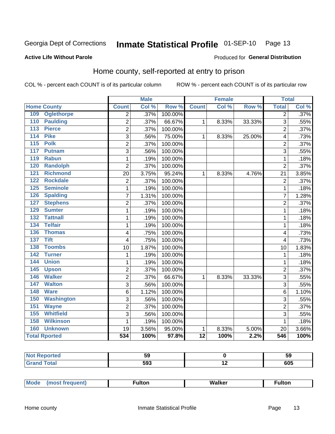#### Inmate Statistical Profile 01-SEP-10 Page 13

#### **Active Life Without Parole**

#### Produced for General Distribution

### Home county, self-reported at entry to prison

COL % - percent each COUNT is of its particular column

|                      |                   |                         | <b>Male</b> |         |                 | <b>Female</b> |        |                | <b>Total</b><br>$\overline{2}$ |  |
|----------------------|-------------------|-------------------------|-------------|---------|-----------------|---------------|--------|----------------|--------------------------------|--|
| <b>Home County</b>   |                   | <b>Count</b>            | Col %       | Row %   | <b>Count</b>    | Col %         | Row %  | <b>Total</b>   | Col %                          |  |
| 109                  | <b>Oglethorpe</b> | $\overline{2}$          | .37%        | 100.00% |                 |               |        |                | .37%                           |  |
| 110                  | <b>Paulding</b>   | 2                       | .37%        | 66.67%  | 1               | 8.33%         | 33.33% | 3              | .55%                           |  |
| 113                  | <b>Pierce</b>     | $\overline{2}$          | .37%        | 100.00% |                 |               |        | $\overline{2}$ | .37%                           |  |
| <b>Pike</b><br>114   |                   | 3                       | .56%        | 75.00%  | 1               | 8.33%         | 25.00% | 4              | .73%                           |  |
| 115<br><b>Polk</b>   |                   | $\overline{2}$          | .37%        | 100.00% |                 |               |        | $\overline{2}$ | .37%                           |  |
| 117                  | <b>Putnam</b>     | 3                       | .56%        | 100.00% |                 |               |        | 3              | .55%                           |  |
| 119                  | <b>Rabun</b>      | 1                       | .19%        | 100.00% |                 |               |        | 1              | .18%                           |  |
| 120                  | <b>Randolph</b>   | 2                       | .37%        | 100.00% |                 |               |        | $\overline{2}$ | .37%                           |  |
| 121                  | <b>Richmond</b>   | 20                      | 3.75%       | 95.24%  | 1               | 8.33%         | 4.76%  | 21             | 3.85%                          |  |
| 122                  | <b>Rockdale</b>   | 2                       | .37%        | 100.00% |                 |               |        | $\overline{2}$ | .37%                           |  |
| 125                  | <b>Seminole</b>   | 1                       | .19%        | 100.00% |                 |               |        | 1              | .18%                           |  |
| 126                  | <b>Spalding</b>   | 7                       | 1.31%       | 100.00% |                 |               |        | 7              | 1.28%                          |  |
| 127                  | <b>Stephens</b>   | $\overline{2}$          | .37%        | 100.00% |                 |               |        | $\overline{2}$ | .37%                           |  |
| 129                  | <b>Sumter</b>     | 1                       | .19%        | 100.00% |                 |               |        | 1              | .18%                           |  |
| 132                  | <b>Tattnall</b>   | 1                       | .19%        | 100.00% |                 |               |        | 1              | .18%                           |  |
| 134                  | <b>Telfair</b>    | 1                       | .19%        | 100.00% |                 |               |        | 1              | .18%                           |  |
| 136                  | <b>Thomas</b>     | 4                       | .75%        | 100.00% |                 |               |        | 4              | .73%                           |  |
| <b>Tift</b><br>137   |                   | 4                       | .75%        | 100.00% |                 |               |        | $\overline{4}$ | .73%                           |  |
| 138                  | <b>Toombs</b>     | 10                      | 1.87%       | 100.00% |                 |               |        | 10             | 1.83%                          |  |
| 142                  | <b>Turner</b>     | $\mathbf 1$             | .19%        | 100.00% |                 |               |        | 1              | .18%                           |  |
| 144                  | <b>Union</b>      | 1                       | .19%        | 100.00% |                 |               |        | 1              | .18%                           |  |
| 145                  | <b>Upson</b>      | 2                       | .37%        | 100.00% |                 |               |        | $\overline{2}$ | .37%                           |  |
| 146                  | <b>Walker</b>     | 2                       | .37%        | 66.67%  | 1               | 8.33%         | 33.33% | 3              | .55%                           |  |
| 147                  | <b>Walton</b>     | 3                       | .56%        | 100.00% |                 |               |        | 3              | .55%                           |  |
| 148<br><b>Ware</b>   |                   | 6                       | 1.12%       | 100.00% |                 |               |        | 6              | 1.10%                          |  |
| 150                  | <b>Washington</b> | 3                       | .56%        | 100.00% |                 |               |        | 3              | .55%                           |  |
| 151                  | <b>Wayne</b>      | $\overline{\mathbf{c}}$ | .37%        | 100.00% |                 |               |        | $\overline{2}$ | .37%                           |  |
| 155                  | <b>Whitfield</b>  | 3                       | .56%        | 100.00% |                 |               |        | 3              | .55%                           |  |
| 158                  | <b>Wilkinson</b>  | 1                       | .19%        | 100.00% |                 |               |        | 1              | .18%                           |  |
| 160                  | <b>Unknown</b>    | 19                      | 3.56%       | 95.00%  | $\mathbf 1$     | 8.33%         | 5.00%  | 20             | 3.66%                          |  |
| <b>Total Rported</b> |                   | 534                     | 100%        | 97.8%   | $\overline{12}$ | 100%          | 2.2%   | 546            | 100%                           |  |

| <b>Reported</b> |                  |                          | ວະ  |
|-----------------|------------------|--------------------------|-----|
| otal            | ra0<br>יי<br>ノンご | $\overline{\phantom{a}}$ | 605 |

| <b>Mode</b> | ∙ultor | <b>Walker</b> | ultor |  |
|-------------|--------|---------------|-------|--|
| $\cdots$    |        |               |       |  |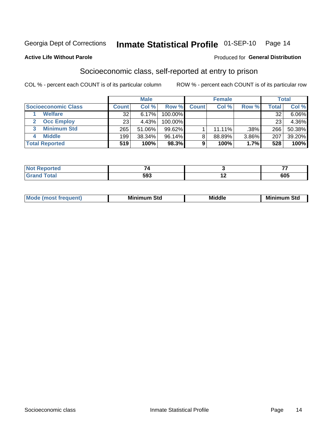## Inmate Statistical Profile 01-SEP-10 Page 14

#### **Active Life Without Parole**

#### Produced for General Distribution

### Socioeconomic class, self-reported at entry to prison

COL % - percent each COUNT is of its particular column

|                       |              | <b>Male</b> |            |              | <b>Female</b> |       |              | <b>Total</b> |
|-----------------------|--------------|-------------|------------|--------------|---------------|-------|--------------|--------------|
| Socioeconomic Class   | <b>Count</b> | Col %       | Row %      | <b>Count</b> | Col %         | Row % | <b>Total</b> | Col %        |
| <b>Welfare</b>        | 32           | 6.17%       | 100.00%    |              |               |       | 32           | 6.06%        |
| <b>Occ Employ</b>     | 23           | 4.43%       | $100.00\%$ |              |               |       | 23           | 4.36%        |
| <b>Minimum Std</b>    | 265          | 51.06%      | $99.62\%$  |              | $11.11\%$     | .38%  | 266          | 50.38%       |
| <b>Middle</b>         | 199          | 38.34%      | 96.14%     | 8            | 88.89%        | 3.86% | 207          | 39.20%       |
| <b>Total Reported</b> | 519          | 100%        | 98.3%      |              | 100%          | 1.7%  | 528          | 100%         |

|       |     | --         |
|-------|-----|------------|
| _____ | 593 | COE<br>งบว |

|  | Mo | Minin<br>Std<br>$- - - -$ | <b>Middle</b> | Min<br>Std<br>. |
|--|----|---------------------------|---------------|-----------------|
|--|----|---------------------------|---------------|-----------------|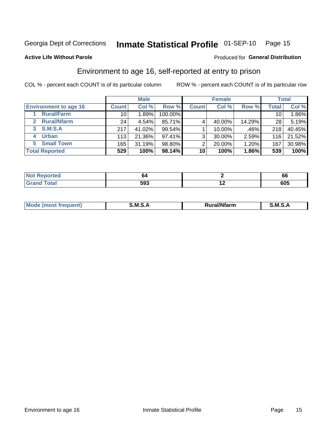## Inmate Statistical Profile 01-SEP-10 Page 15

#### **Active Life Without Parole**

#### Produced for General Distribution

### Environment to age 16, self-reported at entry to prison

COL % - percent each COUNT is of its particular column

|                                      |                 | <b>Male</b> |           |                | <b>Female</b> |        |                 | <b>Total</b> |
|--------------------------------------|-----------------|-------------|-----------|----------------|---------------|--------|-----------------|--------------|
| <b>Environment to age 16</b>         | <b>Count</b>    | Col %       | Row %     | <b>Count</b>   | Col %         | Row %  | <b>Total</b>    | Col %        |
| <b>Rural/Farm</b>                    | 10              | 1.89%       | 100.00%   |                |               |        | 10 <sub>1</sub> | 1.86%        |
| <b>Rural/Nfarm</b><br>$\overline{2}$ | 24 <sub>1</sub> | 4.54%       | 85.71%    |                | 40.00%        | 14.29% | 28              | 5.19%        |
| 3 S.M.S.A                            | 217             | 41.02%      | $99.54\%$ |                | 10.00%        | .46%   | 218             | 40.45%       |
| <b>Urban</b><br>4                    | 113             | 21.36%      | $97.41\%$ | 3 <sub>1</sub> | 30.00%        | 2.59%  | 116             | 21.52%       |
| <b>Small Town</b><br>5               | 165             | 31.19%      | 98.80%    | 2              | 20.00%        | 1.20%  | 167             | 30.98%       |
| <b>Total Reported</b>                | 529             | 100%        | 98.14%    | 10             | 100%          | 1.86%  | 539             | 100%         |

| <b>Not Reported</b> | O4. | oa      |
|---------------------|-----|---------|
| <b>Total</b>        | 593 | <br>605 |

| Mo | M<br>______ | <b>17516</b><br><b>Ifarm</b><br>. | -<br>M<br>_____ |
|----|-------------|-----------------------------------|-----------------|
|    |             |                                   |                 |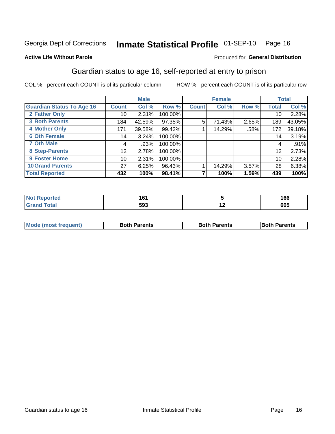## Inmate Statistical Profile 01-SEP-10 Page 16

#### **Active Life Without Parole**

#### Produced for General Distribution

### Guardian status to age 16, self-reported at entry to prison

COL % - percent each COUNT is of its particular column

|                                  |                 | <b>Male</b> |         |              | <b>Female</b> |       |              | <b>Total</b> |
|----------------------------------|-----------------|-------------|---------|--------------|---------------|-------|--------------|--------------|
| <b>Guardian Status To Age 16</b> | <b>Count</b>    | Col %       | Row %   | <b>Count</b> | Col %         | Row % | <b>Total</b> | Col %        |
| 2 Father Only                    | 10 <sup>1</sup> | 2.31%       | 100.00% |              |               |       | 10           | 2.28%        |
| <b>3 Both Parents</b>            | 184             | 42.59%      | 97.35%  | 5            | 71.43%        | 2.65% | 189          | 43.05%       |
| <b>4 Mother Only</b>             | 171             | 39.58%      | 99.42%  |              | 14.29%        | .58%  | 172          | 39.18%       |
| <b>6 Oth Female</b>              | 14 <sub>1</sub> | 3.24%       | 100.00% |              |               |       | 14           | 3.19%        |
| <b>7 Oth Male</b>                | 4               | .93%        | 100.00% |              |               |       | 4            | .91%         |
| 8 Step-Parents                   | 12              | 2.78%       | 100.00% |              |               |       | 12           | 2.73%        |
| 9 Foster Home                    | 10              | 2.31%       | 100.00% |              |               |       | 10           | 2.28%        |
| <b>10 Grand Parents</b>          | 27              | 6.25%       | 96.43%  |              | 14.29%        | 3.57% | 28           | 6.38%        |
| <b>Total Reported</b>            | 432             | 100%        | 98.41%  |              | 100%          | 1.59% | 439          | 100%         |

| Reported | $\sim$<br>161 |     | 166 |
|----------|---------------|-----|-----|
| Total    | 593           | . . | 605 |

| <b>Mode (most frequent)</b> | <b>Both Parents</b> | <b>Both Parents</b> | <b>Both Parents</b> |
|-----------------------------|---------------------|---------------------|---------------------|
|                             |                     |                     |                     |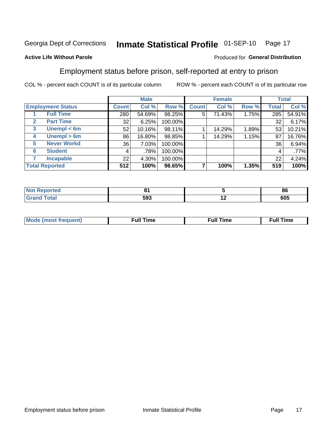#### Inmate Statistical Profile 01-SEP-10 Page 17

#### **Active Life Without Parole**

#### Produced for General Distribution

### Employment status before prison, self-reported at entry to prison

COL % - percent each COUNT is of its particular column

|                                  |         | <b>Male</b> |         |              | <b>Female</b> |       |                 | <b>Total</b> |
|----------------------------------|---------|-------------|---------|--------------|---------------|-------|-----------------|--------------|
| <b>Employment Status</b>         | Count l | Col %       | Row %   | <b>Count</b> | Col %         | Row % | Total           | Col %        |
| <b>Full Time</b>                 | 280     | 54.69%      | 98.25%  | 5            | 71.43%        | 1.75% | 285             | 54.91%       |
| <b>Part Time</b><br>$\mathbf{2}$ | 32      | 6.25%       | 100.00% |              |               |       | 32              | 6.17%        |
| Unempl $<$ 6m<br>$\mathbf{3}$    | 52      | 10.16%      | 98.11%  |              | 14.29%        | 1.89% | 53              | 10.21%       |
| Unempl > 6m<br>4                 | 86      | 16.80%      | 98.85%  |              | 14.29%        | 1.15% | 87              | 16.76%       |
| <b>Never Workd</b><br>5          | 36      | 7.03%       | 100.00% |              |               |       | 36 <sub>1</sub> | 6.94%        |
| <b>Student</b><br>6              | 4       | .78%        | 100.00% |              |               |       | 4               | .77%         |
| <b>Incapable</b>                 | 22      | 4.30%       | 100.00% |              |               |       | 22              | 4.24%        |
| <b>Total Reported</b>            | 512     | 100%        | 98.65%  |              | 100%          | 1.35% | 519             | 100%         |

| NO<br>тео. | $\sim$ |     | 86  |
|------------|--------|-----|-----|
|            | 593    | . . | 605 |

| M | the contract of the contract of the contract of the contract of the contract of the contract of the contract of | ---<br>mє<br> |
|---|-----------------------------------------------------------------------------------------------------------------|---------------|
|   |                                                                                                                 |               |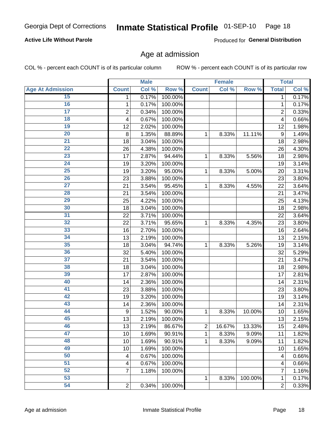## Inmate Statistical Profile 01-SEP-10 Page 18

#### **Active Life Without Parole**

Produced for General Distribution

#### Age at admission

COL % - percent each COUNT is of its particular column

|                         |                         | <b>Male</b> |         |                | <b>Female</b> |         |                | <b>Total</b> |
|-------------------------|-------------------------|-------------|---------|----------------|---------------|---------|----------------|--------------|
| <b>Age At Admission</b> | <b>Count</b>            | Col %       | Row %   | <b>Count</b>   | Col %         | Row %   | <b>Total</b>   | Col %        |
| 15                      | 1                       | 0.17%       | 100.00% |                |               |         | 1              | 0.17%        |
| 16                      | 1                       | 0.17%       | 100.00% |                |               |         | 1              | 0.17%        |
| $\overline{17}$         | $\overline{\mathbf{c}}$ | 0.34%       | 100.00% |                |               |         | $\overline{2}$ | 0.33%        |
| 18                      | 4                       | 0.67%       | 100.00% |                |               |         | 4              | 0.66%        |
| 19                      | 12                      | 2.02%       | 100.00% |                |               |         | 12             | 1.98%        |
| $\overline{20}$         | 8                       | 1.35%       | 88.89%  | 1              | 8.33%         | 11.11%  | 9              | 1.49%        |
| $\overline{21}$         | 18                      | 3.04%       | 100.00% |                |               |         | 18             | 2.98%        |
| 22                      | 26                      | 4.38%       | 100.00% |                |               |         | 26             | 4.30%        |
| 23                      | 17                      | 2.87%       | 94.44%  | 1              | 8.33%         | 5.56%   | 18             | 2.98%        |
| 24                      | 19                      | 3.20%       | 100.00% |                |               |         | 19             | 3.14%        |
| $\overline{25}$         | 19                      | 3.20%       | 95.00%  | 1              | 8.33%         | 5.00%   | 20             | 3.31%        |
| 26                      | 23                      | 3.88%       | 100.00% |                |               |         | 23             | 3.80%        |
| $\overline{27}$         | 21                      | 3.54%       | 95.45%  | 1              | 8.33%         | 4.55%   | 22             | 3.64%        |
| 28                      | 21                      | 3.54%       | 100.00% |                |               |         | 21             | 3.47%        |
| 29                      | 25                      | 4.22%       | 100.00% |                |               |         | 25             | 4.13%        |
| 30                      | 18                      | 3.04%       | 100.00% |                |               |         | 18             | 2.98%        |
| $\overline{31}$         | 22                      | 3.71%       | 100.00% |                |               |         | 22             | 3.64%        |
| 32                      | 22                      | 3.71%       | 95.65%  | 1              | 8.33%         | 4.35%   | 23             | 3.80%        |
| 33                      | 16                      | 2.70%       | 100.00% |                |               |         | 16             | 2.64%        |
| 34                      | 13                      | 2.19%       | 100.00% |                |               |         | 13             | 2.15%        |
| 35                      | 18                      | 3.04%       | 94.74%  | 1              | 8.33%         | 5.26%   | 19             | 3.14%        |
| 36                      | 32                      | 5.40%       | 100.00% |                |               |         | 32             | 5.29%        |
| $\overline{37}$         | 21                      | 3.54%       | 100.00% |                |               |         | 21             | 3.47%        |
| 38                      | 18                      | 3.04%       | 100.00% |                |               |         | 18             | 2.98%        |
| 39                      | 17                      | 2.87%       | 100.00% |                |               |         | 17             | 2.81%        |
| 40                      | 14                      | 2.36%       | 100.00% |                |               |         | 14             | 2.31%        |
| 41                      | 23                      | 3.88%       | 100.00% |                |               |         | 23             | 3.80%        |
| 42                      | 19                      | 3.20%       | 100.00% |                |               |         | 19             | 3.14%        |
| 43                      | 14                      | 2.36%       | 100.00% |                |               |         | 14             | 2.31%        |
| 44                      | 9                       | 1.52%       | 90.00%  | 1              | 8.33%         | 10.00%  | 10             | 1.65%        |
| 45                      | 13                      | 2.19%       | 100.00% |                |               |         | 13             | 2.15%        |
| 46                      | 13                      | 2.19%       | 86.67%  | $\overline{c}$ | 16.67%        | 13.33%  | 15             | 2.48%        |
| 47                      | 10                      | 1.69%       | 90.91%  | 1              | 8.33%         | 9.09%   | 11             | 1.82%        |
| 48                      | 10                      | 1.69%       | 90.91%  | 1              | 8.33%         | 9.09%   | 11             | 1.82%        |
| 49                      | 10                      | 1.69%       | 100.00% |                |               |         | 10             | 1.65%        |
| 50                      | 4                       | 0.67%       | 100.00% |                |               |         | 4              | 0.66%        |
| $\overline{51}$         | 4                       | 0.67%       | 100.00% |                |               |         | 4              | 0.66%        |
| 52                      | 7                       | 1.18%       | 100.00% |                |               |         | 7              | 1.16%        |
| 53                      |                         |             |         | 1              | 8.33%         | 100.00% | 1              | 0.17%        |
| 54                      | $\sqrt{2}$              | 0.34%       | 100.00% |                |               |         | 2              | 0.33%        |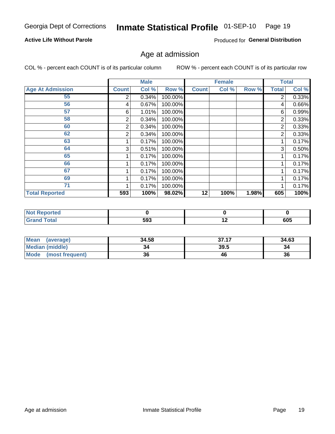## Inmate Statistical Profile 01-SEP-10 Page 19

#### **Active Life Without Parole**

Produced for General Distribution

#### Age at admission

COL % - percent each COUNT is of its particular column

|                         |                | <b>Male</b> |         |              | <b>Female</b> |       |                | <b>Total</b>        |
|-------------------------|----------------|-------------|---------|--------------|---------------|-------|----------------|---------------------|
| <b>Age At Admission</b> | <b>Count</b>   | Col %       | Row %   | <b>Count</b> | Col%          | Row % | <b>Total</b>   | Col %               |
| 55                      | $\overline{2}$ | 0.34%       | 100.00% |              |               |       | 2              | $\overline{0.33\%}$ |
| 56                      | 4              | 0.67%       | 100.00% |              |               |       | 4              | 0.66%               |
| 57                      | 6              | 1.01%       | 100.00% |              |               |       | 6              | 0.99%               |
| 58                      | 2              | 0.34%       | 100.00% |              |               |       | 2              | 0.33%               |
| 60                      | 2              | 0.34%       | 100.00% |              |               |       | 2              | 0.33%               |
| 62                      | 2              | 0.34%       | 100.00% |              |               |       | $\overline{2}$ | 0.33%               |
| 63                      |                | 0.17%       | 100.00% |              |               |       |                | 0.17%               |
| 64                      | 3              | 0.51%       | 100.00% |              |               |       | 3              | 0.50%               |
| 65                      |                | 0.17%       | 100.00% |              |               |       |                | 0.17%               |
| 66                      |                | 0.17%       | 100.00% |              |               |       |                | 0.17%               |
| 67                      |                | 0.17%       | 100.00% |              |               |       |                | 0.17%               |
| 69                      |                | 0.17%       | 100.00% |              |               |       |                | 0.17%               |
| 71                      |                | 0.17%       | 100.00% |              |               |       |                | 0.17%               |
| <b>Total Reported</b>   | 593            | 100%        | 98.02%  | 12           | 100%          | 1.98% | 605            | 100%                |

| <b>Reported</b><br>N          |     |     |     |
|-------------------------------|-----|-----|-----|
| <b>c</b> otal<br><b>Grand</b> | 593 | . . | 605 |

| <b>Mean</b><br>(average) | 34.58 | 37.17 | 34.63 |
|--------------------------|-------|-------|-------|
| <b>Median (middle)</b>   |       | 39.5  | 34    |
| Mode<br>(most frequent)  | 36    | 46    | 36    |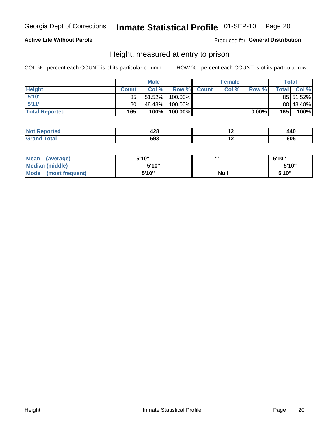#### Inmate Statistical Profile 01-SEP-10 Page 20

#### **Active Life Without Parole**

#### Produced for General Distribution

#### Height, measured at entry to prison

COL % - percent each COUNT is of its particular column

|                       |              | <b>Male</b> |          |              | <b>Female</b> |       |                | Total     |
|-----------------------|--------------|-------------|----------|--------------|---------------|-------|----------------|-----------|
| <b>Height</b>         | <b>Count</b> | Col %       | Row %    | <b>Count</b> | Col %         | Row % | <b>Total</b> I | Col %     |
| 5'10''                | 85           | 51.52%      | 100.00%  |              |               |       |                | 85 51.52% |
| 5'11''                | 80           | 48.48%      | 100.00%  |              |               |       |                | 80 48.48% |
| <b>Total Reported</b> | 165          | 100%        | 100.00%) |              |               | 0.00% | 165            | 100%      |

| <b>Not</b><br>rted           | 1 7 Q<br>440<br>$\sim$ | 440 |
|------------------------------|------------------------|-----|
| <b>Total</b><br><b>Grand</b> | 593                    | 605 |

| <b>Mean</b><br>(average)       | 5'10'' | ,,,         | 5'10" |
|--------------------------------|--------|-------------|-------|
| <b>Median (middle)</b>         | 5'10"  |             | 5'10" |
| <b>Mode</b><br>(most frequent) | 5'10"  | <b>Null</b> | 5'10" |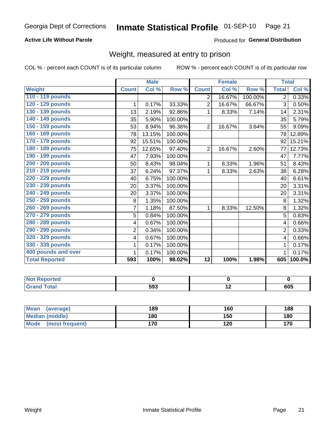#### Inmate Statistical Profile 01-SEP-10 Page 21

#### **Active Life Without Parole**

#### Produced for General Distribution

### Weight, measured at entry to prison

COL % - percent each COUNT is of its particular column

|                       |                | <b>Male</b> |         |                | <b>Female</b> |         | <b>Total</b>   |        |
|-----------------------|----------------|-------------|---------|----------------|---------------|---------|----------------|--------|
| <b>Weight</b>         | <b>Count</b>   | Col %       | Row %   | <b>Count</b>   | Col %         | Row %   | <b>Total</b>   | Col %  |
| 110 - 119 pounds      |                |             |         | 2              | 16.67%        | 100.00% | $\overline{2}$ | 0.33%  |
| 120 - 129 pounds      | 1              | 0.17%       | 33.33%  | $\overline{2}$ | 16.67%        | 66.67%  | 3              | 0.50%  |
| 130 - 139 pounds      | 13             | 2.19%       | 92.86%  | 1              | 8.33%         | 7.14%   | 14             | 2.31%  |
| 140 - 149 pounds      | 35             | 5.90%       | 100.00% |                |               |         | 35             | 5.79%  |
| 150 - 159 pounds      | 53             | 8.94%       | 96.36%  | $\overline{2}$ | 16.67%        | 3.64%   | 55             | 9.09%  |
| 160 - 169 pounds      | 78             | 13.15%      | 100.00% |                |               |         | 78             | 12.89% |
| 170 - 179 pounds      | 92             | 15.51%      | 100.00% |                |               |         | 92             | 15.21% |
| 180 - 189 pounds      | 75             | 12.65%      | 97.40%  | $\overline{2}$ | 16.67%        | 2.60%   | 77             | 12.73% |
| 190 - 199 pounds      | 47             | 7.93%       | 100.00% |                |               |         | 47             | 7.77%  |
| 200 - 209 pounds      | 50             | 8.43%       | 98.04%  | 1              | 8.33%         | 1.96%   | 51             | 8.43%  |
| 210 - 219 pounds      | 37             | 6.24%       | 97.37%  | 1              | 8.33%         | 2.63%   | 38             | 6.28%  |
| 220 - 229 pounds      | 40             | 6.75%       | 100.00% |                |               |         | 40             | 6.61%  |
| 230 - 239 pounds      | 20             | 3.37%       | 100.00% |                |               |         | 20             | 3.31%  |
| 240 - 249 pounds      | 20             | 3.37%       | 100.00% |                |               |         | 20             | 3.31%  |
| 250 - 259 pounds      | 8              | 1.35%       | 100.00% |                |               |         | 8              | 1.32%  |
| 260 - 269 pounds      | $\overline{7}$ | 1.18%       | 87.50%  | 1              | 8.33%         | 12.50%  | 8              | 1.32%  |
| 270 - 279 pounds      | 5              | 0.84%       | 100.00% |                |               |         | 5              | 0.83%  |
| 280 - 289 pounds      | 4              | 0.67%       | 100.00% |                |               |         | 4              | 0.66%  |
| 290 - 299 pounds      | $\overline{2}$ | 0.34%       | 100.00% |                |               |         | $\overline{2}$ | 0.33%  |
| 320 - 329 pounds      | 4              | 0.67%       | 100.00% |                |               |         | 4              | 0.66%  |
| 330 - 339 pounds      | 1              | 0.17%       | 100.00% |                |               |         | 1              | 0.17%  |
| 400 pounds and over   | 1              | 0.17%       | 100.00% |                |               |         | 1              | 0.17%  |
| <b>Total Reported</b> | 593            | 100%        | 98.02%  | 12             | 100%          | 1.98%   | 605            | 100.0% |

| ported      |     |     |     |
|-------------|-----|-----|-----|
| <b>otal</b> | 593 | . . | 605 |

| Mean<br>(average)              | 189 | 160 | 188 |
|--------------------------------|-----|-----|-----|
| <b>Median (middle)</b>         | 180 | 150 | 180 |
| <b>Mode</b><br>(most frequent) | 170 | 120 | 170 |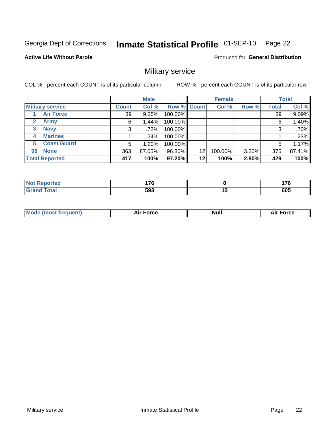#### Inmate Statistical Profile 01-SEP-10 Page 22

#### **Active Life Without Parole**

Produced for General Distribution

### Military service

COL % - percent each COUNT is of its particular column

|                             |              | <b>Male</b> |             |    | <b>Female</b> |       |              | <b>Total</b> |
|-----------------------------|--------------|-------------|-------------|----|---------------|-------|--------------|--------------|
| <b>Military service</b>     | <b>Count</b> | Col %       | Row % Count |    | Col %         | Row % | <b>Total</b> | Col %        |
| <b>Air Force</b>            | 39           | 9.35%       | 100.00%     |    |               |       | 39           | 9.09%        |
| $\mathbf{2}$<br><b>Army</b> | 6            | $1.44\%$    | 100.00%     |    |               |       | 6            | 1.40%        |
| <b>Navy</b><br>3            | 3            | $.72\%$     | 100.00%     |    |               |       | 3            | $.70\%$      |
| <b>Marines</b><br>4         |              | .24%        | 100.00%     |    |               |       |              | .23%         |
| <b>Coast Guard</b><br>5.    | 5            | $1.20\%$    | 100.00%     |    |               |       | 5            | 1.17%        |
| <b>None</b><br>96           | 363          | 87.05%      | 96.80%      | 12 | 100.00%       | 3.20% | 375          | 87.41%       |
| <b>Total Reported</b>       | 417          | 100%        | 97.20%      | 12 | 100%          | 2.80% | 429          | 100%         |

| <b>orted</b><br>N      | 17C<br>$\sim$ |     | $\rightarrow$ |
|------------------------|---------------|-----|---------------|
| <b>c</b> otal<br>Grand | 593           | . . | 605           |

|  |  | <b>Mode</b><br>uent)<br>most tren | Force<br>Aır | <b>Null</b> | orce |
|--|--|-----------------------------------|--------------|-------------|------|
|--|--|-----------------------------------|--------------|-------------|------|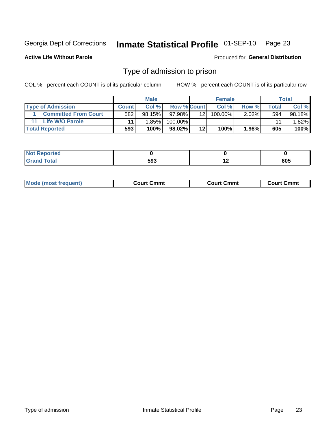#### Inmate Statistical Profile 01-SEP-10 Page 23

**Active Life Without Parole** 

Produced for General Distribution

#### Type of admission to prison

COL % - percent each COUNT is of its particular column

|                             |              | <b>Male</b> |                    |         | <b>Female</b> |          |       | Total  |
|-----------------------------|--------------|-------------|--------------------|---------|---------------|----------|-------|--------|
| <b>Type of Admission</b>    | <b>Count</b> | Col %       | <b>Row % Count</b> |         | Col %         | Row %    | Total | Col %  |
| <b>Committed From Court</b> | 582          | $98.15\%$   | 97.98%             | 12      | $100.00\%$    | $2.02\%$ | 594   | 98.18% |
| Life W/O Parole             |              | $1.85\%$    | 100.00%            |         |               |          | 11    | 1.82%  |
| <b>Total Reported</b>       | 593          | 100%        | 98.02%             | $12 \,$ | 100%          | 1.98%    | 605   | 100%   |

| <b>Not Reported</b>     |           |     |
|-------------------------|-----------|-----|
| <b>Total</b><br><b></b> | 503<br>JJ | 605 |

| <b>Mode (most frequent)</b> | Court Cmmt | <b>Court Cmmt</b> | Court Cmml |
|-----------------------------|------------|-------------------|------------|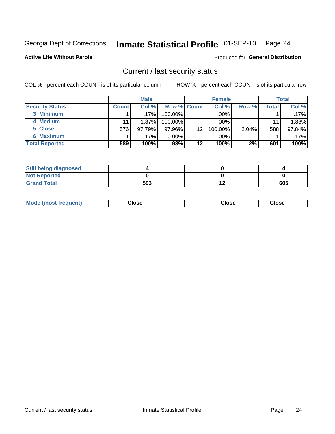## Inmate Statistical Profile 01-SEP-10 Page 24

**Active Life Without Parole** 

Produced for General Distribution

#### Current / last security status

COL % - percent each COUNT is of its particular column

|                        |              | <b>Male</b> |                    |    | <b>Female</b> |       |       | <b>Total</b> |
|------------------------|--------------|-------------|--------------------|----|---------------|-------|-------|--------------|
| <b>Security Status</b> | <b>Count</b> | Col%        | <b>Row % Count</b> |    | Col%          | Row % | Total | Col %        |
| 3 Minimum              |              | $.17\%$     | 100.00%            |    | .00%          |       |       | $.17\%$      |
| 4 Medium               |              | 1.87%       | $100.00\%$         |    | $.00\%$       |       | 11    | 1.83%        |
| 5 Close                | 576          | 97.79%      | 97.96%             | 12 | 100.00%       | 2.04% | 588   | 97.84%       |
| <b>6 Maximum</b>       |              | .17% '      | 100.00%            |    | .00%          |       |       | $.17\%$      |
| <b>Total Reported</b>  | 589          | 100%        | 98%                | 12 | 100%          | 2%    | 601   | 100%         |

| <b>Still being diagnosed</b> |     |     |
|------------------------------|-----|-----|
| <b>Not Reported</b>          |     |     |
| <b>Grand Total</b>           | 593 | 605 |

| Mode<br>Close<br>: (most frequent)<br>oseت<br>Close<br>- - - -<br>- - - -<br>- - - - |
|--------------------------------------------------------------------------------------|
|--------------------------------------------------------------------------------------|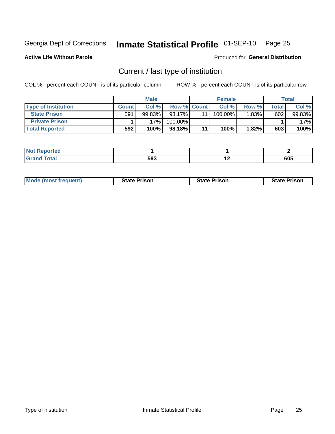## Inmate Statistical Profile 01-SEP-10 Page 25

**Active Life Without Parole** 

Produced for General Distribution

### Current / last type of institution

COL % - percent each COUNT is of its particular column

|                            |              | <b>Male</b> |                    | <b>Female</b> |          |       | <b>Total</b> |
|----------------------------|--------------|-------------|--------------------|---------------|----------|-------|--------------|
| <b>Type of Institution</b> | <b>Count</b> | Col %       | <b>Row % Count</b> | Col %         | Row %    | Total | Col %        |
| <b>State Prison</b>        | 591          | 99.83%      | 98.17%             | $100.00\%$    | $1.83\%$ | 602   | 99.83%       |
| <b>Private Prison</b>      |              | 17%         | 100.00%            |               |          |       | .17%         |
| <b>Total Reported</b>      | 592          | 100%        | $98.18\%$          | 100%          | 1.82%    | 603   | 100%         |

| τeα                         |     |               |            |
|-----------------------------|-----|---------------|------------|
| $\sim$ $\sim$ $\sim$ $\sim$ | 593 | . .<br>$\sim$ | CNE<br>ັດດ |

| <b>Mode (most frequent)</b> | <b>State Prison</b> | <b>State Prison</b> | <b>State Prison</b> |
|-----------------------------|---------------------|---------------------|---------------------|
|                             |                     |                     |                     |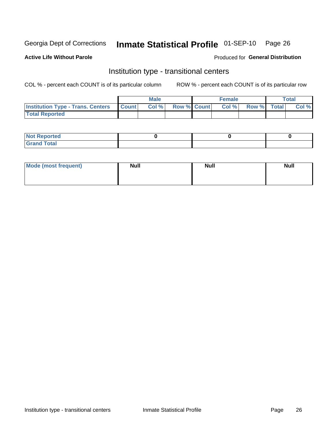## Inmate Statistical Profile 01-SEP-10 Page 26

**Active Life Without Parole** 

#### Produced for General Distribution

### Institution type - transitional centers

COL % - percent each COUNT is of its particular column

|                                                | Male  |                    | <b>Female</b> |                   | Total |
|------------------------------------------------|-------|--------------------|---------------|-------------------|-------|
| <b>Institution Type - Trans. Centers Count</b> | Col % | <b>Row % Count</b> |               | Col % Row % Total | Col % |
| <b>Total Reported</b>                          |       |                    |               |                   |       |

| <b>Reported</b><br><b>NOT</b><br>$\sim$            |  |  |
|----------------------------------------------------|--|--|
| $f$ $f \circ f \circ f$<br>$C = 1$<br><b>TULAI</b> |  |  |

| Mode (most frequent) | <b>Null</b> | <b>Null</b> | <b>Null</b> |
|----------------------|-------------|-------------|-------------|
|                      |             |             |             |
|                      |             |             |             |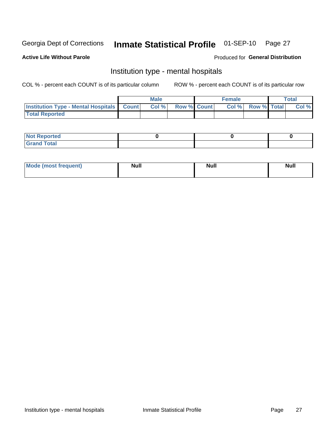#### Inmate Statistical Profile 01-SEP-10 Page 27

#### **Active Life Without Parole**

#### Produced for General Distribution

### Institution type - mental hospitals

COL % - percent each COUNT is of its particular column

|                                                  | Male  |                    | <b>Female</b> |                   | <b>Total</b> |
|--------------------------------------------------|-------|--------------------|---------------|-------------------|--------------|
| <b>Institution Type - Mental Hospitals Count</b> | Col % | <b>Row % Count</b> |               | Col % Row % Total | Col %        |
| <b>Total Reported</b>                            |       |                    |               |                   |              |

| <b>Not Reported</b>                     |  |  |
|-----------------------------------------|--|--|
| <b>otal</b><br>C <sub>r</sub><br>______ |  |  |

| Mode.<br>frequent) | <b>Nul</b><br>_____ | <b>Null</b> | <b>Null</b> |
|--------------------|---------------------|-------------|-------------|
|                    |                     |             |             |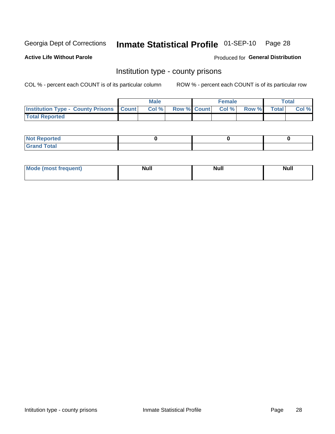## Inmate Statistical Profile 01-SEP-10 Page 28

**Active Life Without Parole** 

Produced for General Distribution

#### Institution type - county prisons

COL % - percent each COUNT is of its particular column

|                                                    | <b>Male</b> |  | <b>Female</b>            |             | <b>Total</b> |
|----------------------------------------------------|-------------|--|--------------------------|-------------|--------------|
| <b>Institution Type - County Prisons   Count  </b> | Col %       |  | <b>Row % Count Col %</b> | Row % Total | Col %        |
| <b>Total Reported</b>                              |             |  |                          |             |              |

| <b>Not Reported</b>         |  |  |
|-----------------------------|--|--|
| <b>Total</b><br>-<br>______ |  |  |

| <b>Mode</b>      | <b>Null</b> | <b>Null</b> | <b>Null</b> |  |
|------------------|-------------|-------------|-------------|--|
| (most freauent). |             |             |             |  |
|                  |             |             |             |  |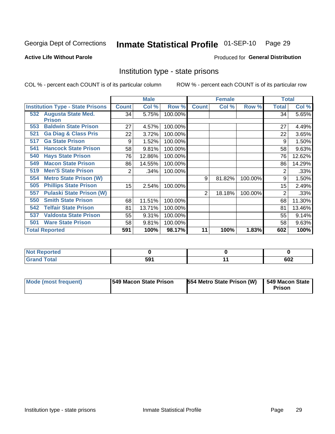## Inmate Statistical Profile 01-SEP-10 Page 29

#### **Active Life Without Parole**

#### Produced for General Distribution

### Institution type - state prisons

COL % - percent each COUNT is of its particular column

|                                                   |              | <b>Male</b> |         |              | <b>Female</b> |         | <b>Total</b> |        |
|---------------------------------------------------|--------------|-------------|---------|--------------|---------------|---------|--------------|--------|
| <b>Institution Type - State Prisons</b>           | <b>Count</b> | Col %       | Row %   | <b>Count</b> | Col %         | Row %   | Total        | Col %  |
| <b>Augusta State Med.</b><br>532<br><b>Prison</b> | 34           | 5.75%       | 100.00% |              |               |         | 34           | 5.65%  |
| <b>Baldwin State Prison</b><br>553                | 27           | 4.57%       | 100.00% |              |               |         | 27           | 4.49%  |
| <b>Ga Diag &amp; Class Pris</b><br>521            | 22           | 3.72%       | 100.00% |              |               |         | 22           | 3.65%  |
| <b>Ga State Prison</b><br>517                     | 9            | 1.52%       | 100.00% |              |               |         | 9            | 1.50%  |
| <b>Hancock State Prison</b><br>541                | 58           | 9.81%       | 100.00% |              |               |         | 58           | 9.63%  |
| <b>Hays State Prison</b><br>540                   | 76           | 12.86%      | 100.00% |              |               |         | 76           | 12.62% |
| <b>Macon State Prison</b><br>549                  | 86           | 14.55%      | 100.00% |              |               |         | 86           | 14.29% |
| <b>Men'S State Prison</b><br>519                  | 2            | .34%        | 100.00% |              |               |         | 2            | .33%   |
| <b>Metro State Prison (W)</b><br>554              |              |             |         | 9            | 81.82%        | 100.00% | 9            | 1.50%  |
| <b>Phillips State Prison</b><br>505               | 15           | 2.54%       | 100.00% |              |               |         | 15           | 2.49%  |
| <b>Pulaski State Prison (W)</b><br>557            |              |             |         | 2            | 18.18%        | 100.00% | 2            | .33%   |
| <b>Smith State Prison</b><br>550                  | 68           | 11.51%      | 100.00% |              |               |         | 68           | 11.30% |
| <b>Telfair State Prison</b><br>542                | 81           | 13.71%      | 100.00% |              |               |         | 81           | 13.46% |
| <b>Valdosta State Prison</b><br>537               | 55           | 9.31%       | 100.00% |              |               |         | 55           | 9.14%  |
| <b>Ware State Prison</b><br>501                   | 58           | 9.81%       | 100.00% |              |               |         | 58           | 9.63%  |
| <b>Total Reported</b>                             | 591          | 100%        | 98.17%  | 11           | 100%          | 1.83%   | 602          | 100%   |

| Reported<br>.         |     |     |
|-----------------------|-----|-----|
| <b>Total</b><br>_____ | 591 | 602 |

| Mode (most frequent) | <b>1549 Macon State Prison</b> | 554 Metro State Prison (W) | 549 Macon State<br>Prison |
|----------------------|--------------------------------|----------------------------|---------------------------|
|----------------------|--------------------------------|----------------------------|---------------------------|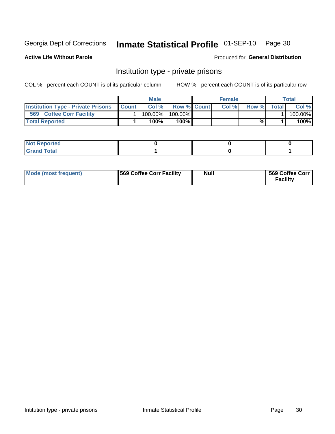## Inmate Statistical Profile 01-SEP-10 Page 30

**Active Life Without Parole** 

Produced for General Distribution

### Institution type - private prisons

COL % - percent each COUNT is of its particular column

|                                           |              | Male       |                    | <b>Female</b> |       |              | Total   |
|-------------------------------------------|--------------|------------|--------------------|---------------|-------|--------------|---------|
| <b>Institution Type - Private Prisons</b> | <b>Count</b> | Col%       | <b>Row % Count</b> | Col%          | Row % | <b>Total</b> | Col %   |
| 569<br><b>Coffee Corr Facility</b>        |              | $100.00\%$ | 100.00%            |               |       |              | 100.00% |
| <b>Total Reported</b>                     |              | $100\%$ .  | 100%               |               | %     |              | 100%    |

| Not Reported |  |  |
|--------------|--|--|
|              |  |  |

| Mode (most frequent) | 569 Coffee Corr Facility | <b>Null</b> | 569 Coffee Corr<br><b>Facility</b> |
|----------------------|--------------------------|-------------|------------------------------------|
|----------------------|--------------------------|-------------|------------------------------------|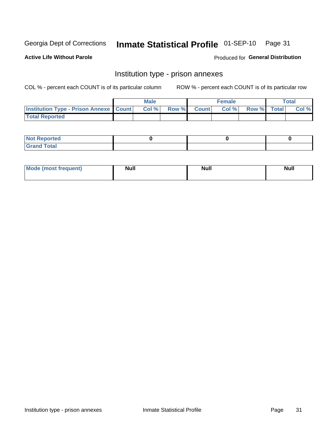## Inmate Statistical Profile 01-SEP-10 Page 31

**Active Life Without Parole** 

Produced for General Distribution

## Institution type - prison annexes

COL % - percent each COUNT is of its particular column

|                                                   | <b>Male</b> |              |       | <b>Female</b> |                    | <b>Total</b> |
|---------------------------------------------------|-------------|--------------|-------|---------------|--------------------|--------------|
| <b>Institution Type - Prison Annexe   Count  </b> | Col %       | <b>Row %</b> | Count | Col %         | <b>Row %</b> Total | Col %        |
| <b>Total Reported</b>                             |             |              |       |               |                    |              |

| <b>Reported</b><br>I NOT                      |  |  |
|-----------------------------------------------|--|--|
| <b>Total</b><br>Carar<br>$\sim$ . When $\sim$ |  |  |

| $^{\circ}$ Mo<br>frequent)<br>⊥(most | <b>Null</b> | Noll<br><b>vull</b> | <b>Null</b> |
|--------------------------------------|-------------|---------------------|-------------|
|                                      |             |                     |             |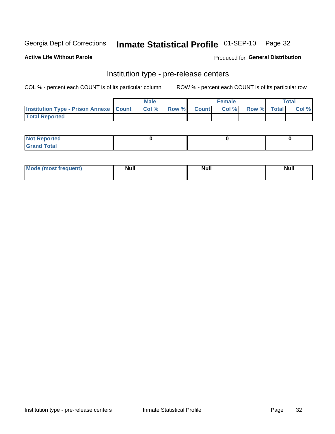## Inmate Statistical Profile 01-SEP-10 Page 32

**Active Life Without Parole** 

Produced for General Distribution

### Institution type - pre-release centers

COL % - percent each COUNT is of its particular column

|                                                   | <b>Male</b> |             | <b>Female</b> |             | <b>Total</b> |
|---------------------------------------------------|-------------|-------------|---------------|-------------|--------------|
| <b>Institution Type - Prison Annexe   Count  </b> | Col%        | Row % Count | Col %         | Row % Total | Col %        |
| <b>Total Reported</b>                             |             |             |               |             |              |

| <b>Reported</b><br>I NOT |  |  |
|--------------------------|--|--|
| <b>Total</b><br>$C$ ren  |  |  |

| $^{\circ}$ Mo<br>frequent)<br>⊥(most | <b>Null</b> | Noll<br><b>vull</b> | <b>Null</b> |
|--------------------------------------|-------------|---------------------|-------------|
|                                      |             |                     |             |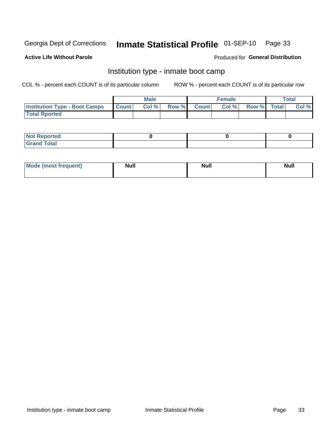## Inmate Statistical Profile 01-SEP-10 Page 33

#### **Active Life Without Parole**

#### Produced for General Distribution

### Institution type - inmate boot camp

COL % - percent each COUNT is of its particular column

|                                      |                  | <b>Male</b> |              |              | <b>Female</b> |             | <b>Total</b> |
|--------------------------------------|------------------|-------------|--------------|--------------|---------------|-------------|--------------|
| <b>Institution Type - Boot Camps</b> | <b>I</b> Count I | Col %       | <b>Row %</b> | <b>Count</b> | Col %         | Row % Total | Col %        |
| <b>Total Rported</b>                 |                  |             |              |              |               |             |              |

| <b>Not Reported</b>            |  |  |
|--------------------------------|--|--|
| <b>Total</b><br>C <sub>r</sub> |  |  |

| <b>I Mode (most frequent)</b> | <b>Null</b> | <b>Null</b> | <b>Null</b> |
|-------------------------------|-------------|-------------|-------------|
|                               |             |             |             |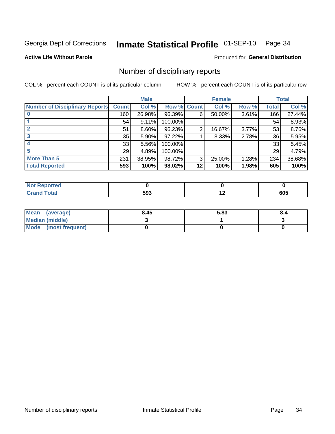## Inmate Statistical Profile 01-SEP-10 Page 34

**Active Life Without Parole** 

**Produced for General Distribution** 

#### Number of disciplinary reports

COL % - percent each COUNT is of its particular column

|                                       |              | <b>Male</b> |                    |    | <b>Female</b> |          |              | <b>Total</b> |
|---------------------------------------|--------------|-------------|--------------------|----|---------------|----------|--------------|--------------|
| <b>Number of Disciplinary Reports</b> | <b>Count</b> | Col %       | <b>Row % Count</b> |    | Col %         | Row %    | <b>Total</b> | Col %        |
|                                       | 160          | 26.98%      | 96.39%             | 6  | 50.00%        | $3.61\%$ | 166          | 27.44%       |
|                                       | 54           | 9.11%       | 100.00%            |    |               |          | 54           | 8.93%        |
|                                       | 51           | 8.60%       | 96.23%             | 2  | 16.67%        | 3.77%    | 53           | 8.76%        |
| 3                                     | 35           | 5.90%       | 97.22%             |    | 8.33%         | 2.78%    | 36           | 5.95%        |
|                                       | 33           | 5.56%       | 100.00%            |    |               |          | 33           | 5.45%        |
| 5                                     | 29           | 4.89%       | 100.00%            |    |               |          | 29           | 4.79%        |
| <b>More Than 5</b>                    | 231          | 38.95%      | 98.72%             | 3  | 25.00%        | 1.28%    | 234          | 38.68%       |
| <b>Total Reported</b>                 | 593          | 100%        | 98.02%             | 12 | 100%          | 1.98%    | 605          | 100%         |

| N<br>тес |     |                          |            |
|----------|-----|--------------------------|------------|
| Total    | 593 | $\overline{\phantom{0}}$ | ---<br>งบว |

| Mean (average)       | 8.45 | 5.83 | 8.4 |
|----------------------|------|------|-----|
| Median (middle)      |      |      |     |
| Mode (most frequent) |      |      |     |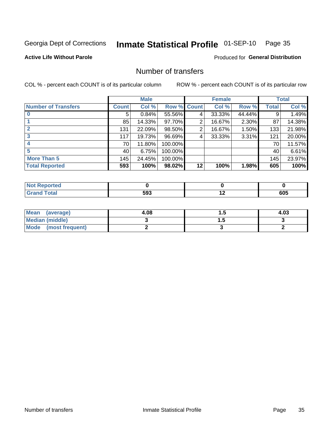## Inmate Statistical Profile 01-SEP-10 Page 35

**Active Life Without Parole** 

**Produced for General Distribution** 

### Number of transfers

COL % - percent each COUNT is of its particular column

|                            |         | <b>Male</b> |         |              | <b>Female</b> |        |              | <b>Total</b> |
|----------------------------|---------|-------------|---------|--------------|---------------|--------|--------------|--------------|
| <b>Number of Transfers</b> | Count l | Col %       | Row %   | <b>Count</b> | Col %         | Row %  | <b>Total</b> | Col %        |
|                            | 5       | 0.84%       | 55.56%  | 4            | 33.33%        | 44.44% | 9            | 1.49%        |
|                            | 85      | 14.33%      | 97.70%  | 2            | 16.67%        | 2.30%  | 87           | 14.38%       |
|                            | 131     | 22.09%      | 98.50%  | 2            | 16.67%        | 1.50%  | 133          | 21.98%       |
| 3                          | 117     | 19.73%      | 96.69%  | 4            | 33.33%        | 3.31%  | 121          | 20.00%       |
|                            | 70      | 11.80%      | 100.00% |              |               |        | 70           | 11.57%       |
| 5                          | 40      | 6.75%       | 100.00% |              |               |        | 40           | 6.61%        |
| <b>More Than 5</b>         | 145     | 24.45%      | 100.00% |              |               |        | 145          | 23.97%       |
| <b>Total Reported</b>      | 593     | 100%        | 98.02%  | 12           | 100%          | 1.98%  | 605          | 100%         |

| Reported<br>NOT F |     |     |
|-------------------|-----|-----|
| <b>Total</b>      | 593 | 605 |

| Mean (average)       | 4.08 | . . | 4.03 |
|----------------------|------|-----|------|
| Median (middle)      |      |     |      |
| Mode (most frequent) |      |     |      |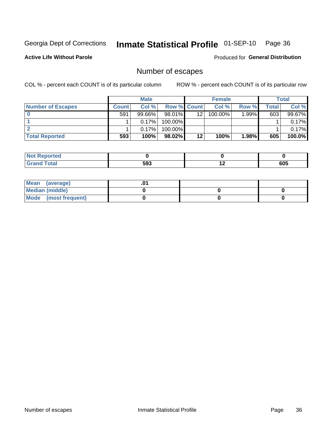## Inmate Statistical Profile 01-SEP-10 Page 36

**Active Life Without Parole** 

**Produced for General Distribution** 

### Number of escapes

COL % - percent each COUNT is of its particular column

|                          |         | <b>Male</b> |                    |    | <b>Female</b> |        |       | <b>Total</b> |
|--------------------------|---------|-------------|--------------------|----|---------------|--------|-------|--------------|
| <b>Number of Escapes</b> | Count l | Col %       | <b>Row % Count</b> |    | Col %         | Row %  | Total | Col %        |
|                          | 591     | 99.66%      | $98.01\%$          | 12 | 100.00%       | 1.99%∎ | 603   | 99.67%       |
|                          |         | 0.17%       | $100.00\%$         |    |               |        |       | 0.17%        |
|                          |         | 0.17%       | 100.00%            |    |               |        |       | 0.17%        |
| <b>Total Reported</b>    | 593     | 100%        | 98.02%             | 12 | 100%          | 1.98%  | 605   | 100.0%       |

| <b>Not Reported</b>   |     |     |     |
|-----------------------|-----|-----|-----|
| <b>Total</b><br>Grand | 593 | . . | 605 |

| Mean (average)       |  |  |
|----------------------|--|--|
| Median (middle)      |  |  |
| Mode (most frequent) |  |  |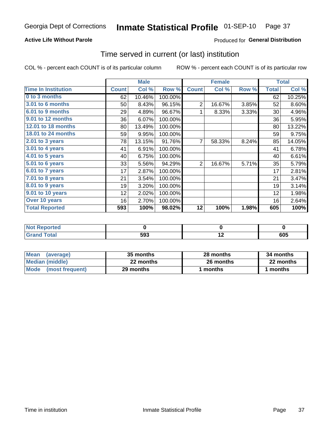### **Active Life Without Parole**

### Produced for General Distribution

# Time served in current (or last) institution

COL % - percent each COUNT is of its particular column

|                            | <b>Male</b>  |        | <b>Female</b> |                |        | <b>Total</b> |              |        |
|----------------------------|--------------|--------|---------------|----------------|--------|--------------|--------------|--------|
| <b>Time In Institution</b> | <b>Count</b> | Col %  | Row %         | <b>Count</b>   | Col %  | Row %        | <b>Total</b> | Col %  |
| 0 to 3 months              | 62           | 10.46% | 100.00%       |                |        |              | 62           | 10.25% |
| <b>3.01 to 6 months</b>    | 50           | 8.43%  | 96.15%        | $\overline{2}$ | 16.67% | 3.85%        | 52           | 8.60%  |
| 6.01 to 9 months           | 29           | 4.89%  | 96.67%        | 1              | 8.33%  | 3.33%        | 30           | 4.96%  |
| 9.01 to 12 months          | 36           | 6.07%  | 100.00%       |                |        |              | 36           | 5.95%  |
| 12.01 to 18 months         | 80           | 13.49% | 100.00%       |                |        |              | 80           | 13.22% |
| <b>18.01 to 24 months</b>  | 59           | 9.95%  | 100.00%       |                |        |              | 59           | 9.75%  |
| 2.01 to 3 years            | 78           | 13.15% | 91.76%        | $\overline{7}$ | 58.33% | 8.24%        | 85           | 14.05% |
| 3.01 to 4 years            | 41           | 6.91%  | 100.00%       |                |        |              | 41           | 6.78%  |
| 4.01 to 5 years            | 40           | 6.75%  | 100.00%       |                |        |              | 40           | 6.61%  |
| 5.01 to 6 years            | 33           | 5.56%  | 94.29%        | $\overline{2}$ | 16.67% | 5.71%        | 35           | 5.79%  |
| 6.01 to 7 years            | 17           | 2.87%  | 100.00%       |                |        |              | 17           | 2.81%  |
| 7.01 to 8 years            | 21           | 3.54%  | 100.00%       |                |        |              | 21           | 3.47%  |
| 8.01 to 9 years            | 19           | 3.20%  | 100.00%       |                |        |              | 19           | 3.14%  |
| 9.01 to 10 years           | 12           | 2.02%  | 100.00%       |                |        |              | 12           | 1.98%  |
| Over 10 years              | 16           | 2.70%  | 100.00%       |                |        |              | 16           | 2.64%  |
| <b>Total Reported</b>      | 593          | 100%   | $98.02\%$     | 12             | 100%   | 1.98%        | 605          | 100%   |

| Reported<br><b>Not</b> |     |     |     |
|------------------------|-----|-----|-----|
| <i>i</i> otal          | 593 | . . | 605 |

| <b>Mean</b><br>(average) | 35 months | 28 months | 34 months |
|--------------------------|-----------|-----------|-----------|
| Median (middle)          | 22 months | 26 months | 22 months |
| Mode (most frequent)     | 29 months | 1 months  | l months  |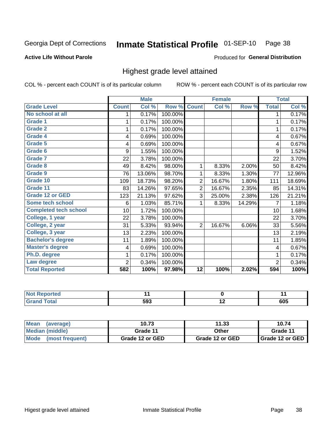#### Inmate Statistical Profile 01-SEP-10 Page 38

#### **Active Life Without Parole**

#### Produced for General Distribution

# Highest grade level attained

COL % - percent each COUNT is of its particular column

|                              |                | <b>Male</b> |         |                 | <b>Female</b> |        |                | <b>Total</b> |
|------------------------------|----------------|-------------|---------|-----------------|---------------|--------|----------------|--------------|
| <b>Grade Level</b>           | <b>Count</b>   | Col %       | Row %   | <b>Count</b>    | Col %         | Row %  | <b>Total</b>   | Col %        |
| No school at all             | 1              | 0.17%       | 100.00% |                 |               |        | 1              | 0.17%        |
| <b>Grade 1</b>               |                | 0.17%       | 100.00% |                 |               |        | 1              | 0.17%        |
| <b>Grade 2</b>               | 1              | 0.17%       | 100.00% |                 |               |        | 1              | 0.17%        |
| <b>Grade 4</b>               | 4              | 0.69%       | 100.00% |                 |               |        | 4              | 0.67%        |
| Grade 5                      | 4              | 0.69%       | 100.00% |                 |               |        | 4              | 0.67%        |
| Grade 6                      | 9              | 1.55%       | 100.00% |                 |               |        | 9              | 1.52%        |
| <b>Grade 7</b>               | 22             | 3.78%       | 100.00% |                 |               |        | 22             | 3.70%        |
| <b>Grade 8</b>               | 49             | 8.42%       | 98.00%  | 1               | 8.33%         | 2.00%  | 50             | 8.42%        |
| <b>Grade 9</b>               | 76             | 13.06%      | 98.70%  | 1               | 8.33%         | 1.30%  | 77             | 12.96%       |
| Grade 10                     | 109            | 18.73%      | 98.20%  | $\overline{c}$  | 16.67%        | 1.80%  | 111            | 18.69%       |
| Grade 11                     | 83             | 14.26%      | 97.65%  | 2               | 16.67%        | 2.35%  | 85             | 14.31%       |
| <b>Grade 12 or GED</b>       | 123            | 21.13%      | 97.62%  | 3               | 25.00%        | 2.38%  | 126            | 21.21%       |
| <b>Some tech school</b>      | 6              | 1.03%       | 85.71%  |                 | 8.33%         | 14.29% | 7              | 1.18%        |
| <b>Completed tech school</b> | 10             | 1.72%       | 100.00% |                 |               |        | 10             | 1.68%        |
| College, 1 year              | 22             | 3.78%       | 100.00% |                 |               |        | 22             | 3.70%        |
| College, 2 year              | 31             | 5.33%       | 93.94%  | 2               | 16.67%        | 6.06%  | 33             | 5.56%        |
| College, 3 year              | 13             | 2.23%       | 100.00% |                 |               |        | 13             | 2.19%        |
| <b>Bachelor's degree</b>     | 11             | 1.89%       | 100.00% |                 |               |        | 11             | 1.85%        |
| <b>Master's degree</b>       | 4              | 0.69%       | 100.00% |                 |               |        | 4              | 0.67%        |
| Ph.D. degree                 |                | 0.17%       | 100.00% |                 |               |        | 1              | 0.17%        |
| Law degree                   | $\overline{2}$ | 0.34%       | 100.00% |                 |               |        | $\overline{2}$ | 0.34%        |
| <b>Total Reported</b>        | 582            | 100%        | 97.98%  | $\overline{12}$ | 100%          | 2.02%  | 594            | 100%         |

| .<br><b>Reported</b> |     | $\sim$ $\sim$ |
|----------------------|-----|---------------|
| otal                 | 593 | 605           |

| Mean<br>(average)    | 10.73           | 11.33           | 10.74             |
|----------------------|-----------------|-----------------|-------------------|
| Median (middle)      | Grade 11        | Other           | Grade 11          |
| Mode (most frequent) | Grade 12 or GED | Grade 12 or GED | I Grade 12 or GED |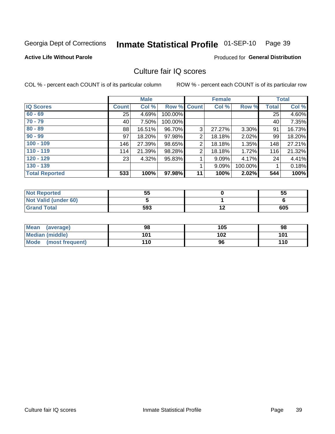#### Inmate Statistical Profile 01-SEP-10 Page 39

**Active Life Without Parole** 

**Produced for General Distribution** 

# Culture fair IQ scores

COL % - percent each COUNT is of its particular column

|                       |                 | <b>Male</b> |         |                | <b>Female</b> |         |              | <b>Total</b> |
|-----------------------|-----------------|-------------|---------|----------------|---------------|---------|--------------|--------------|
| <b>IQ Scores</b>      | <b>Count</b>    | Col %       |         | Row % Count    | Col %         | Row %   | <b>Total</b> | Col %        |
| $60 - 69$             | 25 <sub>1</sub> | 4.69%       | 100.00% |                |               |         | 25           | 4.60%        |
| $70 - 79$             | 40              | 7.50%       | 100.00% |                |               |         | 40           | 7.35%        |
| $80 - 89$             | 88              | 16.51%      | 96.70%  | 3              | 27.27%        | 3.30%   | 91           | 16.73%       |
| $90 - 99$             | 97              | 18.20%      | 97.98%  | 2              | 18.18%        | 2.02%   | 99           | 18.20%       |
| $100 - 109$           | 146             | 27.39%      | 98.65%  | 2              | 18.18%        | 1.35%   | 148          | 27.21%       |
| $110 - 119$           | 114             | 21.39%      | 98.28%  | $\overline{2}$ | 18.18%        | 1.72%   | 116          | 21.32%       |
| $120 - 129$           | 23              | 4.32%       | 95.83%  |                | 9.09%         | 4.17%   | 24           | 4.41%        |
| $130 - 139$           |                 |             |         |                | 9.09%         | 100.00% |              | 0.18%        |
| <b>Total Reported</b> | 533             | 100%        | 97.98%  | 11             | 100%          | 2.02%   | 544          | 100%         |

| <b>Not Reported</b>  | 55  | 55  |
|----------------------|-----|-----|
| Not Valid (under 60) |     |     |
| <b>Grand Total</b>   | 593 | 605 |

| Mean<br>(average)       | 98  | 105 | 98  |
|-------------------------|-----|-----|-----|
| <b>Median (middle)</b>  | 101 | 102 | 101 |
| Mode<br>(most frequent) | 110 | 96  | 110 |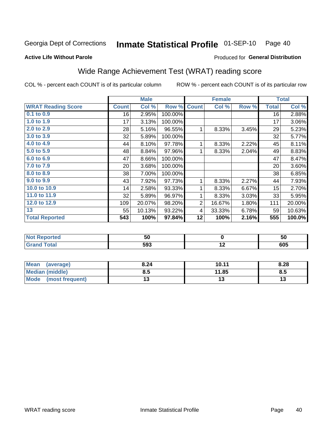#### Inmate Statistical Profile 01-SEP-10 Page 40

#### **Active Life Without Parole**

### Produced for General Distribution

# Wide Range Achievement Test (WRAT) reading score

COL % - percent each COUNT is of its particular column

|                                              |              | <b>Male</b> |         |                | <b>Female</b> |       |              | <b>Total</b> |
|----------------------------------------------|--------------|-------------|---------|----------------|---------------|-------|--------------|--------------|
| <b>WRAT Reading Score</b>                    | <b>Count</b> | Col %       | Row %   | <b>Count</b>   | Col %         | Row % | <b>Total</b> | Col %        |
| 0.1 to 0.9                                   | 16           | 2.95%       | 100.00% |                |               |       | 16           | 2.88%        |
| 1.0 to 1.9                                   | 17           | 3.13%       | 100.00% |                |               |       | 17           | 3.06%        |
| 2.0 to 2.9                                   | 28           | 5.16%       | 96.55%  | 1              | 8.33%         | 3.45% | 29           | 5.23%        |
| 3.0 to 3.9                                   | 32           | 5.89%       | 100.00% |                |               |       | 32           | 5.77%        |
| 4.0 to 4.9                                   | 44           | 8.10%       | 97.78%  | 1              | 8.33%         | 2.22% | 45           | 8.11%        |
| 5.0 to 5.9                                   | 48           | 8.84%       | 97.96%  | 1              | 8.33%         | 2.04% | 49           | 8.83%        |
| 6.0 to 6.9                                   | 47           | 8.66%       | 100.00% |                |               |       | 47           | 8.47%        |
| 7.0 to 7.9                                   | 20           | 3.68%       | 100.00% |                |               |       | 20           | 3.60%        |
| 8.0 to 8.9                                   | 38           | 7.00%       | 100.00% |                |               |       | 38           | 6.85%        |
| 9.0 to 9.9                                   | 43           | 7.92%       | 97.73%  | 1              | 8.33%         | 2.27% | 44           | 7.93%        |
| 10.0 to 10.9                                 | 14           | 2.58%       | 93.33%  | 1              | 8.33%         | 6.67% | 15           | 2.70%        |
| 11.0 to $11.9$                               | 32           | 5.89%       | 96.97%  | 1              | 8.33%         | 3.03% | 33           | 5.95%        |
| 12.0 to 12.9                                 | 109          | 20.07%      | 98.20%  | $\overline{2}$ | 16.67%        | 1.80% | 111          | 20.00%       |
| 13                                           | 55           | 10.13%      | 93.22%  | 4              | 33.33%        | 6.78% | 59           | 10.63%       |
| <b>Total Reported</b>                        | 543          | 100%        | 97.84%  | 12             | 100%          | 2.16% | 555          | 100.0%       |
|                                              |              |             |         |                |               |       |              |              |
| <b>START AND START AND START AND INCOME.</b> |              | --          |         |                | $\sim$        |       |              | $-$          |

| 1. <b>.</b><br><b>Reported</b> | 50  | ວບ  |
|--------------------------------|-----|-----|
| <b>otal</b>                    | 593 | 605 |

| <b>Mean</b><br>(average) | 8.24 | 10.11 | 8.28 |
|--------------------------|------|-------|------|
| <b>Median (middle)</b>   | ช.อ  | 11.85 | 8.5  |
| Mode<br>(most frequent)  |      |       | ויי  |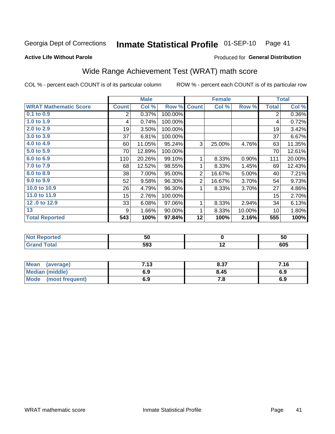#### Inmate Statistical Profile 01-SEP-10 Page 41

**Active Life Without Parole** 

### Produced for General Distribution

# Wide Range Achievement Test (WRAT) math score

COL % - percent each COUNT is of its particular column

|                              |              | <b>Male</b> |         |                | <b>Female</b> |        |                | <b>Total</b> |
|------------------------------|--------------|-------------|---------|----------------|---------------|--------|----------------|--------------|
| <b>WRAT Mathematic Score</b> | <b>Count</b> | Col %       | Row %   | <b>Count</b>   | Col %         | Row %  | <b>Total</b>   | Col %        |
| 0.1 to 0.9                   | 2            | 0.37%       | 100.00% |                |               |        | $\overline{2}$ | 0.36%        |
| 1.0 to $1.9$                 | 4            | 0.74%       | 100.00% |                |               |        | 4              | 0.72%        |
| 2.0 to 2.9                   | 19           | 3.50%       | 100.00% |                |               |        | 19             | 3.42%        |
| 3.0 to 3.9                   | 37           | 6.81%       | 100.00% |                |               |        | 37             | 6.67%        |
| 4.0 to 4.9                   | 60           | 11.05%      | 95.24%  | 3              | 25.00%        | 4.76%  | 63             | 11.35%       |
| 5.0 to 5.9                   | 70           | 12.89%      | 100.00% |                |               |        | 70             | 12.61%       |
| 6.0 to 6.9                   | 110          | 20.26%      | 99.10%  | 1              | 8.33%         | 0.90%  | 111            | 20.00%       |
| 7.0 to 7.9                   | 68           | 12.52%      | 98.55%  | 1              | 8.33%         | 1.45%  | 69             | 12.43%       |
| 8.0 to 8.9                   | 38           | 7.00%       | 95.00%  | $\overline{2}$ | 16.67%        | 5.00%  | 40             | 7.21%        |
| 9.0 to 9.9                   | 52           | 9.58%       | 96.30%  | 2              | 16.67%        | 3.70%  | 54             | 9.73%        |
| 10.0 to 10.9                 | 26           | 4.79%       | 96.30%  | 1              | 8.33%         | 3.70%  | 27             | 4.86%        |
| 11.0 to 11.9                 | 15           | 2.76%       | 100.00% |                |               |        | 15             | 2.70%        |
| 12.0 to 12.9                 | 33           | 6.08%       | 97.06%  | 1              | 8.33%         | 2.94%  | 34             | 6.13%        |
| 13                           | 9            | 1.66%       | 90.00%  | 1              | 8.33%         | 10.00% | 10             | 1.80%        |
| <b>Total Reported</b>        | 543          | 100%        | 97.84%  | 12             | 100%          | 2.16%  | 555            | 100%         |
|                              |              |             |         |                |               |        |                |              |
| <b>Not Reported</b>          |              | 50          |         |                | $\pmb{0}$     |        |                | 50           |
| <b>Grand Total</b>           |              | 593         |         |                | 12            |        |                | 605          |

| Mean<br>(average)              | 712<br>נו. | 8.37 | 7.16 |
|--------------------------------|------------|------|------|
| Median (middle)                | 6.9        | 8.45 | 6.9  |
| <b>Mode</b><br>(most frequent) | 6.9        | 7. a | 6.9  |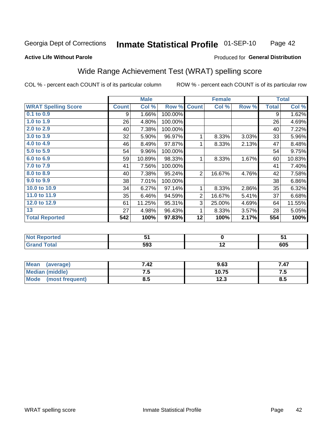#### Inmate Statistical Profile 01-SEP-10 Page 42

#### **Active Life Without Parole**

#### Produced for General Distribution

# Wide Range Achievement Test (WRAT) spelling score

COL % - percent each COUNT is of its particular column

ROW % - percent each COUNT is of its particular row

 $10.75$ 

 $\overline{12.3}$ 

|                            |              | <b>Male</b> |         |                 | <b>Female</b>   |       |              | <b>Total</b> |
|----------------------------|--------------|-------------|---------|-----------------|-----------------|-------|--------------|--------------|
| <b>WRAT Spelling Score</b> | <b>Count</b> | Col %       | Row %   | <b>Count</b>    | Col %           | Row % | <b>Total</b> | Col %        |
| $0.1$ to $0.9$             | 9            | 1.66%       | 100.00% |                 |                 |       | 9            | 1.62%        |
| 1.0 to 1.9                 | 26           | 4.80%       | 100.00% |                 |                 |       | 26           | 4.69%        |
| 2.0 to 2.9                 | 40           | 7.38%       | 100.00% |                 |                 |       | 40           | 7.22%        |
| 3.0 to 3.9                 | 32           | 5.90%       | 96.97%  | 1               | 8.33%           | 3.03% | 33           | 5.96%        |
| 4.0 to 4.9                 | 46           | 8.49%       | 97.87%  | 1               | 8.33%           | 2.13% | 47           | 8.48%        |
| 5.0 to 5.9                 | 54           | 9.96%       | 100.00% |                 |                 |       | 54           | 9.75%        |
| 6.0 to 6.9                 | 59           | 10.89%      | 98.33%  | 1               | 8.33%           | 1.67% | 60           | 10.83%       |
| 7.0 to 7.9                 | 41           | 7.56%       | 100.00% |                 |                 |       | 41           | 7.40%        |
| 8.0 to 8.9                 | 40           | 7.38%       | 95.24%  | $\overline{2}$  | 16.67%          | 4.76% | 42           | 7.58%        |
| 9.0 to 9.9                 | 38           | 7.01%       | 100.00% |                 |                 |       | 38           | 6.86%        |
| 10.0 to 10.9               | 34           | 6.27%       | 97.14%  | 1               | 8.33%           | 2.86% | 35           | 6.32%        |
| 11.0 to 11.9               | 35           | 6.46%       | 94.59%  | $\overline{2}$  | 16.67%          | 5.41% | 37           | 6.68%        |
| 12.0 to 12.9               | 61           | 11.25%      | 95.31%  | 3               | 25.00%          | 4.69% | 64           | 11.55%       |
| 13                         | 27           | 4.98%       | 96.43%  | 1               | 8.33%           | 3.57% | 28           | 5.05%        |
| <b>Total Reported</b>      | 542          | 100%        | 97.83%  | $\overline{12}$ | 100%            | 2.17% | 554          | 100%         |
|                            |              |             |         |                 |                 |       |              |              |
| <b>Not Reported</b>        |              | 51          |         |                 | $\mathbf 0$     |       |              | 51           |
| <b>Grand Total</b>         |              | 593         |         |                 | $\overline{12}$ |       |              | 605          |
|                            |              |             |         |                 |                 |       |              |              |
| <b>Mean</b><br>(average)   |              | 7.42        |         |                 | 9.63            |       |              | 7.47         |

 $7.5$ 

 $\overline{8.5}$ 

**Median (middle)** 

(most frequent)

**Mode** 

 $7.5$ 

 $8.5$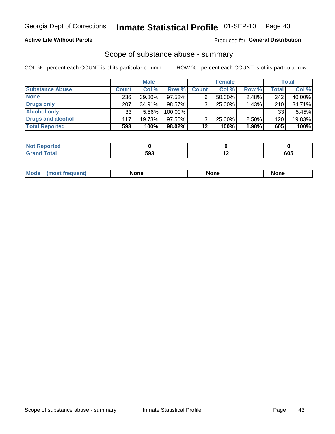### **Active Life Without Parole**

#### Produced for General Distribution

### Scope of substance abuse - summary

COL % - percent each COUNT is of its particular column

|                        |              | <b>Male</b> |         |              | <b>Female</b> |       |              | <b>Total</b> |
|------------------------|--------------|-------------|---------|--------------|---------------|-------|--------------|--------------|
| <b>Substance Abuse</b> | <b>Count</b> | Col %       | Row %   | <b>Count</b> | Col %         | Row % | <b>Total</b> | Col %        |
| <b>None</b>            | 236          | 39.80%      | 97.52%  |              | $50.00\%$     | 2.48% | 242          | 40.00%       |
| <b>Drugs only</b>      | 207          | $34.91\%$   | 98.57%  |              | 25.00%        | 1.43% | 210          | 34.71%       |
| <b>Alcohol only</b>    | 33           | $5.56\%$    | 100.00% |              |               |       | 33           | 5.45%        |
| Drugs and alcohol      | 117          | 19.73%      | 97.50%  |              | $25.00\%$     | 2.50% | 120          | 19.83%       |
| <b>Total Reported</b>  | 593          | 100%        | 98.02%  | 12           | 100%          | 1.98% | 605          | 100%         |

| <b>Not Reported</b> |     |     |
|---------------------|-----|-----|
| <b>Grand Total</b>  | 593 | 605 |

| <b>Mod</b><br>'one<br>None<br><b>None</b> |
|-------------------------------------------|
|-------------------------------------------|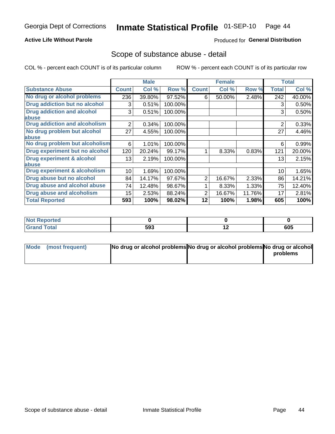### **Active Life Without Parole**

### Produced for General Distribution

## Scope of substance abuse - detail

COL % - percent each COUNT is of its particular column

|                                      |                | <b>Male</b> |         |              | <b>Female</b> |        |                | <b>Total</b> |
|--------------------------------------|----------------|-------------|---------|--------------|---------------|--------|----------------|--------------|
| <b>Substance Abuse</b>               | <b>Count</b>   | Col %       | Row %   | <b>Count</b> | Col %         | Row %  | <b>Total</b>   | Col %        |
| No drug or alcohol problems          | 236            | 39.80%      | 97.52%  | 6            | 50.00%        | 2.48%  | 242            | 40.00%       |
| Drug addiction but no alcohol        | 3              | 0.51%       | 100.00% |              |               |        | 3              | 0.50%        |
| <b>Drug addiction and alcohol</b>    | 3              | 0.51%       | 100.00% |              |               |        | 3              | 0.50%        |
| abuse                                |                |             |         |              |               |        |                |              |
| <b>Drug addiction and alcoholism</b> | $\overline{2}$ | 0.34%       | 100.00% |              |               |        | $\overline{2}$ | 0.33%        |
| No drug problem but alcohol          | 27             | 4.55%       | 100.00% |              |               |        | 27             | 4.46%        |
| abuse                                |                |             |         |              |               |        |                |              |
| No drug problem but alcoholism       | 6              | 1.01%       | 100.00% |              |               |        | 6              | 0.99%        |
| Drug experiment but no alcohol       | 120            | 20.24%      | 99.17%  |              | 8.33%         | 0.83%  | 121            | 20.00%       |
| <b>Drug experiment &amp; alcohol</b> | 13             | 2.19%       | 100.00% |              |               |        | 13             | 2.15%        |
| abuse                                |                |             |         |              |               |        |                |              |
| Drug experiment & alcoholism         | 10             | 1.69%       | 100.00% |              |               |        | 10             | 1.65%        |
| Drug abuse but no alcohol            | 84             | 14.17%      | 97.67%  | 2            | 16.67%        | 2.33%  | 86             | 14.21%       |
| Drug abuse and alcohol abuse         | 74             | 12.48%      | 98.67%  |              | 8.33%         | 1.33%  | 75             | 12.40%       |
| <b>Drug abuse and alcoholism</b>     | 15             | 2.53%       | 88.24%  | 2            | 16.67%        | 11.76% | 17             | 2.81%        |
| <b>Total Reported</b>                | 593            | 100%        | 98.02%  | 12           | 100%          | 1.98%  | 605            | 100%         |

| <b>Reported</b><br>NOT |     |     |
|------------------------|-----|-----|
| <b>otal</b>            | 593 | 605 |

| Mode (most frequent) | No drug or alcohol problems No drug or alcohol problems No drug or alcohol |          |
|----------------------|----------------------------------------------------------------------------|----------|
|                      |                                                                            | problems |
|                      |                                                                            |          |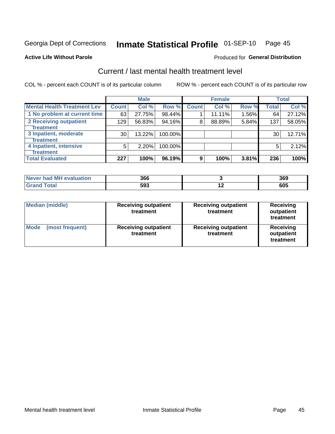# Inmate Statistical Profile 01-SEP-10 Page 45

#### **Active Life Without Parole**

#### **Produced for General Distribution**

# Current / last mental health treatment level

COL % - percent each COUNT is of its particular column

|                                    |              | <b>Male</b> |         |              | <b>Female</b> |       |              | <b>Total</b> |
|------------------------------------|--------------|-------------|---------|--------------|---------------|-------|--------------|--------------|
| <b>Mental Health Treatment Lev</b> | <b>Count</b> | Col %       | Row %   | <b>Count</b> | Col%          | Row % | <b>Total</b> | Col %        |
| 1 No problem at current time       | 63           | 27.75%      | 98.44%  |              | 11.11%        | 1.56% | 64           | 27.12%       |
| 2 Receiving outpatient             | 129          | 56.83%      | 94.16%  | 8            | 88.89%        | 5.84% | 137          | 58.05%       |
| <b>Treatment</b>                   |              |             |         |              |               |       |              |              |
| 3 Inpatient, moderate              | 30           | 13.22%      | 100.00% |              |               |       | 30           | 12.71%       |
| <b>Treatment</b>                   |              |             |         |              |               |       |              |              |
| 4 Inpatient, intensive             | 5            | 2.20%       | 100.00% |              |               |       | 5            | 2.12%        |
| <b>Treatment</b>                   |              |             |         |              |               |       |              |              |
| <b>Total Evaluated</b>             | 227          | 100%        | 96.19%  | 9            | 100%          | 3.81% | 236          | 100%         |

| Never had MH evaluation | 366 | 369 |
|-------------------------|-----|-----|
| Total                   | 593 | 605 |

| <b>Median (middle)</b>         | <b>Receiving outpatient</b><br>treatment |                                          | <b>Receiving</b><br>outpatient<br>treatment |  |
|--------------------------------|------------------------------------------|------------------------------------------|---------------------------------------------|--|
| <b>Mode</b><br>(most frequent) | <b>Receiving outpatient</b><br>treatment | <b>Receiving outpatient</b><br>treatment | <b>Receiving</b><br>outpatient<br>treatment |  |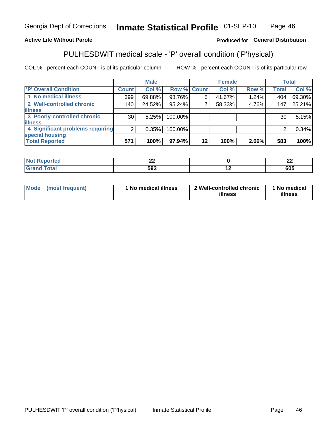#### Inmate Statistical Profile 01-SEP-10 Page 46

### **Active Life Without Parole**

### Produced for General Distribution

# PULHESDWIT medical scale - 'P' overall condition ('P'hysical)

COL % - percent each COUNT is of its particular column

|                                  |                 | <b>Male</b> |                    |         | <b>Female</b> |       |                 | <b>Total</b> |
|----------------------------------|-----------------|-------------|--------------------|---------|---------------|-------|-----------------|--------------|
| 'P' Overall Condition            | Count l         | Col %       | <b>Row % Count</b> |         | Col %         | Row % | <b>Total</b>    | Col %        |
| 1 No medical illness             | 399             | 69.88%      | 98.76%             | 5       | 41.67%        | 1.24% | 404             | 69.30%       |
| 2 Well-controlled chronic        | 140             | 24.52%      | 95.24%             |         | 58.33%        | 4.76% | 147             | 25.21%       |
| <b>illness</b>                   |                 |             |                    |         |               |       |                 |              |
| 3 Poorly-controlled chronic      | 30 <sub>1</sub> | 5.25%       | 100.00%            |         |               |       | 30 <sub>1</sub> | 5.15%        |
| <b>illness</b>                   |                 |             |                    |         |               |       |                 |              |
| 4 Significant problems requiring | ົ               | 0.35%       | 100.00%            |         |               |       | 2               | 0.34%        |
| special housing                  |                 |             |                    |         |               |       |                 |              |
| <b>Total Reported</b>            | 571             | 100%        | $97.94\%$          | $12 \,$ | 100%          | 2.06% | 583             | 100%         |

| 7 A C | $\overline{\phantom{a}}$<br>-- |                          | $\mathbf{A}$<br>-- |
|-------|--------------------------------|--------------------------|--------------------|
| 1 VW. | 593                            | $\overline{\phantom{0}}$ | 605                |

| Mode | (most frequent) | No medical illness | 2 Well-controlled chronic<br>illness | 1 No medical<br>illness |
|------|-----------------|--------------------|--------------------------------------|-------------------------|
|------|-----------------|--------------------|--------------------------------------|-------------------------|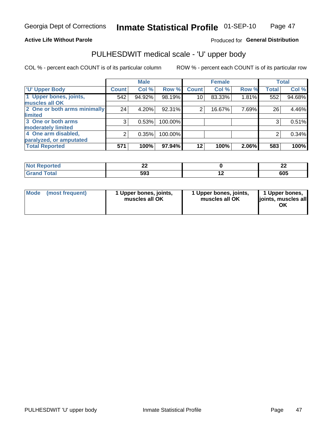#### **Active Life Without Parole**

### Produced for General Distribution

# PULHESDWIT medical scale - 'U' upper body

COL % - percent each COUNT is of its particular column

|                              |                | <b>Male</b> |         |              | <b>Female</b> |       |              | <b>Total</b> |
|------------------------------|----------------|-------------|---------|--------------|---------------|-------|--------------|--------------|
| <b>'U' Upper Body</b>        | <b>Count</b>   | Col %       | Row %   | <b>Count</b> | Col %         | Row % | <b>Total</b> | Col %        |
| 1 Upper bones, joints,       | 542            | 94.92%      | 98.19%  | 10           | 83.33%        | 1.81% | 552          | 94.68%       |
| muscles all OK               |                |             |         |              |               |       |              |              |
| 2 One or both arms minimally | 24             | 4.20%       | 92.31%  | 2            | 16.67%        | 7.69% | 26           | 4.46%        |
| <b>limited</b>               |                |             |         |              |               |       |              |              |
| 3 One or both arms           | 3              | 0.53%       | 100.00% |              |               |       | 3            | 0.51%        |
| <b>moderately limited</b>    |                |             |         |              |               |       |              |              |
| 4 One arm disabled,          | $\overline{2}$ | 0.35%       | 100.00% |              |               |       | 2            | 0.34%        |
| paralyzed, or amputated      |                |             |         |              |               |       |              |              |
| <b>Total Reported</b>        | 571            | 100%        | 97.94%  | $12 \,$      | 100%          | 2.06% | 583          | 100%         |

| <b>prted</b> | -   |     | $\overline{\phantom{a}}$ |
|--------------|-----|-----|--------------------------|
| NOT          | --  |     | --                       |
| $\cdots$     |     |     |                          |
| <b>Total</b> | 593 | . . | 605                      |

| Mode | (most frequent) | 1 Upper bones, joints,<br>muscles all OK | 1 Upper bones, joints,<br>muscles all OK | 1 Upper bones,<br>ljoints, muscles all<br>OK |
|------|-----------------|------------------------------------------|------------------------------------------|----------------------------------------------|
|------|-----------------|------------------------------------------|------------------------------------------|----------------------------------------------|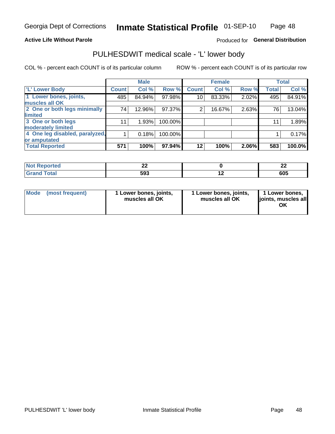#### **Active Life Without Parole**

### Produced for General Distribution

# PULHESDWIT medical scale - 'L' lower body

COL % - percent each COUNT is of its particular column

|                                |              | <b>Male</b> |         |              | <b>Female</b> |       |              | <b>Total</b> |
|--------------------------------|--------------|-------------|---------|--------------|---------------|-------|--------------|--------------|
| 'L' Lower Body                 | <b>Count</b> | Col %       | Row %   | <b>Count</b> | Col %         | Row % | <b>Total</b> | Col %        |
| 1 Lower bones, joints,         | 485          | 84.94%      | 97.98%  | 10           | 83.33%        | 2.02% | 495          | 84.91%       |
| muscles all OK                 |              |             |         |              |               |       |              |              |
| 2 One or both legs minimally   | 74           | 12.96%      | 97.37%  | 2            | 16.67%        | 2.63% | 76           | 13.04%       |
| limited                        |              |             |         |              |               |       |              |              |
| 3 One or both legs             | 11           | 1.93%       | 100.00% |              |               |       | 11           | 1.89%        |
| moderately limited             |              |             |         |              |               |       |              |              |
| 4 One leg disabled, paralyzed, |              | 0.18%       | 100.00% |              |               |       |              | 0.17%        |
| or amputated                   |              |             |         |              |               |       |              |              |
| <b>Total Reported</b>          | 571          | 100%        | 97.94%  | $12 \,$      | 100%          | 2.06% | 583          | 100.0%       |

| <b>prted</b> | -   |     | $\overline{\phantom{a}}$ |
|--------------|-----|-----|--------------------------|
| NOT          | --  |     | --                       |
| $\cdots$     |     |     |                          |
| <b>Total</b> | 593 | . . | 605                      |

|  | Mode (most frequent) | 1 Lower bones, joints,<br>muscles all OK | 1 Lower bones, joints,<br>muscles all OK | 1 Lower bones,<br>ljoints, muscles all<br>ΟK |
|--|----------------------|------------------------------------------|------------------------------------------|----------------------------------------------|
|--|----------------------|------------------------------------------|------------------------------------------|----------------------------------------------|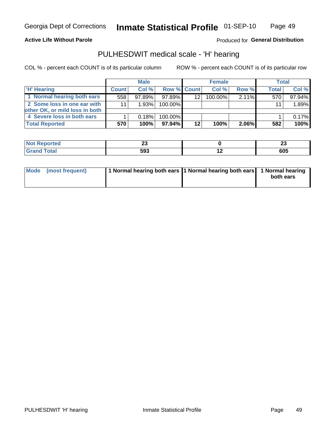#### **Active Life Without Parole**

Produced for General Distribution

# PULHESDWIT medical scale - 'H' hearing

COL % - percent each COUNT is of its particular column

|                                |              | <b>Male</b> |                    |                 | <b>Female</b> |          | Total        |        |
|--------------------------------|--------------|-------------|--------------------|-----------------|---------------|----------|--------------|--------|
| <b>H' Hearing</b>              | <b>Count</b> | Col %       | <b>Row % Count</b> |                 | Col%          | Row %    | <b>Total</b> | Col %  |
| 1 Normal hearing both ears     | 558          | $97.89\%$   | 97.89%             | 12 <sup>2</sup> | 100.00%       | $2.11\%$ | 570          | 97.94% |
| 2 Some loss in one ear with    | 11           | 1.93%       | 100.00%            |                 |               |          | 11           | 1.89%  |
| other OK, or mild loss in both |              |             |                    |                 |               |          |              |        |
| 4 Severe loss in both ears     |              | 0.18%       | 100.00%            |                 |               |          |              | 0.17%  |
| <b>Total Reported</b>          | 570          | 100%        | 97.94%             | 12              | 100%          | $2.06\%$ | 582          | 100%   |

| тео    | - -<br>Δv        | - -<br>ZJ |
|--------|------------------|-----------|
| $\sim$ | EN0<br>∼.<br>JJJ | 605       |

| Mode (most frequent) | 1 Normal hearing both ears 11 Normal hearing both ears 1 Normal hearing |           |
|----------------------|-------------------------------------------------------------------------|-----------|
|                      |                                                                         | both ears |
|                      |                                                                         |           |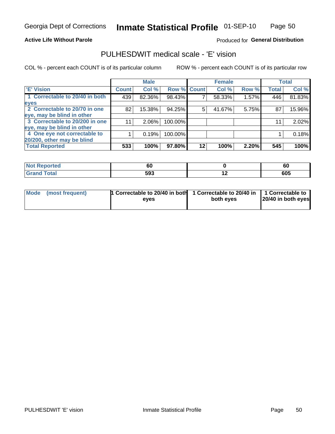#### **Active Life Without Parole**

### Produced for General Distribution

# PULHESDWIT medical scale - 'E' vision

COL % - percent each COUNT is of its particular column

|                                |              | <b>Male</b> |             |    | <b>Female</b> |       |              | <b>Total</b> |
|--------------------------------|--------------|-------------|-------------|----|---------------|-------|--------------|--------------|
| <b>E' Vision</b>               | <b>Count</b> | Col %       | Row % Count |    | Col %         | Row % | <b>Total</b> | Col %        |
| 1 Correctable to 20/40 in both | 439          | 82.36%      | 98.43%      |    | 58.33%        | 1.57% | 446          | 81.83%       |
| eyes                           |              |             |             |    |               |       |              |              |
| 2 Correctable to 20/70 in one  | 82           | 15.38%      | 94.25%      | 5  | 41.67%        | 5.75% | 87           | 15.96%       |
| eye, may be blind in other     |              |             |             |    |               |       |              |              |
| 3 Correctable to 20/200 in one | 11           | $2.06\%$    | 100.00%     |    |               |       | 11           | 2.02%        |
| eye, may be blind in other     |              |             |             |    |               |       |              |              |
| 4 One eye not correctable to   |              | 0.19%       | 100.00%     |    |               |       |              | 0.18%        |
| 20/200, other may be blind     |              |             |             |    |               |       |              |              |
| <b>Total Reported</b>          | 533          | 100%        | 97.80%      | 12 | 100%          | 2.20% | 545          | 100%         |

| orted<br><b>NOT REDO</b><br>$\cdots$ | 60  |     | c'<br>oι |
|--------------------------------------|-----|-----|----------|
| Total                                | 593 | . . | 605      |

| Mode (most frequent) | <sup>1</sup> Correctable to 20/40 in both 1 Correctable to 20/40 in 1 Correctable to<br>eves | both eyes | 20/40 in both eyes |
|----------------------|----------------------------------------------------------------------------------------------|-----------|--------------------|
|                      |                                                                                              |           |                    |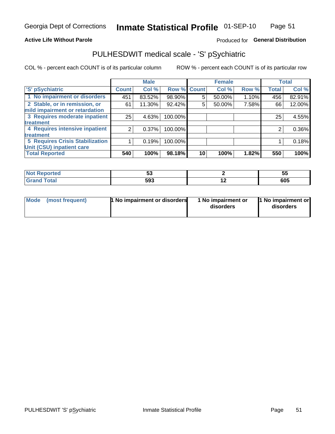#### **Active Life Without Parole**

### Produced for General Distribution

# PULHESDWIT medical scale - 'S' pSychiatric

COL % - percent each COUNT is of its particular column

|                                        |              | <b>Male</b> |             |    | <b>Female</b> |       |              | <b>Total</b> |
|----------------------------------------|--------------|-------------|-------------|----|---------------|-------|--------------|--------------|
| 'S' pSychiatric                        | <b>Count</b> | Col %       | Row % Count |    | Col %         | Row % | <b>Total</b> | Col %        |
| 1 No impairment or disorders           | 451          | 83.52%      | 98.90%      | 5  | 50.00%        | 1.10% | 456          | 82.91%       |
| 2 Stable, or in remission, or          | 61           | 11.30%      | 92.42%      | 5  | 50.00%        | 7.58% | 66           | 12.00%       |
| mild impairment or retardation         |              |             |             |    |               |       |              |              |
| 3 Requires moderate inpatient          | 25           | 4.63%       | 100.00%     |    |               |       | 25           | 4.55%        |
| <b>treatment</b>                       |              |             |             |    |               |       |              |              |
| 4 Requires intensive inpatient         | 2            | 0.37%       | 100.00%     |    |               |       | 2            | 0.36%        |
| <b>treatment</b>                       |              |             |             |    |               |       |              |              |
| <b>5 Requires Crisis Stabilization</b> |              | 0.19%       | 100.00%     |    |               |       |              | 0.18%        |
| Unit (CSU) inpatient care              |              |             |             |    |               |       |              |              |
| <b>Total Reported</b>                  | 540          | 100%        | 98.18%      | 10 | 100%          | 1.82% | 550          | 100%         |

| <b>Not Reported</b> | - -<br>JJ |     | JJ  |
|---------------------|-----------|-----|-----|
| <b>Total</b>        | 593       | . . | 605 |

| Mode<br>1 No impairment or disorders<br>(most frequent) | 1 No impairment or<br>disorders | 1 No impairment or<br>disorders |
|---------------------------------------------------------|---------------------------------|---------------------------------|
|---------------------------------------------------------|---------------------------------|---------------------------------|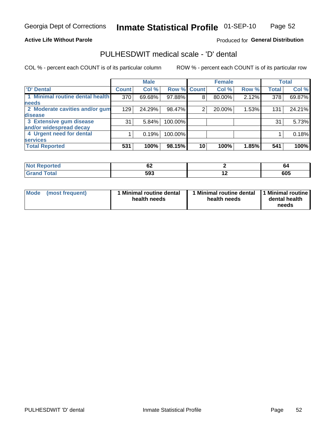#### **Active Life Without Parole**

### Produced for General Distribution

# PULHESDWIT medical scale - 'D' dental

COL % - percent each COUNT is of its particular column

|                                 |              | <b>Male</b> |             |    | <b>Female</b> |       |              | <b>Total</b> |
|---------------------------------|--------------|-------------|-------------|----|---------------|-------|--------------|--------------|
| 'D' Dental                      | <b>Count</b> | Col %       | Row % Count |    | Col %         | Row % | <b>Total</b> | Col %        |
| 1 Minimal routine dental health | 370          | 69.68%      | 97.88%      | 8  | 80.00%        | 2.12% | 378          | 69.87%       |
| <b>needs</b>                    |              |             |             |    |               |       |              |              |
| 2 Moderate cavities and/or gum  | 129          | 24.29%      | 98.47%      | 2  | 20.00%        | 1.53% | 131          | 24.21%       |
| disease                         |              |             |             |    |               |       |              |              |
| 3 Extensive gum disease         | 31           | 5.84%       | 100.00%     |    |               |       | 31           | 5.73%        |
| and/or widespread decay         |              |             |             |    |               |       |              |              |
| 4 Urgent need for dental        |              | 0.19%       | 100.00%     |    |               |       |              | 0.18%        |
| <b>services</b>                 |              |             |             |    |               |       |              |              |
| <b>Total Reported</b>           | 531          | 100%        | 98.15%      | 10 | 100%          | 1.85% | 541          | 100%         |

| المناسب المسار<br>rtea | VZ. |                          | O4  |
|------------------------|-----|--------------------------|-----|
| $f \sim f \sim f$      | 593 | $\overline{\phantom{0}}$ | 605 |

| <b>Mode</b> | (most frequent) | Minimal routine dental<br>health needs | 1 Minimal routine dental 11 Minimal routine<br>health needs | dental health<br>needs |
|-------------|-----------------|----------------------------------------|-------------------------------------------------------------|------------------------|
|-------------|-----------------|----------------------------------------|-------------------------------------------------------------|------------------------|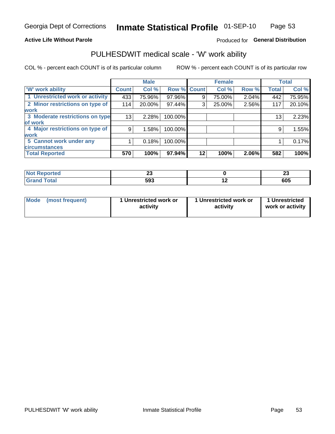#### **Active Life Without Parole**

### Produced for General Distribution

# PULHESDWIT medical scale - 'W' work ability

COL % - percent each COUNT is of its particular column

|                                 |              | <b>Male</b> |         |             | <b>Female</b> |       |                 | <b>Total</b> |
|---------------------------------|--------------|-------------|---------|-------------|---------------|-------|-----------------|--------------|
| <b>W' work ability</b>          | <b>Count</b> | Col %       |         | Row % Count | Col %         | Row % | <b>Total</b>    | Col %        |
| 1 Unrestricted work or activity | 433          | 75.96%      | 97.96%  | 9           | 75.00%        | 2.04% | 442             | 75.95%       |
| 2 Minor restrictions on type of | 114          | 20.00%      | 97.44%  | 3           | 25.00%        | 2.56% | 117             | 20.10%       |
| <b>work</b>                     |              |             |         |             |               |       |                 |              |
| 3 Moderate restrictions on type | 13           | 2.28%       | 100.00% |             |               |       | 13 <sub>1</sub> | 2.23%        |
| of work                         |              |             |         |             |               |       |                 |              |
| 4 Major restrictions on type of | 9            | 1.58%       | 100.00% |             |               |       | 9               | 1.55%        |
| <b>work</b>                     |              |             |         |             |               |       |                 |              |
| 5 Cannot work under any         |              | 0.18%       | 100.00% |             |               |       |                 | 0.17%        |
| <b>circumstances</b>            |              |             |         |             |               |       |                 |              |
| <b>Total Reported</b>           | 570          | 100%        | 97.94%  | 12          | 100%          | 2.06% | 582             | 100%         |

| <b>Not Reported</b>                  | $\sim$<br>-- |     | n.<br>-- |
|--------------------------------------|--------------|-----|----------|
| <b>Total</b><br><b>Crop</b><br>Grand | 593          | . . | 605      |

| <b>Mode</b> | (most frequent) | 1 Unrestricted work or<br>activity | 1 Unrestricted work or<br>activity | 1 Unrestricted<br>work or activity |
|-------------|-----------------|------------------------------------|------------------------------------|------------------------------------|
|-------------|-----------------|------------------------------------|------------------------------------|------------------------------------|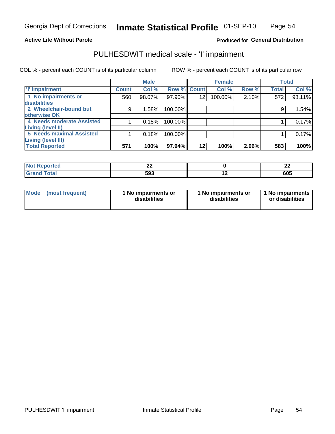#### **Active Life Without Parole**

### Produced for General Distribution

# PULHESDWIT medical scale - 'I' impairment

COL % - percent each COUNT is of its particular column ROW % - percent each COUNT is of its particular row

|                           |                    | <b>Male</b> |             |    | <b>Female</b> |       |              | <b>Total</b> |
|---------------------------|--------------------|-------------|-------------|----|---------------|-------|--------------|--------------|
| <b>T' Impairment</b>      | Count <sup>1</sup> | Col %       | Row % Count |    | Col %         | Row % | <b>Total</b> | Col %        |
| 1 No impairments or       | 560                | 98.07%      | 97.90%      | 12 | 100.00%       | 2.10% | 572          | 98.11%       |
| <b>disabilities</b>       |                    |             |             |    |               |       |              |              |
| 2 Wheelchair-bound but    | 9                  | 1.58%       | 100.00%     |    |               |       | 9            | 1.54%        |
| otherwise OK              |                    |             |             |    |               |       |              |              |
| 4 Needs moderate Assisted |                    | 0.18%       | 100.00%     |    |               |       |              | 0.17%        |
| Living (level II)         |                    |             |             |    |               |       |              |              |
| 5 Needs maximal Assisted  |                    | 0.18%       | 100.00%     |    |               |       |              | 0.17%        |
| Living (level III)        |                    |             |             |    |               |       |              |              |
| <b>Total Reported</b>     | 571                | 100%        | 97.94%      | 12 | 100%          | 2.06% | 583          | 100%         |

| <b>eported</b> | ^^<br> |     | ^^<br>-- |
|----------------|--------|-----|----------|
| <b>Total</b>   | 593    | . . | 605      |

| Mode | (most frequent) | 1 No impairments or<br>disabilities | 1 No impairments or<br>disabilities | 1 No impairments  <br>or disabilities |
|------|-----------------|-------------------------------------|-------------------------------------|---------------------------------------|
|------|-----------------|-------------------------------------|-------------------------------------|---------------------------------------|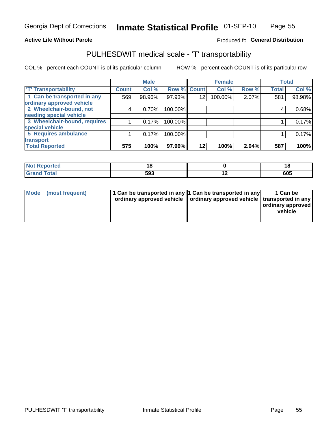#### **Active Life Without Parole**

#### Produced fo General Distribution

# PULHESDWIT medical scale - 'T' transportability

COL % - percent each COUNT is of its particular column

|                              |              | <b>Male</b> |             |                 | <b>Female</b> |       |              | <b>Total</b> |
|------------------------------|--------------|-------------|-------------|-----------------|---------------|-------|--------------|--------------|
| <b>T' Transportability</b>   | <b>Count</b> | Col %       | Row % Count |                 | Col %         | Row % | <b>Total</b> | Col %        |
| 1 Can be transported in any  | 569          | 98.96%      | 97.93%      | 12 <sup>°</sup> | 100.00%       | 2.07% | 581          | 98.98%       |
| ordinary approved vehicle    |              |             |             |                 |               |       |              |              |
| 2 Wheelchair-bound, not      | 4            | 0.70%       | 100.00%     |                 |               |       |              | 0.68%        |
| needing special vehicle      |              |             |             |                 |               |       |              |              |
| 3 Wheelchair-bound, requires |              | 0.17%       | 100.00%     |                 |               |       |              | 0.17%        |
| special vehicle              |              |             |             |                 |               |       |              |              |
| 5 Requires ambulance         |              | 0.17%       | 100.00%     |                 |               |       |              | 0.17%        |
| transport                    |              |             |             |                 |               |       |              |              |
| <b>Total Reported</b>        | 575          | 100%        | 97.96%      | $12 \,$         | 100%          | 2.04% | 587          | 100%         |

| NI.<br>ported | יי  |     | ı u |
|---------------|-----|-----|-----|
|               | 593 | . . | 605 |

| <b>Mode</b> | (most frequent) | 1 Can be transported in any 1 Can be transported in any | ordinary approved vehicle   ordinary approved vehicle   transported in any | 1 Can be<br>  ordinary approved  <br>vehicle |
|-------------|-----------------|---------------------------------------------------------|----------------------------------------------------------------------------|----------------------------------------------|
|-------------|-----------------|---------------------------------------------------------|----------------------------------------------------------------------------|----------------------------------------------|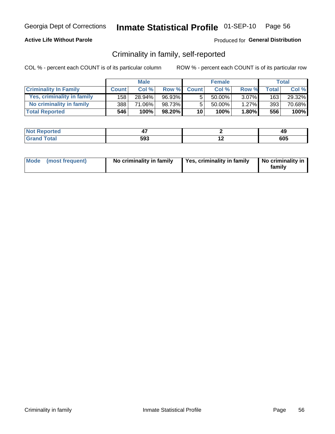### **Active Life Without Parole**

### Produced for General Distribution

# Criminality in family, self-reported

COL % - percent each COUNT is of its particular column

|                              |              | <b>Male</b> |           |                 | <b>Female</b> |          |       | Total  |
|------------------------------|--------------|-------------|-----------|-----------------|---------------|----------|-------|--------|
| <b>Criminality In Family</b> | <b>Count</b> | Col%        | Row %     | <b>Count</b>    | Col%          | Row %    | Total | Col %  |
| Yes, criminality in family   | 158          | 28.94%      | 96.93%    | 5               | 50.00%        | $3.07\%$ | 163   | 29.32% |
| No criminality in family     | 388          | 71.06%      | 98.73%    | 5               | $50.00\%$     | 1.27%    | 393   | 70.68% |
| <b>Total Reported</b>        | 546          | 100%        | $98.20\%$ | 10 <sup>1</sup> | 100%          | $1.80\%$ | 556   | 100%   |

| ≺eported<br><b>NOT</b> |     |     | 49         |
|------------------------|-----|-----|------------|
| <b>otal</b>            | 593 | . . | COE<br>ັບບ |

|  | Mode (most frequent) | No criminality in family | Yes, criminality in family | No criminality in<br>family |
|--|----------------------|--------------------------|----------------------------|-----------------------------|
|--|----------------------|--------------------------|----------------------------|-----------------------------|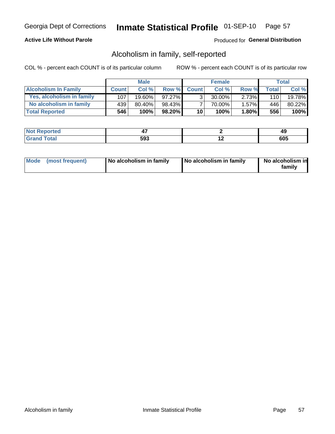### **Active Life Without Parole**

### Produced for General Distribution

# Alcoholism in family, self-reported

COL % - percent each COUNT is of its particular column

|                             |              | <b>Male</b> |           |                 | <b>Female</b> |          |              | Total   |
|-----------------------------|--------------|-------------|-----------|-----------------|---------------|----------|--------------|---------|
| <b>Alcoholism In Family</b> | <b>Count</b> | Col%        | Row %     | <b>Count</b>    | Col%          | Row %    | <b>Total</b> | Col %   |
| Yes, alcoholism in family   | 107          | 19.60%      | $97.27\%$ | 3 <sub>1</sub>  | $30.00\%$     | 2.73%    | 110          | 19.78%  |
| No alcoholism in family     | 439          | $80.40\%$   | 98.43%    |                 | 70.00%        | 1.57%    | 446          | 80.22%  |
| <b>Total Reported</b>       | 546          | 100%        | $98.20\%$ | 10 <sub>1</sub> | 100%          | $1.80\%$ | 556          | $100\%$ |

| ≺eported<br>' NOT |     |     | 45         |
|-------------------|-----|-----|------------|
| <b>otal</b>       | 593 | . . | COF<br>งบว |

|  | Mode (most frequent) | No alcoholism in family | No alcoholism in family | No alcoholism in<br>family |
|--|----------------------|-------------------------|-------------------------|----------------------------|
|--|----------------------|-------------------------|-------------------------|----------------------------|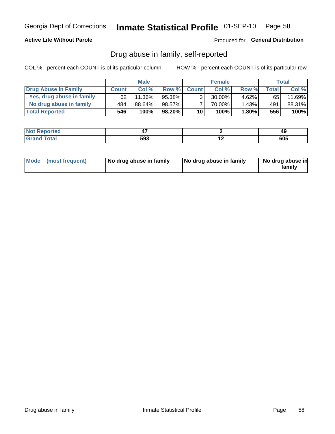### **Active Life Without Parole**

Produced for General Distribution

# Drug abuse in family, self-reported

COL % - percent each COUNT is of its particular column

|                           |              | <b>Male</b> |           |                 | <b>Female</b> |          |       | Total  |
|---------------------------|--------------|-------------|-----------|-----------------|---------------|----------|-------|--------|
| Drug Abuse In Family      | <b>Count</b> | Col %       | Row %     | <b>Count</b>    | Col%          | Row %    | Total | Col %  |
| Yes, drug abuse in family | 62           | $11.36\%$   | 95.38%    | 3 <sub>1</sub>  | $30.00\%$     | $4.62\%$ | 65    | 11.69% |
| No drug abuse in family   | 484          | 88.64%      | 98.57%    | 7               | 70.00%        | $1.43\%$ | 491   | 88.31% |
| <b>Total Reported</b>     | 546          | 100%        | $98.20\%$ | 10 <sup>1</sup> | 100%          | $1.80\%$ | 556   | 100%   |

| <b>Not Reported</b> |     |     | 49  |
|---------------------|-----|-----|-----|
| "otal<br>l Gran     | 593 | . . | 605 |

|  | Mode (most frequent) | No drug abuse in family | No drug abuse in family | No drug abuse in<br>family |
|--|----------------------|-------------------------|-------------------------|----------------------------|
|--|----------------------|-------------------------|-------------------------|----------------------------|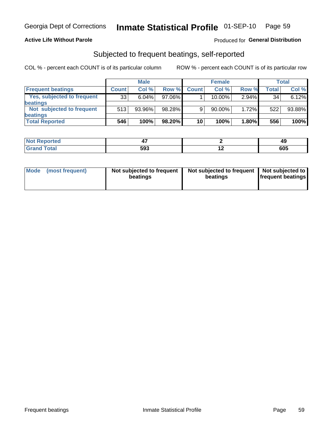### **Active Life Without Parole**

### Produced for General Distribution

# Subjected to frequent beatings, self-reported

COL % - percent each COUNT is of its particular column

|                                   |              | <b>Male</b> |           |              | <b>Female</b> |       |       | Total  |
|-----------------------------------|--------------|-------------|-----------|--------------|---------------|-------|-------|--------|
| <b>Frequent beatings</b>          | <b>Count</b> | Col %       | Row %     | <b>Count</b> | Col %         | Row % | Total | Col %  |
| <b>Yes, subjected to frequent</b> | 33           | 6.04%       | 97.06%    |              | 10.00%        | 2.94% | 34    | 6.12%  |
| <b>beatings</b>                   |              |             |           |              |               |       |       |        |
| Not subjected to frequent         | 513          | 93.96%      | 98.28%    | 9            | 90.00%        | 1.72% | 522   | 93.88% |
| <b>beatings</b>                   |              |             |           |              |               |       |       |        |
| <b>Total Reported</b>             | 546          | 100%        | $98.20\%$ | 10           | 100%          | 1.80% | 556   | 100%   |

| <b>Not Reported</b> |     |     | 49  |
|---------------------|-----|-----|-----|
| <b>Grand Total</b>  | 593 | . . | 605 |

| Mode (most frequent) | Not subjected to frequent<br>beatings | Not subjected to frequent<br>beatings | Not subjected to<br><b>frequent beatings</b> |
|----------------------|---------------------------------------|---------------------------------------|----------------------------------------------|
|                      |                                       |                                       |                                              |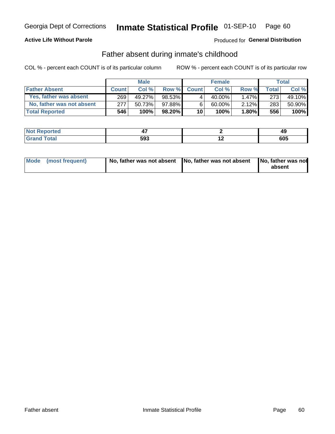### **Active Life Without Parole**

### Produced for General Distribution

# Father absent during inmate's childhood

COL % - percent each COUNT is of its particular column

|                           |              | <b>Male</b> |         |                 | <b>Female</b> |          |       | Total  |
|---------------------------|--------------|-------------|---------|-----------------|---------------|----------|-------|--------|
| <b>Father Absent</b>      | <b>Count</b> | Col%        | Row %   | <b>Count</b>    | Col %         | Row %    | Total | Col %  |
| Yes, father was absent    | 269          | 49.27%      | 98.53%I | 4               | 40.00%        | $1.47\%$ | 273   | 49.10% |
| No, father was not absent | 277          | 50.73%      | 97.88%  | 6               | 60.00%        | 2.12%    | 283   | 50.90% |
| <b>Total Reported</b>     | 546          | 100%        | 98.20%  | 10 <sup>1</sup> | 100%          | $1.80\%$ | 556   | 100%   |

| ≺eported<br><b>NOT</b> |     |     | 49         |
|------------------------|-----|-----|------------|
| <b>otal</b>            | 593 | . . | COE<br>ັບບ |

|  | Mode (most frequent) | No, father was not absent No, father was not absent |  | No, father was not<br>absent |
|--|----------------------|-----------------------------------------------------|--|------------------------------|
|--|----------------------|-----------------------------------------------------|--|------------------------------|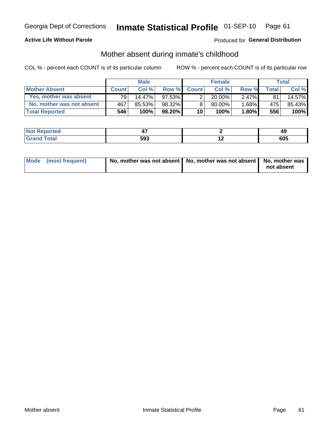### **Active Life Without Parole**

### Produced for General Distribution

# Mother absent during inmate's childhood

COL % - percent each COUNT is of its particular column

|                           |                 | <b>Male</b> |           |              | <b>Female</b> |          |         | <b>Total</b> |
|---------------------------|-----------------|-------------|-----------|--------------|---------------|----------|---------|--------------|
| <b>Mother Absent</b>      | <b>Count</b>    | Col%        | Row %     | <b>Count</b> | Col %         | Row %    | Total ⊧ | Col %        |
| Yes, mother was absent    | 79 <sub>1</sub> | 14.47%      | $97.53\%$ | ◠            | $20.00\%$     | $2.47\%$ | 81      | 14.57%       |
| No, mother was not absent | 467             | 85.53%      | 98.32%    | 8            | $80.00\%$     | 1.68%    | 475     | 85.43%       |
| <b>Total Reported</b>     | 546             | 100%        | $98.20\%$ | 10           | 100%          | $1.80\%$ | 556     | 100%         |

| <b>rted</b><br><b>NOT</b> |     | - 6 |
|---------------------------|-----|-----|
| $\sim$                    | EN9 | 00F |
| $\sim$                    | าง. | งบว |

| Mode (most frequent) | No, mother was not absent   No, mother was not absent   No, mother was | not absent |
|----------------------|------------------------------------------------------------------------|------------|
|                      |                                                                        |            |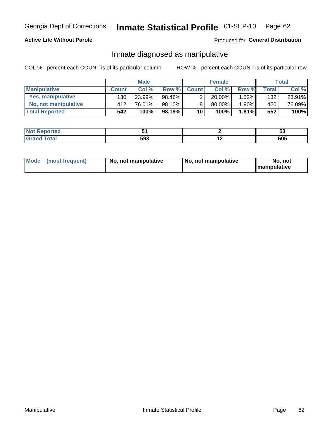### **Active Life Without Parole**

### Produced for General Distribution

# Inmate diagnosed as manipulative

COL % - percent each COUNT is of its particular column

|                          |              | <b>Male</b> |           |                | <b>Female</b> |       |              | Total  |
|--------------------------|--------------|-------------|-----------|----------------|---------------|-------|--------------|--------|
| <b>Manipulative</b>      | <b>Count</b> | Col %       | Row %     | <b>Count</b>   | Col %         | Row % | <b>Total</b> | Col %  |
| <b>Yes, manipulative</b> | 130 l        | 23.99%      | 98.48%    | $\overline{2}$ | $20.00\%$     | 1.52% | 132          | 23.91% |
| No, not manipulative     | 412          | 76.01%      | 98.10%    | 8              | 80.00%        | 1.90% | 420          | 76.09% |
| <b>Total Reported</b>    | 542          | 100%        | $98.19\%$ | 10             | 100%          | 1.81% | 552          | 100%   |

| <b>Not Reported</b>     |     |     | JJ  |
|-------------------------|-----|-----|-----|
| <b>c</b> otal<br>l Gran | 593 | . . | 605 |

|  | Mode (most frequent) | No, not manipulative | No, not manipulative | No. not<br><b>I</b> manipulative |
|--|----------------------|----------------------|----------------------|----------------------------------|
|--|----------------------|----------------------|----------------------|----------------------------------|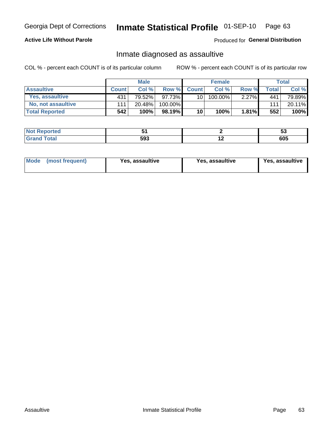# Inmate Statistical Profile 01-SEP-10 Page 63

### **Active Life Without Parole**

#### Produced for General Distribution

# Inmate diagnosed as assaultive

COL % - percent each COUNT is of its particular column

|                       |              | <b>Male</b> |         |              | <b>Female</b> |          |       | Total  |
|-----------------------|--------------|-------------|---------|--------------|---------------|----------|-------|--------|
| <b>Assaultive</b>     | <b>Count</b> | Col%        | Row %   | <b>Count</b> | Col %         | Row %    | Total | Col %  |
| Yes, assaultive       | 431          | 79.52%      | 97.73%  | 10           | 100.00%       | $2.27\%$ | 441   | 79.89% |
| No, not assaultive    | 111          | 20.48%      | 100.00% |              |               |          | 111   | 20.11% |
| <b>Total Reported</b> | 542          | 100%        | 98.19%  | 10           | 100%          | 1.81%    | 552   | 100%   |

| <b>Reported</b><br><b>NO</b> t<br>. |     |     | w   |
|-------------------------------------|-----|-----|-----|
| <b>c</b> otal                       | 593 | . . | 605 |

| <b>Mode</b><br>(most frequent) | <b>Yes, assaultive</b> | Yes, assaultive | <b>Yes, assaultive</b> |
|--------------------------------|------------------------|-----------------|------------------------|
|--------------------------------|------------------------|-----------------|------------------------|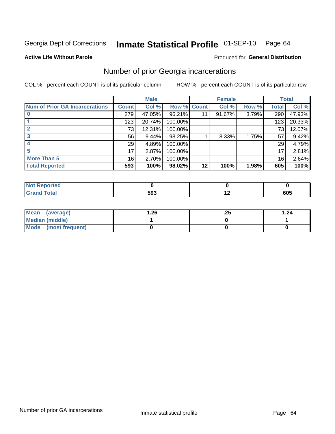#### Inmate Statistical Profile 01-SEP-10 Page 64

#### **Active Life Without Parole**

#### **Produced for General Distribution**

# Number of prior Georgia incarcerations

COL % - percent each COUNT is of its particular column

|                                       |                 | <b>Male</b> |                    |    | <b>Female</b> |       |       | <b>Total</b> |
|---------------------------------------|-----------------|-------------|--------------------|----|---------------|-------|-------|--------------|
| <b>Num of Prior GA Incarcerations</b> | <b>Count</b>    | Col %       | <b>Row % Count</b> |    | Col %         | Row % | Total | Col %        |
|                                       | 279             | 47.05%      | 96.21%             |    | 91.67%        | 3.79% | 290   | 47.93%       |
|                                       | 123             | 20.74%      | 100.00%            |    |               |       | 123   | 20.33%       |
|                                       | 73              | 12.31%      | 100.00%            |    |               |       | 73    | 12.07%       |
|                                       | 56              | 9.44%       | 98.25%             |    | 8.33%         | 1.75% | 57    | 9.42%        |
|                                       | 29              | 4.89%       | 100.00%            |    |               |       | 29    | 4.79%        |
| 5                                     | 17              | 2.87%       | 100.00%            |    |               |       | 17    | 2.81%        |
| <b>More Than 5</b>                    | 16 <sub>1</sub> | 2.70%       | 100.00%            |    |               |       | 16    | 2.64%        |
| <b>Total Reported</b>                 | 593             | 100%        | 98.02%             | 12 | 100%          | 1.98% | 605   | 100%         |

| Reported<br>: NOT |     |     |
|-------------------|-----|-----|
| <b>Total</b>      | 593 | 605 |

| Mean (average)       | 26.، | ن 2. | 1.24 |
|----------------------|------|------|------|
| Median (middle)      |      |      |      |
| Mode (most frequent) |      |      |      |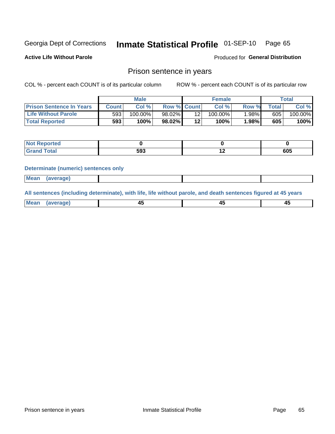#### Inmate Statistical Profile 01-SEP-10 Page 65

**Active Life Without Parole** 

**Produced for General Distribution** 

### Prison sentence in years

COL % - percent each COUNT is of its particular column

ROW % - percent each COUNT is of its particular row

|                                 |       | <b>Male</b> |                    |         | <b>Female</b> |          |       | $\tau$ otal |
|---------------------------------|-------|-------------|--------------------|---------|---------------|----------|-------|-------------|
| <b>Prison Sentence In Years</b> | Count | Col %       | <b>Row % Count</b> |         | Col%          | Row %    | Total | Col %       |
| <b>Life Without Parole</b>      | 593   | $100.00\%$  | 98.02%             |         | $100.00\%$    | $1.98\%$ | 605   | 100.00%     |
| <b>Total Reported</b>           | 593   | 100%        | 98.02%             | $12 \,$ | 100%          | 1.98%    | 605   | 100%        |

| <b>Not Reported</b><br>$\sim$ |     |     |
|-------------------------------|-----|-----|
| <b>Total</b>                  | 593 | 605 |

#### **Determinate (numeric) sentences only**

| <b>Mean</b><br><i>(average)</i> |  |
|---------------------------------|--|
|---------------------------------|--|

All sentences (including determinate), with life, life without parole, and death sentences figured at 45 years

| l Mea<br>апе<br>. | -⊷ |  |
|-------------------|----|--|
|                   |    |  |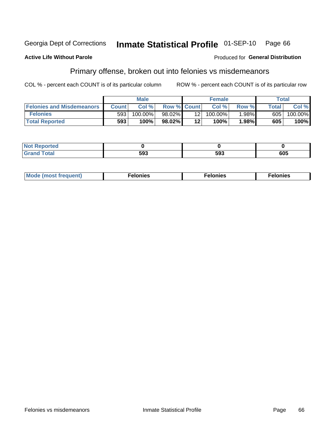#### Inmate Statistical Profile 01-SEP-10 Georgia Dept of Corrections Page 66

#### **Active Life Without Parole**

#### **Produced for General Distribution**

# Primary offense, broken out into felonies vs misdemeanors

COL % - percent each COUNT is of its particular column

|                                  |                  | <b>Male</b> |                    |                 | <b>Female</b> |       |              | Total   |
|----------------------------------|------------------|-------------|--------------------|-----------------|---------------|-------|--------------|---------|
| <b>Felonies and Misdemeanors</b> | <b>Count</b>     | Col%        | <b>Row % Count</b> |                 | Col%          | Row % | <b>Total</b> | Col %   |
| <b>Felonies</b>                  | 593 <sub>1</sub> | $100.00\%$  | 98.02%             | 12 <sub>1</sub> | $100.00\%$    | 1.98% | 605          | 100.00% |
| <b>Total Reported</b>            | 593              | 100%        | 98.02%             | 12'             | $100\%$       | .98%  | 605          | 100%    |

| <b>Not Reported</b>         |            |     |     |
|-----------------------------|------------|-----|-----|
| <b>Total</b><br>Gran<br>uuu | -^^<br>ມສວ | 593 | 605 |

| <b>Mode</b><br>frequent)<br>nies<br>≧ (most tr.<br>. | onies<br>. | lonies<br>ею<br>____ |
|------------------------------------------------------|------------|----------------------|
|------------------------------------------------------|------------|----------------------|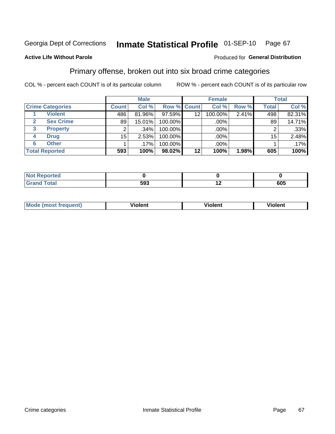#### Inmate Statistical Profile 01-SEP-10 Page 67

#### **Active Life Without Parole**

#### Produced for General Distribution

# Primary offense, broken out into six broad crime categories

COL % - percent each COUNT is of its particular column

|                         | <b>Male</b>  |         |                    | <b>Female</b> |         |       | <b>Total</b> |         |
|-------------------------|--------------|---------|--------------------|---------------|---------|-------|--------------|---------|
| <b>Crime Categories</b> | <b>Count</b> | Col %   | <b>Row % Count</b> |               | Col %   | Row % | <b>Total</b> | Col %   |
| <b>Violent</b>          | 486          | 81.96%  | 97.59%             | 12            | 100.00% | 2.41% | 498          | 82.31%  |
| <b>Sex Crime</b>        | 89           | 15.01%  | 100.00%            |               | .00%    |       | 89           | 14.71%  |
| 3<br><b>Property</b>    | 2            | .34%    | 100.00%            |               | .00%    |       |              | $.33\%$ |
| <b>Drug</b><br>4        | $15\,$       | 2.53%   | 100.00%            |               | .00%    |       | 15           | 2.48%   |
| <b>Other</b><br>6       |              | $.17\%$ | 100.00%            |               | .00%    |       |              | .17%    |
| <b>Total Reported</b>   | 593          | 100%    | 98.02%             | 12            | 100%    | 1.98% | 605          | 100%    |

| <b>Not Reported</b> |     |     |     |
|---------------------|-----|-----|-----|
| <b>Total</b>        | 593 | . . | 605 |

| М | ,,, | - -- -<br>וחו | m |
|---|-----|---------------|---|
|   |     |               |   |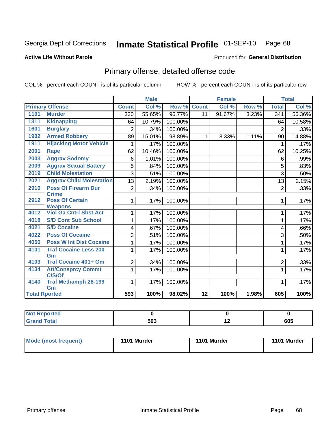# Inmate Statistical Profile 01-SEP-10 Page 68

#### **Active Life Without Parole**

#### **Produced for General Distribution**

# Primary offense, detailed offense code

COL % - percent each COUNT is of its particular column

|                      |                                                 |                | <b>Male</b> |         |                 | <b>Female</b> |       |                  | <b>Total</b> |
|----------------------|-------------------------------------------------|----------------|-------------|---------|-----------------|---------------|-------|------------------|--------------|
|                      | <b>Primary Offense</b>                          | <b>Count</b>   | Col %       | Row %   | <b>Count</b>    | Col %         | Row % | <b>Total</b>     | Col %        |
| 1101                 | <b>Murder</b>                                   | 330            | 55.65%      | 96.77%  | 11              | 91.67%        | 3.23% | $\overline{341}$ | 56.36%       |
| 1311                 | <b>Kidnapping</b>                               | 64             | 10.79%      | 100.00% |                 |               |       | 64               | 10.58%       |
| 1601                 | <b>Burglary</b>                                 | 2              | .34%        | 100.00% |                 |               |       | $\overline{2}$   | .33%         |
| 1902                 | <b>Armed Robbery</b>                            | 89             | 15.01%      | 98.89%  | $\mathbf{1}$    | 8.33%         | 1.11% | 90               | 14.88%       |
| 1911                 | <b>Hijacking Motor Vehicle</b>                  |                | .17%        | 100.00% |                 |               |       | 1                | .17%         |
| 2001                 | <b>Rape</b>                                     | 62             | 10.46%      | 100.00% |                 |               |       | 62               | 10.25%       |
| 2003                 | <b>Aggrav Sodomy</b>                            | 6              | 1.01%       | 100.00% |                 |               |       | 6                | .99%         |
| 2009                 | <b>Aggrav Sexual Battery</b>                    | 5              | .84%        | 100.00% |                 |               |       | 5                | .83%         |
| 2019                 | <b>Child Molestation</b>                        | 3              | .51%        | 100.00% |                 |               |       | 3                | .50%         |
| 2021                 | <b>Aggrav Child Molestation</b>                 | 13             | 2.19%       | 100.00% |                 |               |       | 13               | 2.15%        |
| 2910                 | <b>Poss Of Firearm Dur</b>                      | $\overline{2}$ | .34%        | 100.00% |                 |               |       | $\overline{2}$   | .33%         |
|                      | <b>Crime</b>                                    |                |             |         |                 |               |       |                  |              |
| 2912                 | <b>Poss Of Certain</b>                          | 1              | .17%        | 100.00% |                 |               |       | 1                | .17%         |
| 4012                 | <b>Weapons</b><br><b>Viol Ga Cntrl Sbst Act</b> |                |             |         |                 |               |       |                  |              |
|                      |                                                 |                | .17%        | 100.00% |                 |               |       | 1                | .17%         |
| 4018                 | <b>S/D Cont Sub School</b>                      | 1              | .17%        | 100.00% |                 |               |       | 1                | .17%         |
| 4021                 | <b>S/D Cocaine</b>                              | 4              | .67%        | 100.00% |                 |               |       | 4                | .66%         |
| 4022                 | <b>Poss Of Cocaine</b>                          | 3              | .51%        | 100.00% |                 |               |       | 3                | .50%         |
| 4050                 | <b>Poss W Int Dist Cocaine</b>                  |                | .17%        | 100.00% |                 |               |       | 1                | .17%         |
| 4101                 | <b>Traf Cocaine Less 200</b>                    | 1              | .17%        | 100.00% |                 |               |       | 1                | .17%         |
|                      | Gm                                              |                |             |         |                 |               |       |                  |              |
| 4103                 | <b>Traf Cocaine 401+ Gm</b>                     | $\overline{2}$ | .34%        | 100.00% |                 |               |       | $\overline{2}$   | .33%         |
| 4134                 | <b>Att/Consprcy Commt</b>                       | 1              | .17%        | 100.00% |                 |               |       | $\mathbf{1}$     | .17%         |
|                      | C/S/Of                                          |                |             |         |                 |               |       |                  |              |
| 4140                 | <b>Traf Methamph 28-199</b>                     | 1              | .17%        | 100.00% |                 |               |       | 1                | .17%         |
|                      | Gm                                              |                |             |         |                 |               |       |                  |              |
| <b>Total Rported</b> |                                                 | 593            | 100%        | 98.02%  | $\overline{12}$ | 100%          | 1.98% | 605              | 100%         |

| oorted<br>'N ( |     |     |     |
|----------------|-----|-----|-----|
| <b>otal</b>    | 593 | . . | 605 |

| <b>Mode (most frequent)</b> | 1101 Murder | 1101 Murder | 1101 Murder |
|-----------------------------|-------------|-------------|-------------|
|                             |             |             |             |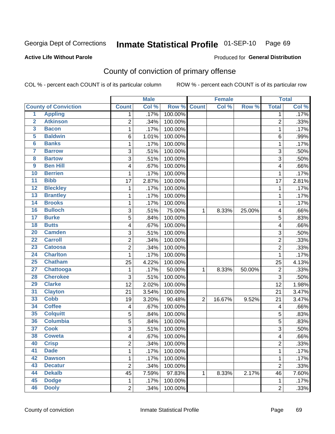# Inmate Statistical Profile 01-SEP-10 Page 69

#### **Active Life Without Parole**

#### **Produced for General Distribution**

# County of conviction of primary offense

COL % - percent each COUNT is of its particular column

|                         |                             |                         | <b>Male</b> |         | <b>Female</b>  |        |        | <b>Total</b>   |       |
|-------------------------|-----------------------------|-------------------------|-------------|---------|----------------|--------|--------|----------------|-------|
|                         | <b>County of Conviction</b> | <b>Count</b>            | Col %       | Row %   | <b>Count</b>   | Col %  | Row %  | <b>Total</b>   | Col % |
| 1                       | <b>Appling</b>              | 1                       | .17%        | 100.00% |                |        |        | 1              | .17%  |
| $\overline{2}$          | <b>Atkinson</b>             | $\overline{2}$          | .34%        | 100.00% |                |        |        | $\overline{2}$ | .33%  |
| $\overline{\mathbf{3}}$ | <b>Bacon</b>                | $\mathbf 1$             | .17%        | 100.00% |                |        |        | 1              | .17%  |
| 5                       | <b>Baldwin</b>              | 6                       | 1.01%       | 100.00% |                |        |        | 6              | .99%  |
| 6                       | <b>Banks</b>                | 1                       | .17%        | 100.00% |                |        |        | 1              | .17%  |
| $\overline{\mathbf{7}}$ | <b>Barrow</b>               | 3                       | .51%        | 100.00% |                |        |        | 3              | .50%  |
| $\overline{\mathbf{8}}$ | <b>Bartow</b>               | 3                       | .51%        | 100.00% |                |        |        | $\overline{3}$ | .50%  |
| $\overline{9}$          | <b>Ben Hill</b>             | 4                       | .67%        | 100.00% |                |        |        | 4              | .66%  |
| 10                      | <b>Berrien</b>              | 1                       | .17%        | 100.00% |                |        |        | 1              | .17%  |
| $\overline{11}$         | <b>Bibb</b>                 | 17                      | 2.87%       | 100.00% |                |        |        | 17             | 2.81% |
| $\overline{12}$         | <b>Bleckley</b>             | 1                       | .17%        | 100.00% |                |        |        | $\mathbf 1$    | .17%  |
| 13                      | <b>Brantley</b>             | 1                       | .17%        | 100.00% |                |        |        | 1              | .17%  |
| 14                      | <b>Brooks</b>               | 1                       | .17%        | 100.00% |                |        |        | 1              | .17%  |
| 16                      | <b>Bulloch</b>              | 3                       | .51%        | 75.00%  | 1              | 8.33%  | 25.00% | 4              | .66%  |
| $\overline{17}$         | <b>Burke</b>                | 5                       | .84%        | 100.00% |                |        |        | 5              | .83%  |
| $\overline{18}$         | <b>Butts</b>                | 4                       | .67%        | 100.00% |                |        |        | 4              | .66%  |
| $\overline{20}$         | <b>Camden</b>               | 3                       | .51%        | 100.00% |                |        |        | 3              | .50%  |
| $\overline{22}$         | <b>Carroll</b>              | $\overline{c}$          | .34%        | 100.00% |                |        |        | $\overline{c}$ | .33%  |
| 23                      | <b>Catoosa</b>              | $\overline{c}$          | .34%        | 100.00% |                |        |        | $\overline{2}$ | .33%  |
| $\overline{24}$         | <b>Charlton</b>             | 1                       | .17%        | 100.00% |                |        |        | $\mathbf{1}$   | .17%  |
| $\overline{25}$         | <b>Chatham</b>              | 25                      | 4.22%       | 100.00% |                |        |        | 25             | 4.13% |
| $\overline{27}$         | Chattooga                   | 1                       | .17%        | 50.00%  | 1              | 8.33%  | 50.00% | $\overline{c}$ | .33%  |
| 28                      | <b>Cherokee</b>             | 3                       | .51%        | 100.00% |                |        |        | $\overline{3}$ | .50%  |
| 29                      | <b>Clarke</b>               | 12                      | 2.02%       | 100.00% |                |        |        | 12             | 1.98% |
| $\overline{31}$         | <b>Clayton</b>              | 21                      | 3.54%       | 100.00% |                |        |        | 21             | 3.47% |
| 33                      | <b>Cobb</b>                 | 19                      | 3.20%       | 90.48%  | $\overline{2}$ | 16.67% | 9.52%  | 21             | 3.47% |
| 34                      | <b>Coffee</b>               | 4                       | .67%        | 100.00% |                |        |        | 4              | .66%  |
| 35                      | <b>Colquitt</b>             | 5                       | .84%        | 100.00% |                |        |        | 5              | .83%  |
| 36                      | <b>Columbia</b>             | 5                       | .84%        | 100.00% |                |        |        | 5              | .83%  |
| $\overline{37}$         | <b>Cook</b>                 | 3                       | .51%        | 100.00% |                |        |        | 3              | .50%  |
| 38                      | <b>Coweta</b>               | 4                       | .67%        | 100.00% |                |        |        | 4              | .66%  |
| 40                      | <b>Crisp</b>                | $\overline{\mathbf{c}}$ | .34%        | 100.00% |                |        |        | 2              | .33%  |
| 41                      | <b>Dade</b>                 | 1                       | .17%        | 100.00% |                |        |        | $\mathbf{1}$   | .17%  |
| 42                      | <b>Dawson</b>               | $\mathbf{1}$            | .17%        | 100.00% |                |        |        | 1              | .17%  |
| 43                      | <b>Decatur</b>              | $\overline{2}$          | .34%        | 100.00% |                |        |        | $\overline{2}$ | .33%  |
| 44                      | <b>Dekalb</b>               | 45                      | 7.59%       | 97.83%  | 1              | 8.33%  | 2.17%  | 46             | 7.60% |
| 45                      | <b>Dodge</b>                | $\mathbf{1}$            | .17%        | 100.00% |                |        |        | $\mathbf{1}$   | .17%  |
| 46                      | <b>Dooly</b>                | $\overline{2}$          | .34%        | 100.00% |                |        |        | $\overline{2}$ | .33%  |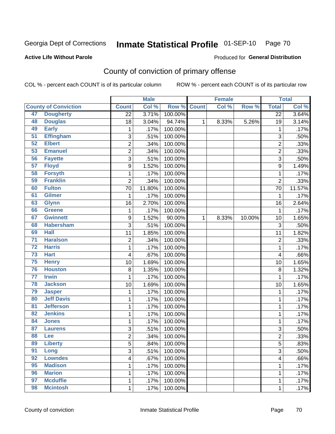# Inmate Statistical Profile 01-SEP-10 Page 70

#### **Active Life Without Parole**

#### Produced for General Distribution

# County of conviction of primary offense

COL % - percent each COUNT is of its particular column

|                 |                             |                         | <b>Male</b> |             |   | <b>Female</b> |        |                 | <b>Total</b> |
|-----------------|-----------------------------|-------------------------|-------------|-------------|---|---------------|--------|-----------------|--------------|
|                 | <b>County of Conviction</b> | <b>Count</b>            | Col %       | Row % Count |   | Col%          | Row %  | <b>Total</b>    | Col %        |
| 47              | <b>Dougherty</b>            | $\overline{22}$         | 3.71%       | 100.00%     |   |               |        | $\overline{22}$ | 3.64%        |
| 48              | <b>Douglas</b>              | 18                      | 3.04%       | 94.74%      | 1 | 8.33%         | 5.26%  | 19              | 3.14%        |
| 49              | <b>Early</b>                | 1                       | .17%        | 100.00%     |   |               |        | 1               | .17%         |
| 51              | <b>Effingham</b>            | 3                       | .51%        | 100.00%     |   |               |        | 3               | .50%         |
| 52              | <b>Elbert</b>               | $\overline{c}$          | .34%        | 100.00%     |   |               |        | $\overline{2}$  | .33%         |
| 53              | <b>Emanuel</b>              | $\overline{2}$          | .34%        | 100.00%     |   |               |        | $\overline{2}$  | .33%         |
| 56              | <b>Fayette</b>              | $\overline{3}$          | .51%        | 100.00%     |   |               |        | $\overline{3}$  | .50%         |
| 57              | <b>Floyd</b>                | $\boldsymbol{9}$        | 1.52%       | 100.00%     |   |               |        | 9               | 1.49%        |
| 58              | <b>Forsyth</b>              | 1                       | .17%        | 100.00%     |   |               |        | 1               | .17%         |
| 59              | <b>Franklin</b>             | $\overline{2}$          | .34%        | 100.00%     |   |               |        | $\overline{2}$  | .33%         |
| 60              | <b>Fulton</b>               | 70                      | 11.80%      | 100.00%     |   |               |        | 70              | 11.57%       |
| 61              | <b>Gilmer</b>               | 1                       | .17%        | 100.00%     |   |               |        | 1               | .17%         |
| 63              | <b>Glynn</b>                | 16                      | 2.70%       | 100.00%     |   |               |        | 16              | 2.64%        |
| 66              | <b>Greene</b>               | 1                       | .17%        | 100.00%     |   |               |        | 1               | .17%         |
| 67              | <b>Gwinnett</b>             | $\boldsymbol{9}$        | 1.52%       | 90.00%      | 1 | 8.33%         | 10.00% | 10              | 1.65%        |
| 68              | <b>Habersham</b>            | 3                       | .51%        | 100.00%     |   |               |        | 3               | .50%         |
| 69              | <b>Hall</b>                 | 11                      | 1.85%       | 100.00%     |   |               |        | 11              | 1.82%        |
| $\overline{71}$ | <b>Haralson</b>             | $\overline{c}$          | .34%        | 100.00%     |   |               |        | $\overline{2}$  | .33%         |
| $\overline{72}$ | <b>Harris</b>               | 1                       | .17%        | 100.00%     |   |               |        | $\mathbf 1$     | .17%         |
| 73              | <b>Hart</b>                 | $\overline{\mathbf{4}}$ | .67%        | 100.00%     |   |               |        | 4               | .66%         |
| $\overline{75}$ | <b>Henry</b>                | 10                      | 1.69%       | 100.00%     |   |               |        | 10              | 1.65%        |
| 76              | <b>Houston</b>              | 8                       | 1.35%       | 100.00%     |   |               |        | 8               | 1.32%        |
| $\overline{77}$ | <b>Irwin</b>                | 1                       | .17%        | 100.00%     |   |               |        | 1               | .17%         |
| 78              | <b>Jackson</b>              | 10                      | 1.69%       | 100.00%     |   |               |        | 10              | 1.65%        |
| 79              | <b>Jasper</b>               | 1                       | .17%        | 100.00%     |   |               |        | 1               | .17%         |
| 80              | <b>Jeff Davis</b>           | 1                       | .17%        | 100.00%     |   |               |        | 1               | .17%         |
| 81              | <b>Jefferson</b>            | 1                       | .17%        | 100.00%     |   |               |        | $\mathbf 1$     | .17%         |
| 82              | <b>Jenkins</b>              | 1                       | .17%        | 100.00%     |   |               |        | 1               | .17%         |
| 84              | <b>Jones</b>                | 1                       | .17%        | 100.00%     |   |               |        | 1               | .17%         |
| 87              | <b>Laurens</b>              | 3                       | .51%        | 100.00%     |   |               |        | 3               | .50%         |
| 88              | Lee                         | $\overline{2}$          | .34%        | 100.00%     |   |               |        | $\overline{c}$  | .33%         |
| 89              | <b>Liberty</b>              | 5                       | .84%        | 100.00%     |   |               |        | 5               | .83%         |
| 91              | Long                        | $\overline{3}$          | .51%        | 100.00%     |   |               |        | $\overline{3}$  | .50%         |
| 92              | <b>Lowndes</b>              | 4                       | .67%        | 100.00%     |   |               |        | 4               | .66%         |
| 95              | <b>Madison</b>              | 1                       | .17%        | 100.00%     |   |               |        | 1               | .17%         |
| 96              | <b>Marion</b>               | 1                       | .17%        | 100.00%     |   |               |        | 1               | .17%         |
| 97              | <b>Mcduffie</b>             | 1                       | .17%        | 100.00%     |   |               |        | 1               | .17%         |
| 98              | <b>Mcintosh</b>             | 1                       | .17%        | 100.00%     |   |               |        | 1               | .17%         |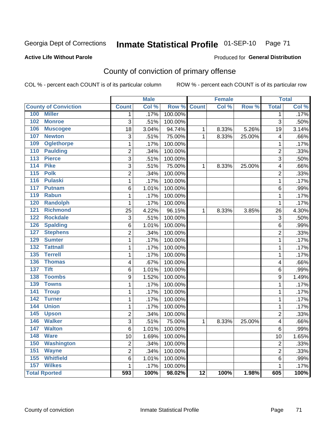# Inmate Statistical Profile 01-SEP-10 Page 71

#### **Active Life Without Parole**

#### Produced for General Distribution

# County of conviction of primary offense

COL % - percent each COUNT is of its particular column

|                                    |                 | <b>Male</b> |         |                 | <b>Female</b> |        |                | <b>Total</b> |
|------------------------------------|-----------------|-------------|---------|-----------------|---------------|--------|----------------|--------------|
| <b>County of Conviction</b>        | <b>Count</b>    | Col %       | Row %   | <b>Count</b>    | Col %         | Row %  | <b>Total</b>   | Col %        |
| 100<br><b>Miller</b>               | $\mathbf{1}$    | .17%        | 100.00% |                 |               |        | $\mathbf{1}$   | .17%         |
| 102<br><b>Monroe</b>               | $\overline{3}$  | .51%        | 100.00% |                 |               |        | $\overline{3}$ | .50%         |
| 106<br><b>Muscogee</b>             | $\overline{18}$ | 3.04%       | 94.74%  | $\mathbf{1}$    | 8.33%         | 5.26%  | 19             | 3.14%        |
| 107<br><b>Newton</b>               | 3               | .51%        | 75.00%  | 1               | 8.33%         | 25.00% | 4              | .66%         |
| 109<br><b>Oglethorpe</b>           | $\mathbf{1}$    | .17%        | 100.00% |                 |               |        | $\mathbf{1}$   | .17%         |
| 110<br><b>Paulding</b>             | $\overline{2}$  | .34%        | 100.00% |                 |               |        | $\overline{2}$ | .33%         |
| 113<br><b>Pierce</b>               | $\overline{3}$  | .51%        | 100.00% |                 |               |        | $\overline{3}$ | .50%         |
| <b>Pike</b><br>114                 | 3               | .51%        | 75.00%  | $\mathbf{1}$    | 8.33%         | 25.00% | 4              | .66%         |
| <b>Polk</b><br>115                 | $\overline{2}$  | .34%        | 100.00% |                 |               |        | $\overline{2}$ | .33%         |
| <b>Pulaski</b><br>116              | $\mathbf{1}$    | .17%        | 100.00% |                 |               |        | $\mathbf{1}$   | .17%         |
| 117<br><b>Putnam</b>               | 6               | 1.01%       | 100.00% |                 |               |        | 6              | .99%         |
| 119<br><b>Rabun</b>                | 1               | .17%        | 100.00% |                 |               |        | $\mathbf 1$    | .17%         |
| <b>Randolph</b><br>120             | $\mathbf{1}$    | .17%        | 100.00% |                 |               |        | $\mathbf{1}$   | .17%         |
| <b>Richmond</b><br>121             | $\overline{25}$ | 4.22%       | 96.15%  | $\mathbf{1}$    | 8.33%         | 3.85%  | 26             | 4.30%        |
| 122<br><b>Rockdale</b>             | 3               | .51%        | 100.00% |                 |               |        | 3              | .50%         |
| <b>Spalding</b><br>126             | 6               | 1.01%       | 100.00% |                 |               |        | 6              | .99%         |
| <b>Stephens</b><br>127             | $\overline{2}$  | .34%        | 100.00% |                 |               |        | $\overline{2}$ | .33%         |
| 129<br><b>Sumter</b>               | 1               | .17%        | 100.00% |                 |               |        | $\mathbf{1}$   | .17%         |
| <b>Tattnall</b><br>132             | $\mathbf{1}$    | .17%        | 100.00% |                 |               |        | $\mathbf 1$    | .17%         |
| <b>Terrell</b><br>$\overline{135}$ | $\mathbf{1}$    | .17%        | 100.00% |                 |               |        | $\mathbf{1}$   | .17%         |
| 136<br><b>Thomas</b>               | 4               | .67%        | 100.00% |                 |               |        | 4              | .66%         |
| $\overline{137}$<br><b>Tift</b>    | 6               | 1.01%       | 100.00% |                 |               |        | 6              | .99%         |
| 138<br><b>Toombs</b>               | 9               | 1.52%       | 100.00% |                 |               |        | 9              | 1.49%        |
| <b>Towns</b><br>139                | 1               | .17%        | 100.00% |                 |               |        | 1              | .17%         |
| 141<br><b>Troup</b>                | 1               | .17%        | 100.00% |                 |               |        | $\mathbf{1}$   | .17%         |
| <b>Turner</b><br>142               | 1               | .17%        | 100.00% |                 |               |        | $\mathbf{1}$   | .17%         |
| <b>Union</b><br>144                | 1               | .17%        | 100.00% |                 |               |        | $\mathbf{1}$   | .17%         |
| 145<br><b>Upson</b>                | $\overline{2}$  | .34%        | 100.00% |                 |               |        | $\overline{2}$ | .33%         |
| <b>Walker</b><br>146               | 3               | .51%        | 75.00%  | 1               | 8.33%         | 25.00% | 4              | .66%         |
| 147<br><b>Walton</b>               | 6               | 1.01%       | 100.00% |                 |               |        | 6              | .99%         |
| 148<br><b>Ware</b>                 | 10              | 1.69%       | 100.00% |                 |               |        | 10             | 1.65%        |
| <b>Washington</b><br>150           | $\overline{2}$  | .34%        | 100.00% |                 |               |        | $\overline{2}$ | .33%         |
| 151<br><b>Wayne</b>                | $\overline{2}$  | .34%        | 100.00% |                 |               |        | $\overline{2}$ | .33%         |
| <b>Whitfield</b><br>155            | $\,6$           | 1.01%       | 100.00% |                 |               |        | 6              | .99%         |
| 157<br><b>Wilkes</b>               | $\mathbf{1}$    | .17%        | 100.00% |                 |               |        | $\mathbf{1}$   | .17%         |
| <b>Total Rported</b>               | 593             | 100%        | 98.02%  | $\overline{12}$ | 100%          | 1.98%  | 605            | 100%         |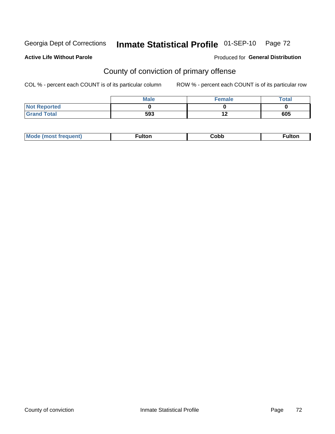# Inmate Statistical Profile 01-SEP-10 Page 72

#### **Active Life Without Parole**

### **Produced for General Distribution**

# County of conviction of primary offense

COL % - percent each COUNT is of its particular column

|                     | <b>Male</b> | <b>Female</b> | Total |
|---------------------|-------------|---------------|-------|
| <b>Not Reported</b> |             |               |       |
| <b>Grand Total</b>  | 593         | 4 O<br>' 4    | 605   |

|  | M <sub>c</sub><br>---- |  | ∶obb<br>- - - - | <b>ulto</b><br>. |
|--|------------------------|--|-----------------|------------------|
|--|------------------------|--|-----------------|------------------|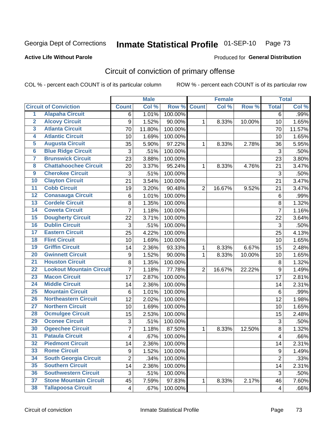Georgia Dept of Corrections

# Inmate Statistical Profile 01-SEP-10 Page 73

#### **Active Life Without Parole**

### **Produced for General Distribution**

# Circuit of conviction of primary offense

COL % - percent each COUNT is of its particular column

|                         |                                 |                | <b>Male</b> |         |                | <b>Female</b> |        |                | <b>Total</b> |
|-------------------------|---------------------------------|----------------|-------------|---------|----------------|---------------|--------|----------------|--------------|
|                         | <b>Circuit of Conviction</b>    | <b>Count</b>   | Col %       | Row %   | <b>Count</b>   | Col %         | Row %  | <b>Total</b>   | Col %        |
| 1                       | <b>Alapaha Circuit</b>          | 6              | 1.01%       | 100.00% |                |               |        | $\overline{6}$ | .99%         |
| $\overline{2}$          | <b>Alcovy Circuit</b>           | 9              | 1.52%       | 90.00%  | 1              | 8.33%         | 10.00% | 10             | 1.65%        |
| $\overline{\mathbf{3}}$ | <b>Atlanta Circuit</b>          | 70             | 11.80%      | 100.00% |                |               |        | 70             | 11.57%       |
| 4                       | <b>Atlantic Circuit</b>         | 10             | 1.69%       | 100.00% |                |               |        | 10             | 1.65%        |
| $\overline{5}$          | <b>Augusta Circuit</b>          | 35             | 5.90%       | 97.22%  | $\mathbf{1}$   | 8.33%         | 2.78%  | 36             | 5.95%        |
| $\overline{6}$          | <b>Blue Ridge Circuit</b>       | 3              | .51%        | 100.00% |                |               |        | 3              | .50%         |
| 7                       | <b>Brunswick Circuit</b>        | 23             | 3.88%       | 100.00% |                |               |        | 23             | 3.80%        |
| $\overline{\mathbf{8}}$ | <b>Chattahoochee Circuit</b>    | 20             | 3.37%       | 95.24%  | 1              | 8.33%         | 4.76%  | 21             | 3.47%        |
| $\overline{9}$          | <b>Cherokee Circuit</b>         | 3              | .51%        | 100.00% |                |               |        | 3              | .50%         |
| 10                      | <b>Clayton Circuit</b>          | 21             | 3.54%       | 100.00% |                |               |        | 21             | 3.47%        |
| $\overline{11}$         | <b>Cobb Circuit</b>             | 19             | 3.20%       | 90.48%  | $\overline{2}$ | 16.67%        | 9.52%  | 21             | 3.47%        |
| $\overline{12}$         | <b>Conasauga Circuit</b>        | 6              | 1.01%       | 100.00% |                |               |        | $\,6$          | .99%         |
| $\overline{13}$         | <b>Cordele Circuit</b>          | 8              | 1.35%       | 100.00% |                |               |        | 8              | 1.32%        |
| $\overline{14}$         | <b>Coweta Circuit</b>           | $\overline{7}$ | 1.18%       | 100.00% |                |               |        | $\overline{7}$ | 1.16%        |
| 15                      | <b>Dougherty Circuit</b>        | 22             | 3.71%       | 100.00% |                |               |        | 22             | 3.64%        |
| 16                      | <b>Dublin Circuit</b>           | 3              | .51%        | 100.00% |                |               |        | 3              | .50%         |
| $\overline{17}$         | <b>Eastern Circuit</b>          | 25             | 4.22%       | 100.00% |                |               |        | 25             | 4.13%        |
| 18                      | <b>Flint Circuit</b>            | 10             | 1.69%       | 100.00% |                |               |        | 10             | 1.65%        |
| 19                      | <b>Griffin Circuit</b>          | 14             | 2.36%       | 93.33%  | 1              | 8.33%         | 6.67%  | 15             | 2.48%        |
| $\overline{20}$         | <b>Gwinnett Circuit</b>         | 9              | 1.52%       | 90.00%  | 1              | 8.33%         | 10.00% | 10             | 1.65%        |
| $\overline{21}$         | <b>Houston Circuit</b>          | 8              | 1.35%       | 100.00% |                |               |        | 8              | 1.32%        |
| $\overline{22}$         | <b>Lookout Mountain Circuit</b> | $\overline{7}$ | 1.18%       | 77.78%  | $\overline{2}$ | 16.67%        | 22.22% | $\mathsf g$    | 1.49%        |
| 23                      | <b>Macon Circuit</b>            | 17             | 2.87%       | 100.00% |                |               |        | 17             | 2.81%        |
| $\overline{24}$         | <b>Middle Circuit</b>           | 14             | 2.36%       | 100.00% |                |               |        | 14             | 2.31%        |
| $\overline{25}$         | <b>Mountain Circuit</b>         | 6              | 1.01%       | 100.00% |                |               |        | $6\phantom{1}$ | .99%         |
| 26                      | <b>Northeastern Circuit</b>     | 12             | 2.02%       | 100.00% |                |               |        | 12             | 1.98%        |
| $\overline{27}$         | <b>Northern Circuit</b>         | 10             | 1.69%       | 100.00% |                |               |        | 10             | 1.65%        |
| 28                      | <b>Ocmulgee Circuit</b>         | 15             | 2.53%       | 100.00% |                |               |        | 15             | 2.48%        |
| 29                      | <b>Oconee Circuit</b>           | 3              | .51%        | 100.00% |                |               |        | 3              | .50%         |
| 30                      | <b>Ogeechee Circuit</b>         | 7              | 1.18%       | 87.50%  | 1              | 8.33%         | 12.50% | $\bf 8$        | 1.32%        |
| $\overline{31}$         | <b>Pataula Circuit</b>          | 4              | .67%        | 100.00% |                |               |        | 4              | .66%         |
| 32                      | <b>Piedmont Circuit</b>         | 14             | 2.36%       | 100.00% |                |               |        | 14             | 2.31%        |
| 33                      | <b>Rome Circuit</b>             | 9              | 1.52%       | 100.00% |                |               |        | 9              | 1.49%        |
| 34                      | <b>South Georgia Circuit</b>    | $\overline{2}$ | .34%        | 100.00% |                |               |        | $\overline{2}$ | .33%         |
| 35                      | <b>Southern Circuit</b>         | 14             | 2.36%       | 100.00% |                |               |        | 14             | 2.31%        |
| 36                      | <b>Southwestern Circuit</b>     | 3              | .51%        | 100.00% |                |               |        | $\sqrt{3}$     | .50%         |
| 37                      | <b>Stone Mountain Circuit</b>   | 45             | 7.59%       | 97.83%  | 1              | 8.33%         | 2.17%  | 46             | 7.60%        |
| 38                      | <b>Tallapoosa Circuit</b>       | 4              | .67%        | 100.00% |                |               |        | 4              | .66%         |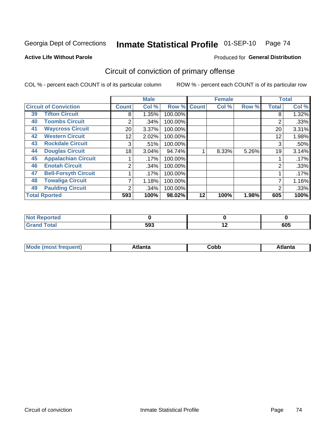Georgia Dept of Corrections

#### Inmate Statistical Profile 01-SEP-10 Page 74

#### **Active Life Without Parole**

#### Produced for General Distribution

# Circuit of conviction of primary offense

COL % - percent each COUNT is of its particular column

|                              |                             |              | <b>Male</b> |         |              | <b>Female</b> |       |              | <b>Total</b> |
|------------------------------|-----------------------------|--------------|-------------|---------|--------------|---------------|-------|--------------|--------------|
| <b>Circuit of Conviction</b> |                             | <b>Count</b> | Col %       | Row %   | <b>Count</b> | Col %         | Row % | <b>Total</b> | Col %        |
| 39                           | <b>Tifton Circuit</b>       | 8            | 1.35%       | 100.00% |              |               |       | 8            | 1.32%        |
| 40                           | <b>Toombs Circuit</b>       | 2            | .34%        | 100.00% |              |               |       | 2            | .33%         |
| 41                           | <b>Waycross Circuit</b>     | 20           | 3.37%       | 100.00% |              |               |       | 20           | 3.31%        |
| 42                           | <b>Western Circuit</b>      | 12           | 2.02%       | 100.00% |              |               |       | 12           | 1.98%        |
| 43                           | <b>Rockdale Circuit</b>     | 3            | .51%        | 100.00% |              |               |       | 3            | .50%         |
| 44                           | <b>Douglas Circuit</b>      | 18           | 3.04%       | 94.74%  |              | 8.33%         | 5.26% | 19           | 3.14%        |
| 45                           | <b>Appalachian Circuit</b>  |              | .17%        | 100.00% |              |               |       |              | .17%         |
| 46                           | <b>Enotah Circuit</b>       | 2            | .34%        | 100.00% |              |               |       | 2            | .33%         |
| 47                           | <b>Bell-Forsyth Circuit</b> |              | .17%        | 100.00% |              |               |       |              | .17%         |
| 48                           | <b>Towaliga Circuit</b>     |              | 1.18%       | 100.00% |              |               |       |              | 1.16%        |
| 49                           | <b>Paulding Circuit</b>     | 2            | .34%        | 100.00% |              |               |       | 2            | .33%         |
| <b>Total Rported</b>         |                             | 593          | 100%        | 98.02%  | 12           | 100%          | 1.98% | 605          | 100%         |

| <b>eported</b><br>- IN 4 |     |     |     |
|--------------------------|-----|-----|-----|
| <b>Total</b>             | 593 | . . | 605 |

| M | . | -----<br>oг | ----<br>пLс |
|---|---|-------------|-------------|
|   |   | <b>OUNN</b> |             |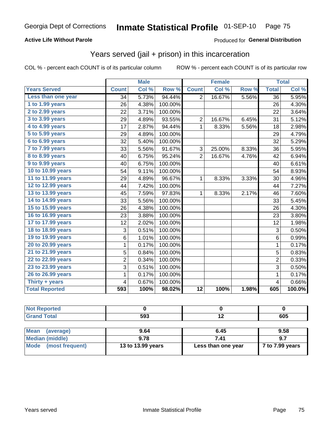### **Active Life Without Parole**

### Produced for General Distribution

# Years served (jail + prison) in this incarceration

COL % - percent each COUNT is of its particular column

|                       |                | <b>Male</b> |         |                | <b>Female</b>             |       |                         | <b>Total</b> |
|-----------------------|----------------|-------------|---------|----------------|---------------------------|-------|-------------------------|--------------|
| <b>Years Served</b>   | <b>Count</b>   | Col %       | Row %   | <b>Count</b>   | $\overline{\text{Col 9}}$ | Row % | <b>Total</b>            | Col %        |
| Less than one year    | 34             | 5.73%       | 94.44%  | $\overline{2}$ | 16.67%                    | 5.56% | 36                      | 5.95%        |
| 1 to 1.99 years       | 26             | 4.38%       | 100.00% |                |                           |       | 26                      | 4.30%        |
| 2 to 2.99 years       | 22             | 3.71%       | 100.00% |                |                           |       | 22                      | 3.64%        |
| 3 to 3.99 years       | 29             | 4.89%       | 93.55%  | $\overline{c}$ | 16.67%                    | 6.45% | 31                      | 5.12%        |
| 4 to 4.99 years       | 17             | 2.87%       | 94.44%  | $\mathbf 1$    | 8.33%                     | 5.56% | 18                      | 2.98%        |
| $5$ to $5.99$ years   | 29             | 4.89%       | 100.00% |                |                           |       | 29                      | 4.79%        |
| 6 to 6.99 years       | 32             | 5.40%       | 100.00% |                |                           |       | 32                      | 5.29%        |
| 7 to 7.99 years       | 33             | 5.56%       | 91.67%  | 3              | 25.00%                    | 8.33% | 36                      | 5.95%        |
| 8 to 8.99 years       | 40             | 6.75%       | 95.24%  | $\overline{2}$ | 16.67%                    | 4.76% | 42                      | 6.94%        |
| 9 to 9.99 years       | 40             | 6.75%       | 100.00% |                |                           |       | 40                      | 6.61%        |
| 10 to 10.99 years     | 54             | 9.11%       | 100.00% |                |                           |       | 54                      | 8.93%        |
| 11 to 11.99 years     | 29             | 4.89%       | 96.67%  | $\mathbf{1}$   | 8.33%                     | 3.33% | 30                      | 4.96%        |
| 12 to 12.99 years     | 44             | 7.42%       | 100.00% |                |                           |       | 44                      | 7.27%        |
| 13 to 13.99 years     | 45             | 7.59%       | 97.83%  | $\mathbf 1$    | 8.33%                     | 2.17% | 46                      | 7.60%        |
| 14 to 14.99 years     | 33             | 5.56%       | 100.00% |                |                           |       | 33                      | 5.45%        |
| 15 to 15.99 years     | 26             | 4.38%       | 100.00% |                |                           |       | 26                      | 4.30%        |
| 16 to 16.99 years     | 23             | 3.88%       | 100.00% |                |                           |       | 23                      | 3.80%        |
| 17 to 17.99 years     | 12             | 2.02%       | 100.00% |                |                           |       | 12                      | 1.98%        |
| 18 to 18.99 years     | 3              | 0.51%       | 100.00% |                |                           |       | 3                       | 0.50%        |
| 19 to 19.99 years     | 6              | 1.01%       | 100.00% |                |                           |       | 6                       | 0.99%        |
| 20 to 20.99 years     | 1              | 0.17%       | 100.00% |                |                           |       | $\mathbf{1}$            | 0.17%        |
| 21 to 21.99 years     | 5              | 0.84%       | 100.00% |                |                           |       | 5                       | 0.83%        |
| 22 to 22.99 years     | $\overline{2}$ | 0.34%       | 100.00% |                |                           |       | $\overline{2}$          | 0.33%        |
| 23 to 23.99 years     | 3              | 0.51%       | 100.00% |                |                           |       | 3                       | 0.50%        |
| 26 to 26.99 years     | 1              | 0.17%       | 100.00% |                |                           |       | 1                       | 0.17%        |
| Thirty $+$ years      | 4              | 0.67%       | 100.00% |                |                           |       | $\overline{\mathbf{4}}$ | 0.66%        |
| <b>Total Reported</b> | 593            | 100%        | 98.02%  | 12             | 100%                      | 1.98% | 605                     | 100.0%       |

| <b>Not Reported</b>            |                   |                    |                 |
|--------------------------------|-------------------|--------------------|-----------------|
| <b>Grand Total</b>             | 593               | 12                 | 605             |
|                                |                   |                    |                 |
| <b>Mean</b><br>(average)       | 9.64              | 6.45               | 9.58            |
| <b>Median (middle)</b>         | 9.78              | 7.41               | 9.7             |
| <b>Mode</b><br>(most frequent) | 13 to 13.99 years | Less than one year | 7 to 7.99 years |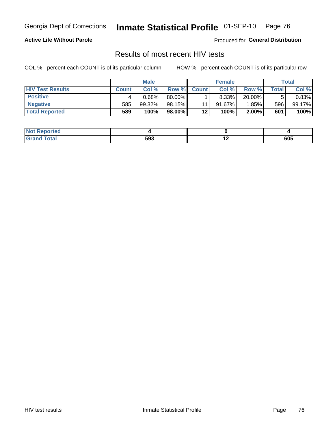Georgia Dept of Corrections

#### Inmate Statistical Profile 01-SEP-10 Page 76

### **Active Life Without Parole**

Produced for General Distribution

## Results of most recent HIV tests

COL % - percent each COUNT is of its particular column

|                         |              | <b>Male</b> |        |              | <b>Female</b> |          |         | Total  |
|-------------------------|--------------|-------------|--------|--------------|---------------|----------|---------|--------|
| <b>HIV Test Results</b> | <b>Count</b> | Col%        | Row %I | <b>Count</b> | Col %         | Row %    | ⊤otal ⊦ | Col %  |
| <b>Positive</b>         |              | 0.68%       | 80.00% |              | 8.33%         | 20.00%   |         | 0.83%  |
| <b>Negative</b>         | 585          | 99.32%      | 98.15% | 11           | $91.67\%$     | 1.85%    | 596     | 99.17% |
| <b>Total Reported</b>   | 589          | 100%        | 98.00% | 12           | <b>100%</b>   | $2.00\%$ | 601     | 100%   |

| <b>Not Reported</b> |     |     |     |
|---------------------|-----|-----|-----|
| <b>Total</b>        | 593 | . . | 605 |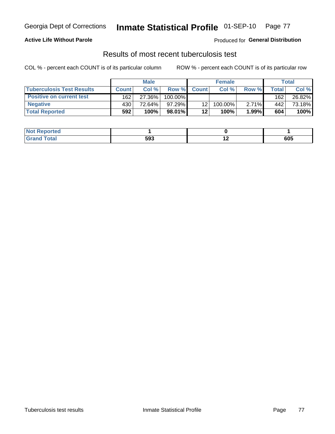#### Inmate Statistical Profile 01-SEP-10 Page 77

### **Active Life Without Parole**

**Produced for General Distribution** 

## Results of most recent tuberculosis test

COL % - percent each COUNT is of its particular column

|                                  |              | <b>Male</b> |            |              | <b>Female</b> |          |       | Total  |
|----------------------------------|--------------|-------------|------------|--------------|---------------|----------|-------|--------|
| <b>Tuberculosis Test Results</b> | <b>Count</b> | Col%        | Row %I     | <b>Count</b> | Col%          | Row %    | Total | Col %  |
| <b>Positive on current test</b>  | 162          | 27.36%      | $100.00\%$ |              |               |          | 162   | 26.82% |
| <b>Negative</b>                  | 430          | 72.64%      | $97.29\%$  | 12           | 100.00%       | $2.71\%$ | 442   | 73.18% |
| <b>Total Reported</b>            | 592          | 100%        | 98.01%     | 12           | 100%          | 1.99%    | 604   | 100%   |

| <b>Not Reported</b> |     |     |     |
|---------------------|-----|-----|-----|
| <b>Total</b>        | 593 | . . | 605 |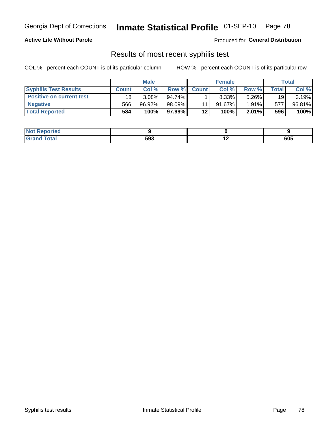#### Inmate Statistical Profile 01-SEP-10 Page 78

### **Active Life Without Parole**

Produced for General Distribution

## Results of most recent syphilis test

COL % - percent each COUNT is of its particular column

|                                 |              | <b>Male</b> |        |              | <b>Female</b> |          |       | Total  |
|---------------------------------|--------------|-------------|--------|--------------|---------------|----------|-------|--------|
| <b>Syphilis Test Results</b>    | <b>Count</b> | Col %       | Row %  | <b>Count</b> | Col %         | Row %I   | Total | Col %  |
| <b>Positive on current test</b> | 18           | $3.08\%$    | 94.74% |              | 8.33%         | $5.26\%$ | 19    | 3.19%  |
| <b>Negative</b>                 | 566          | 96.92%      | 98.09% |              | $91.67\%$     | $1.91\%$ | 577   | 96.81% |
| <b>Total Reported</b>           | 584          | 100%        | 97.99% | 12           | 100%          | $2.01\%$ | 596   | 100%   |

| <b>Not Reported</b> |     |     |
|---------------------|-----|-----|
| Total               | 593 | 605 |